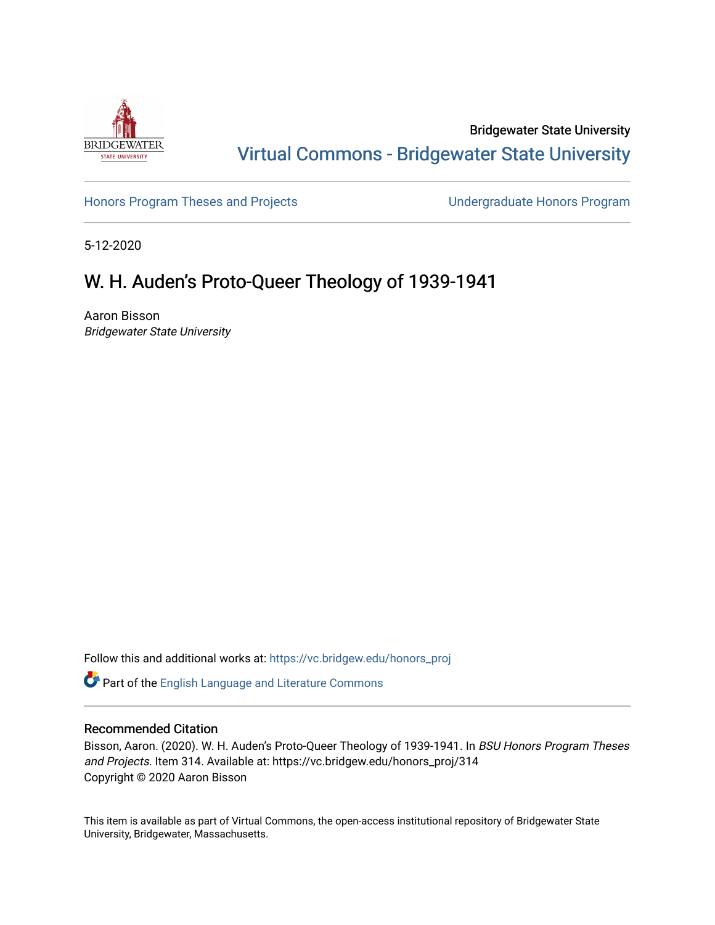

Bridgewater State University [Virtual Commons - Bridgewater State University](https://vc.bridgew.edu/) 

[Honors Program Theses and Projects](https://vc.bridgew.edu/honors_proj) [Undergraduate Honors Program](https://vc.bridgew.edu/honors) 

5-12-2020

# W. H. Auden's Proto-Queer Theology of 1939-1941

Aaron Bisson Bridgewater State University

Follow this and additional works at: [https://vc.bridgew.edu/honors\\_proj](https://vc.bridgew.edu/honors_proj?utm_source=vc.bridgew.edu%2Fhonors_proj%2F314&utm_medium=PDF&utm_campaign=PDFCoverPages)

Part of the [English Language and Literature Commons](http://network.bepress.com/hgg/discipline/455?utm_source=vc.bridgew.edu%2Fhonors_proj%2F314&utm_medium=PDF&utm_campaign=PDFCoverPages)

## Recommended Citation

Bisson, Aaron. (2020). W. H. Auden's Proto-Queer Theology of 1939-1941. In BSU Honors Program Theses and Projects. Item 314. Available at: https://vc.bridgew.edu/honors\_proj/314 Copyright © 2020 Aaron Bisson

This item is available as part of Virtual Commons, the open-access institutional repository of Bridgewater State University, Bridgewater, Massachusetts.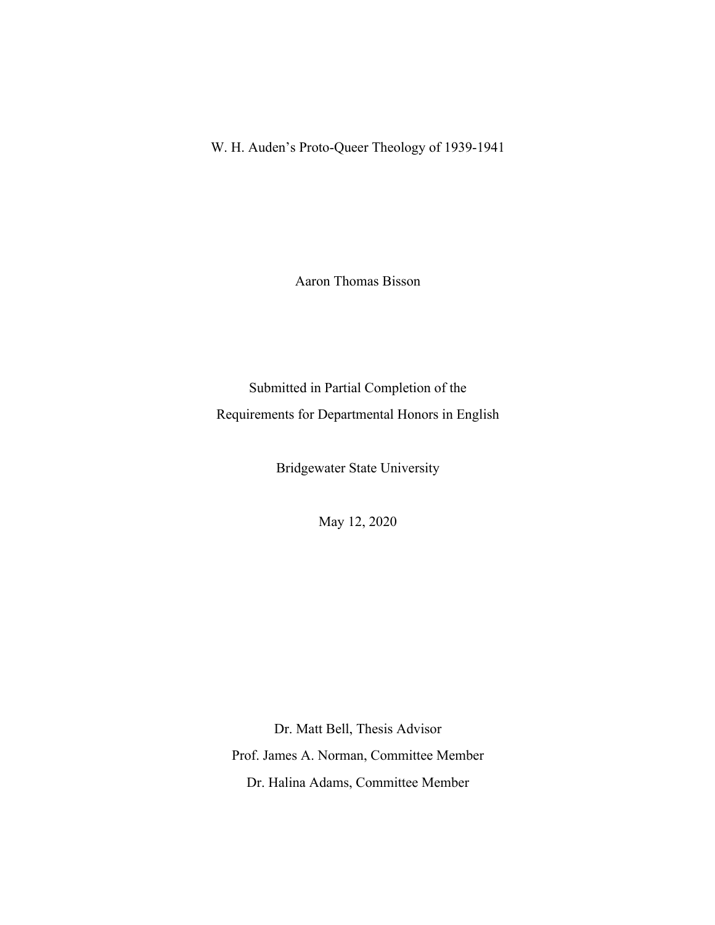W. H. Auden's Proto-Queer Theology of 1939-1941

Aaron Thomas Bisson

Submitted in Partial Completion of the Requirements for Departmental Honors in English

Bridgewater State University

May 12, 2020

Dr. Matt Bell, Thesis Advisor Prof. James A. Norman, Committee Member Dr. Halina Adams, Committee Member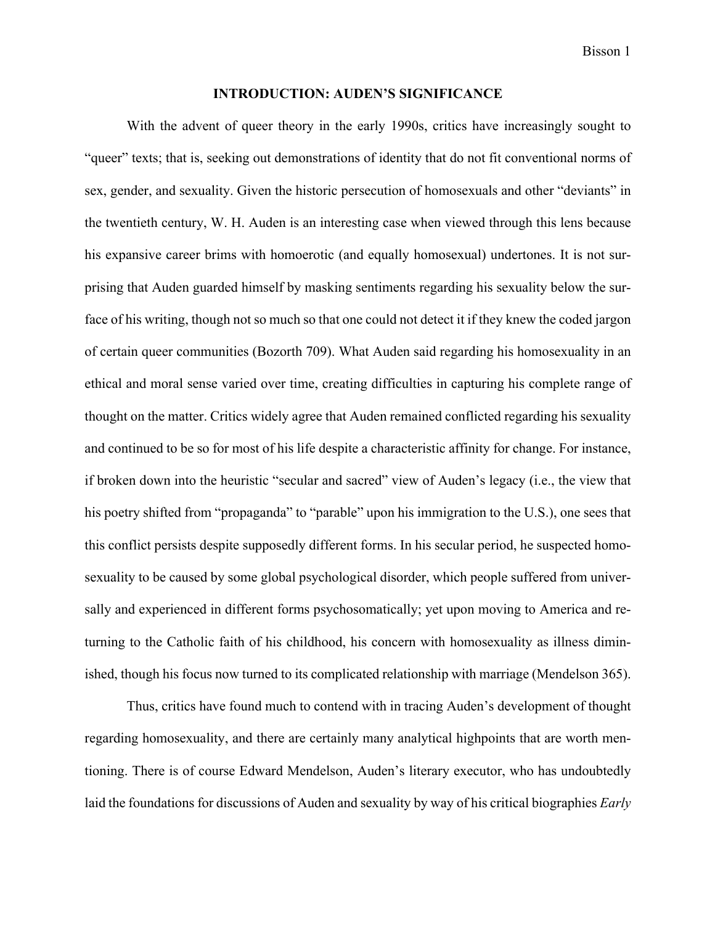Bisson 1

#### **INTRODUCTION: AUDEN'S SIGNIFICANCE**

With the advent of queer theory in the early 1990s, critics have increasingly sought to "queer" texts; that is, seeking out demonstrations of identity that do not fit conventional norms of sex, gender, and sexuality. Given the historic persecution of homosexuals and other "deviants" in the twentieth century, W. H. Auden is an interesting case when viewed through this lens because his expansive career brims with homoerotic (and equally homosexual) undertones. It is not surprising that Auden guarded himself by masking sentiments regarding his sexuality below the surface of his writing, though not so much so that one could not detect it if they knew the coded jargon of certain queer communities (Bozorth 709). What Auden said regarding his homosexuality in an ethical and moral sense varied over time, creating difficulties in capturing his complete range of thought on the matter. Critics widely agree that Auden remained conflicted regarding his sexuality and continued to be so for most of his life despite a characteristic affinity for change. For instance, if broken down into the heuristic "secular and sacred" view of Auden's legacy (i.e., the view that his poetry shifted from "propaganda" to "parable" upon his immigration to the U.S.), one sees that this conflict persists despite supposedly different forms. In his secular period, he suspected homosexuality to be caused by some global psychological disorder, which people suffered from universally and experienced in different forms psychosomatically; yet upon moving to America and returning to the Catholic faith of his childhood, his concern with homosexuality as illness diminished, though his focus now turned to its complicated relationship with marriage (Mendelson 365).

Thus, critics have found much to contend with in tracing Auden's development of thought regarding homosexuality, and there are certainly many analytical highpoints that are worth mentioning. There is of course Edward Mendelson, Auden's literary executor, who has undoubtedly laid the foundations for discussions of Auden and sexuality by way of his critical biographies *Early*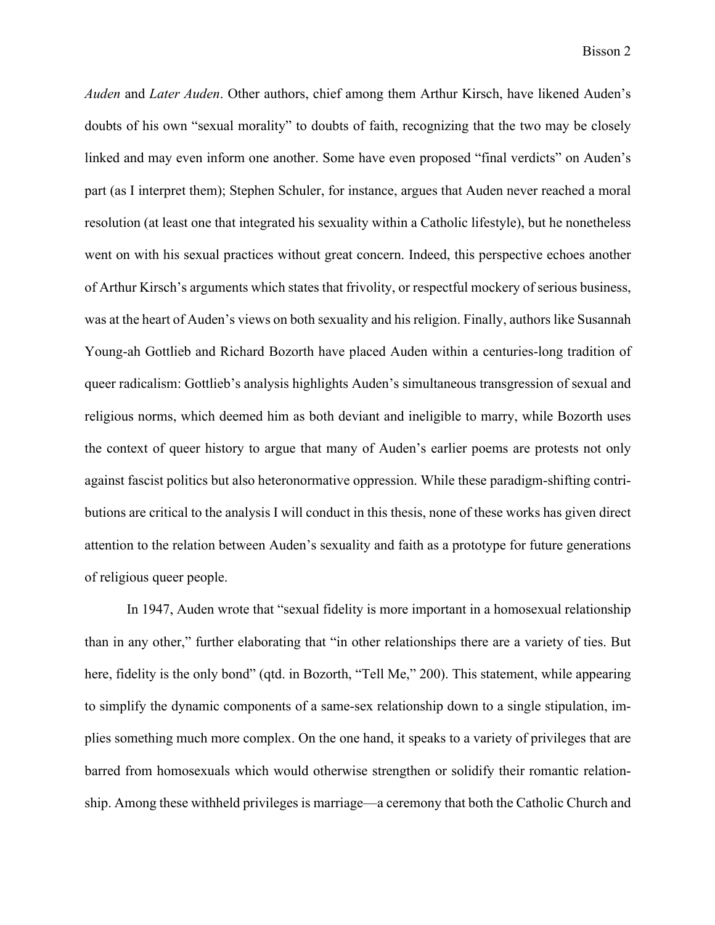*Auden* and *Later Auden*. Other authors, chief among them Arthur Kirsch, have likened Auden's doubts of his own "sexual morality" to doubts of faith, recognizing that the two may be closely linked and may even inform one another. Some have even proposed "final verdicts" on Auden's part (as I interpret them); Stephen Schuler, for instance, argues that Auden never reached a moral resolution (at least one that integrated his sexuality within a Catholic lifestyle), but he nonetheless went on with his sexual practices without great concern. Indeed, this perspective echoes another of Arthur Kirsch's arguments which states that frivolity, or respectful mockery of serious business, was at the heart of Auden's views on both sexuality and his religion. Finally, authors like Susannah Young-ah Gottlieb and Richard Bozorth have placed Auden within a centuries-long tradition of queer radicalism: Gottlieb's analysis highlights Auden's simultaneous transgression of sexual and religious norms, which deemed him as both deviant and ineligible to marry, while Bozorth uses the context of queer history to argue that many of Auden's earlier poems are protests not only against fascist politics but also heteronormative oppression. While these paradigm-shifting contributions are critical to the analysis I will conduct in this thesis, none of these works has given direct attention to the relation between Auden's sexuality and faith as a prototype for future generations of religious queer people.

In 1947, Auden wrote that "sexual fidelity is more important in a homosexual relationship than in any other," further elaborating that "in other relationships there are a variety of ties. But here, fidelity is the only bond" (qtd. in Bozorth, "Tell Me," 200). This statement, while appearing to simplify the dynamic components of a same-sex relationship down to a single stipulation, implies something much more complex. On the one hand, it speaks to a variety of privileges that are barred from homosexuals which would otherwise strengthen or solidify their romantic relationship. Among these withheld privileges is marriage—a ceremony that both the Catholic Church and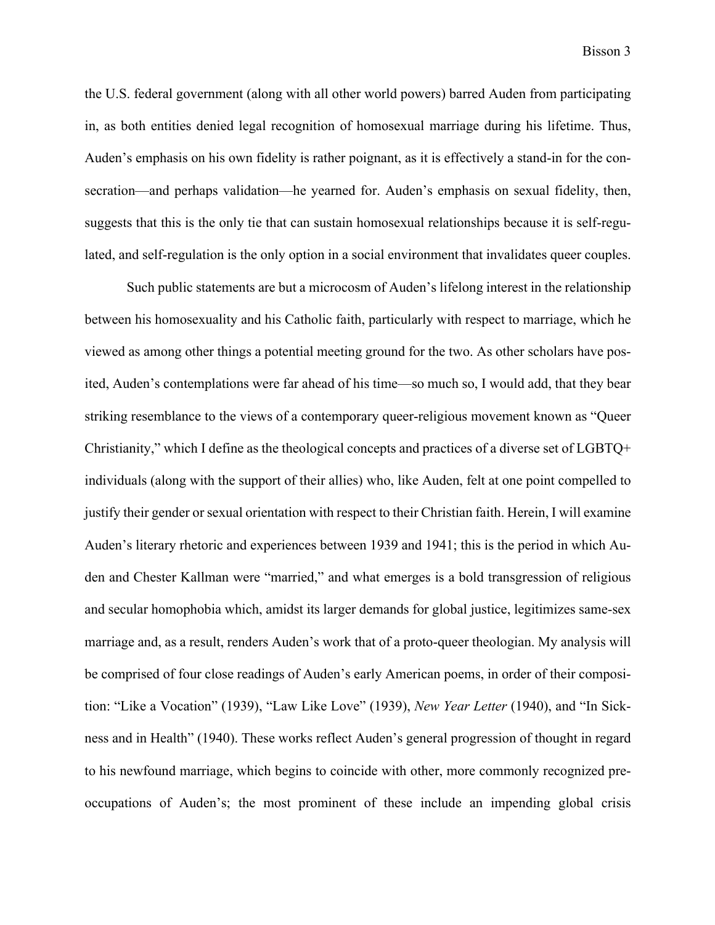the U.S. federal government (along with all other world powers) barred Auden from participating in, as both entities denied legal recognition of homosexual marriage during his lifetime. Thus, Auden's emphasis on his own fidelity is rather poignant, as it is effectively a stand-in for the consecration—and perhaps validation—he yearned for. Auden's emphasis on sexual fidelity, then, suggests that this is the only tie that can sustain homosexual relationships because it is self-regulated, and self-regulation is the only option in a social environment that invalidates queer couples.

Such public statements are but a microcosm of Auden's lifelong interest in the relationship between his homosexuality and his Catholic faith, particularly with respect to marriage, which he viewed as among other things a potential meeting ground for the two. As other scholars have posited, Auden's contemplations were far ahead of his time—so much so, I would add, that they bear striking resemblance to the views of a contemporary queer-religious movement known as "Queer Christianity," which I define as the theological concepts and practices of a diverse set of LGBTQ+ individuals (along with the support of their allies) who, like Auden, felt at one point compelled to justify their gender or sexual orientation with respect to their Christian faith. Herein, I will examine Auden's literary rhetoric and experiences between 1939 and 1941; this is the period in which Auden and Chester Kallman were "married," and what emerges is a bold transgression of religious and secular homophobia which, amidst its larger demands for global justice, legitimizes same-sex marriage and, as a result, renders Auden's work that of a proto-queer theologian. My analysis will be comprised of four close readings of Auden's early American poems, in order of their composition: "Like a Vocation" (1939), "Law Like Love" (1939), *New Year Letter* (1940), and "In Sickness and in Health" (1940). These works reflect Auden's general progression of thought in regard to his newfound marriage, which begins to coincide with other, more commonly recognized preoccupations of Auden's; the most prominent of these include an impending global crisis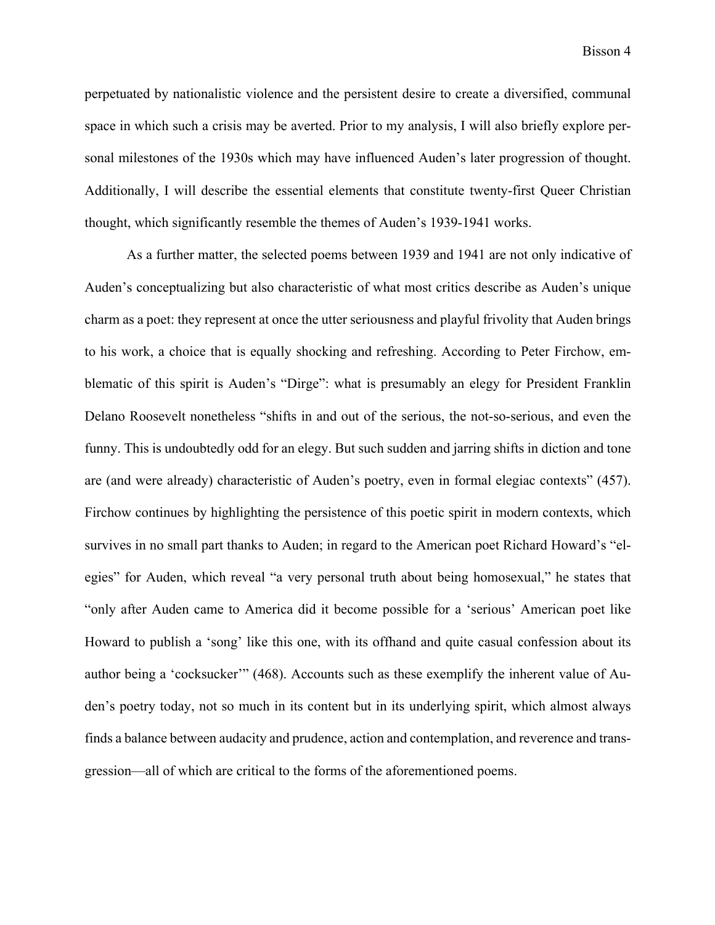perpetuated by nationalistic violence and the persistent desire to create a diversified, communal space in which such a crisis may be averted. Prior to my analysis, I will also briefly explore personal milestones of the 1930s which may have influenced Auden's later progression of thought. Additionally, I will describe the essential elements that constitute twenty-first Queer Christian thought, which significantly resemble the themes of Auden's 1939-1941 works.

As a further matter, the selected poems between 1939 and 1941 are not only indicative of Auden's conceptualizing but also characteristic of what most critics describe as Auden's unique charm as a poet: they represent at once the utter seriousness and playful frivolity that Auden brings to his work, a choice that is equally shocking and refreshing. According to Peter Firchow, emblematic of this spirit is Auden's "Dirge": what is presumably an elegy for President Franklin Delano Roosevelt nonetheless "shifts in and out of the serious, the not-so-serious, and even the funny. This is undoubtedly odd for an elegy. But such sudden and jarring shifts in diction and tone are (and were already) characteristic of Auden's poetry, even in formal elegiac contexts" (457). Firchow continues by highlighting the persistence of this poetic spirit in modern contexts, which survives in no small part thanks to Auden; in regard to the American poet Richard Howard's "elegies" for Auden, which reveal "a very personal truth about being homosexual," he states that "only after Auden came to America did it become possible for a 'serious' American poet like Howard to publish a 'song' like this one, with its offhand and quite casual confession about its author being a 'cocksucker'" (468). Accounts such as these exemplify the inherent value of Auden's poetry today, not so much in its content but in its underlying spirit, which almost always finds a balance between audacity and prudence, action and contemplation, and reverence and transgression—all of which are critical to the forms of the aforementioned poems.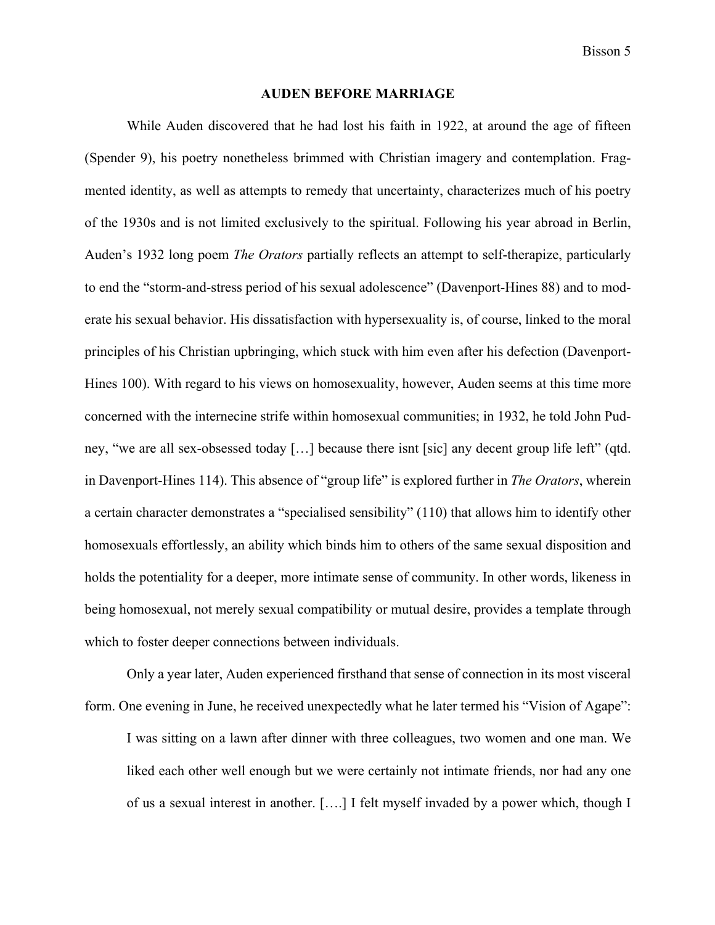#### **AUDEN BEFORE MARRIAGE**

While Auden discovered that he had lost his faith in 1922, at around the age of fifteen (Spender 9), his poetry nonetheless brimmed with Christian imagery and contemplation. Fragmented identity, as well as attempts to remedy that uncertainty, characterizes much of his poetry of the 1930s and is not limited exclusively to the spiritual. Following his year abroad in Berlin, Auden's 1932 long poem *The Orators* partially reflects an attempt to self-therapize, particularly to end the "storm-and-stress period of his sexual adolescence" (Davenport-Hines 88) and to moderate his sexual behavior. His dissatisfaction with hypersexuality is, of course, linked to the moral principles of his Christian upbringing, which stuck with him even after his defection (Davenport-Hines 100). With regard to his views on homosexuality, however, Auden seems at this time more concerned with the internecine strife within homosexual communities; in 1932, he told John Pudney, "we are all sex-obsessed today […] because there isnt [sic] any decent group life left" (qtd. in Davenport-Hines 114). This absence of "group life" is explored further in *The Orators*, wherein a certain character demonstrates a "specialised sensibility" (110) that allows him to identify other homosexuals effortlessly, an ability which binds him to others of the same sexual disposition and holds the potentiality for a deeper, more intimate sense of community. In other words, likeness in being homosexual, not merely sexual compatibility or mutual desire, provides a template through which to foster deeper connections between individuals.

Only a year later, Auden experienced firsthand that sense of connection in its most visceral form. One evening in June, he received unexpectedly what he later termed his "Vision of Agape": I was sitting on a lawn after dinner with three colleagues, two women and one man. We liked each other well enough but we were certainly not intimate friends, nor had any one of us a sexual interest in another. [….] I felt myself invaded by a power which, though I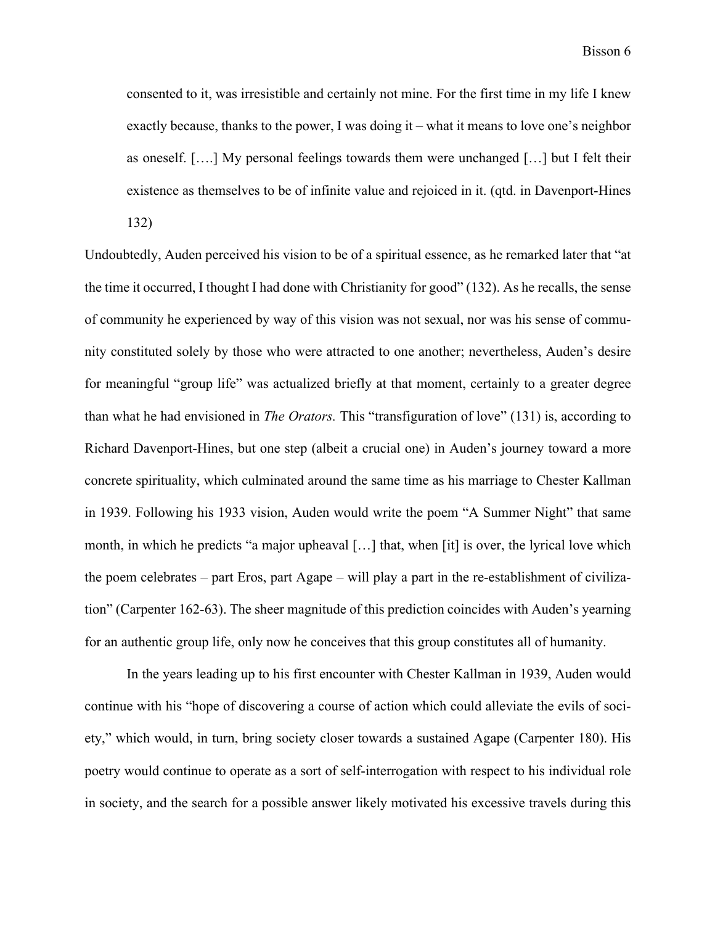consented to it, was irresistible and certainly not mine. For the first time in my life I knew exactly because, thanks to the power, I was doing it – what it means to love one's neighbor as oneself. [….] My personal feelings towards them were unchanged […] but I felt their existence as themselves to be of infinite value and rejoiced in it. (qtd. in Davenport-Hines 132)

Undoubtedly, Auden perceived his vision to be of a spiritual essence, as he remarked later that "at the time it occurred, I thought I had done with Christianity for good" (132). As he recalls, the sense of community he experienced by way of this vision was not sexual, nor was his sense of community constituted solely by those who were attracted to one another; nevertheless, Auden's desire for meaningful "group life" was actualized briefly at that moment, certainly to a greater degree than what he had envisioned in *The Orators.* This "transfiguration of love" (131) is, according to Richard Davenport-Hines, but one step (albeit a crucial one) in Auden's journey toward a more concrete spirituality, which culminated around the same time as his marriage to Chester Kallman in 1939. Following his 1933 vision, Auden would write the poem "A Summer Night" that same month, in which he predicts "a major upheaval […] that, when [it] is over, the lyrical love which the poem celebrates – part Eros, part Agape – will play a part in the re-establishment of civilization" (Carpenter 162-63). The sheer magnitude of this prediction coincides with Auden's yearning for an authentic group life, only now he conceives that this group constitutes all of humanity.

In the years leading up to his first encounter with Chester Kallman in 1939, Auden would continue with his "hope of discovering a course of action which could alleviate the evils of society," which would, in turn, bring society closer towards a sustained Agape (Carpenter 180). His poetry would continue to operate as a sort of self-interrogation with respect to his individual role in society, and the search for a possible answer likely motivated his excessive travels during this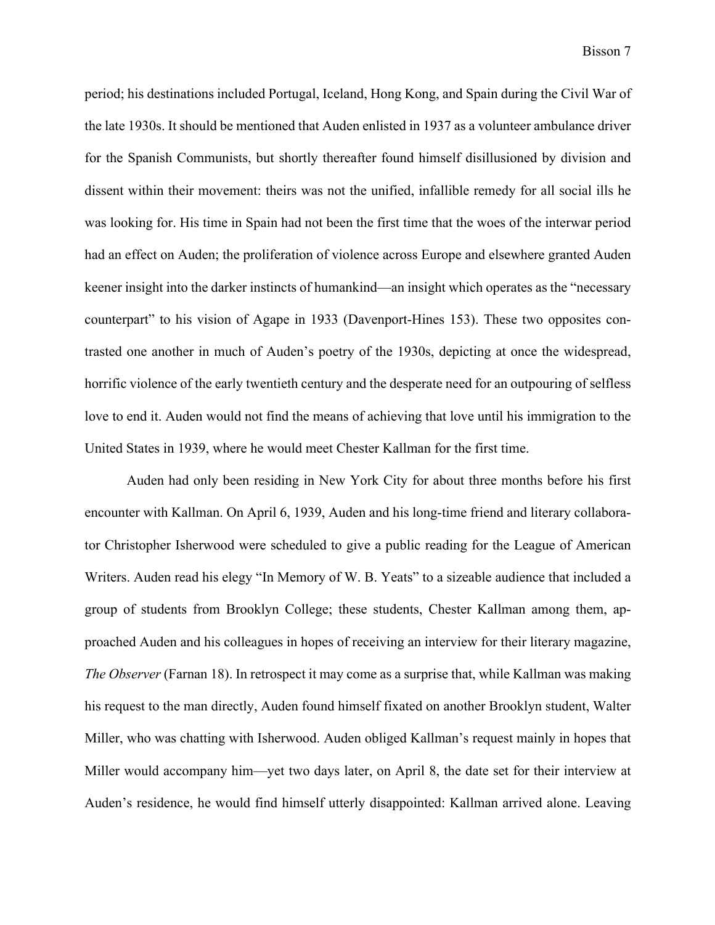period; his destinations included Portugal, Iceland, Hong Kong, and Spain during the Civil War of the late 1930s. It should be mentioned that Auden enlisted in 1937 as a volunteer ambulance driver for the Spanish Communists, but shortly thereafter found himself disillusioned by division and dissent within their movement: theirs was not the unified, infallible remedy for all social ills he was looking for. His time in Spain had not been the first time that the woes of the interwar period had an effect on Auden; the proliferation of violence across Europe and elsewhere granted Auden keener insight into the darker instincts of humankind—an insight which operates as the "necessary counterpart" to his vision of Agape in 1933 (Davenport-Hines 153). These two opposites contrasted one another in much of Auden's poetry of the 1930s, depicting at once the widespread, horrific violence of the early twentieth century and the desperate need for an outpouring of selfless love to end it. Auden would not find the means of achieving that love until his immigration to the United States in 1939, where he would meet Chester Kallman for the first time.

Auden had only been residing in New York City for about three months before his first encounter with Kallman. On April 6, 1939, Auden and his long-time friend and literary collaborator Christopher Isherwood were scheduled to give a public reading for the League of American Writers. Auden read his elegy "In Memory of W. B. Yeats" to a sizeable audience that included a group of students from Brooklyn College; these students, Chester Kallman among them, approached Auden and his colleagues in hopes of receiving an interview for their literary magazine, *The Observer* (Farnan 18). In retrospect it may come as a surprise that, while Kallman was making his request to the man directly, Auden found himself fixated on another Brooklyn student, Walter Miller, who was chatting with Isherwood. Auden obliged Kallman's request mainly in hopes that Miller would accompany him—yet two days later, on April 8, the date set for their interview at Auden's residence, he would find himself utterly disappointed: Kallman arrived alone. Leaving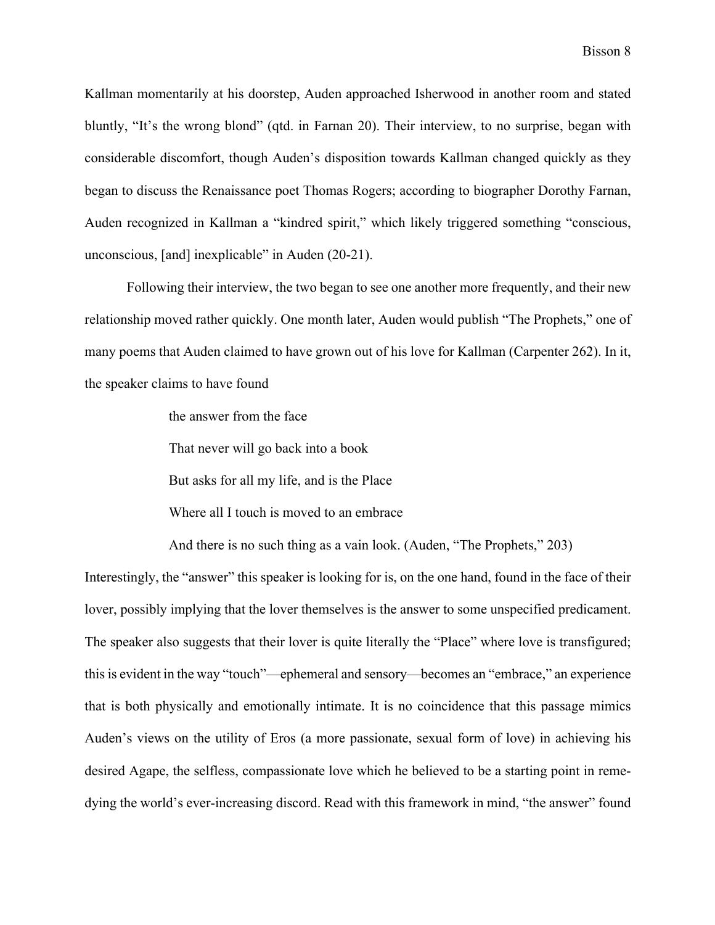Kallman momentarily at his doorstep, Auden approached Isherwood in another room and stated bluntly, "It's the wrong blond" (qtd. in Farnan 20). Their interview, to no surprise, began with considerable discomfort, though Auden's disposition towards Kallman changed quickly as they began to discuss the Renaissance poet Thomas Rogers; according to biographer Dorothy Farnan, Auden recognized in Kallman a "kindred spirit," which likely triggered something "conscious, unconscious, [and] inexplicable" in Auden (20-21).

Following their interview, the two began to see one another more frequently, and their new relationship moved rather quickly. One month later, Auden would publish "The Prophets," one of many poems that Auden claimed to have grown out of his love for Kallman (Carpenter 262). In it, the speaker claims to have found

the answer from the face

That never will go back into a book

But asks for all my life, and is the Place

Where all I touch is moved to an embrace

And there is no such thing as a vain look. (Auden, "The Prophets," 203)

Interestingly, the "answer" this speaker is looking for is, on the one hand, found in the face of their lover, possibly implying that the lover themselves is the answer to some unspecified predicament. The speaker also suggests that their lover is quite literally the "Place" where love is transfigured; this is evident in the way "touch"—ephemeral and sensory—becomes an "embrace," an experience that is both physically and emotionally intimate. It is no coincidence that this passage mimics Auden's views on the utility of Eros (a more passionate, sexual form of love) in achieving his desired Agape, the selfless, compassionate love which he believed to be a starting point in remedying the world's ever-increasing discord. Read with this framework in mind, "the answer" found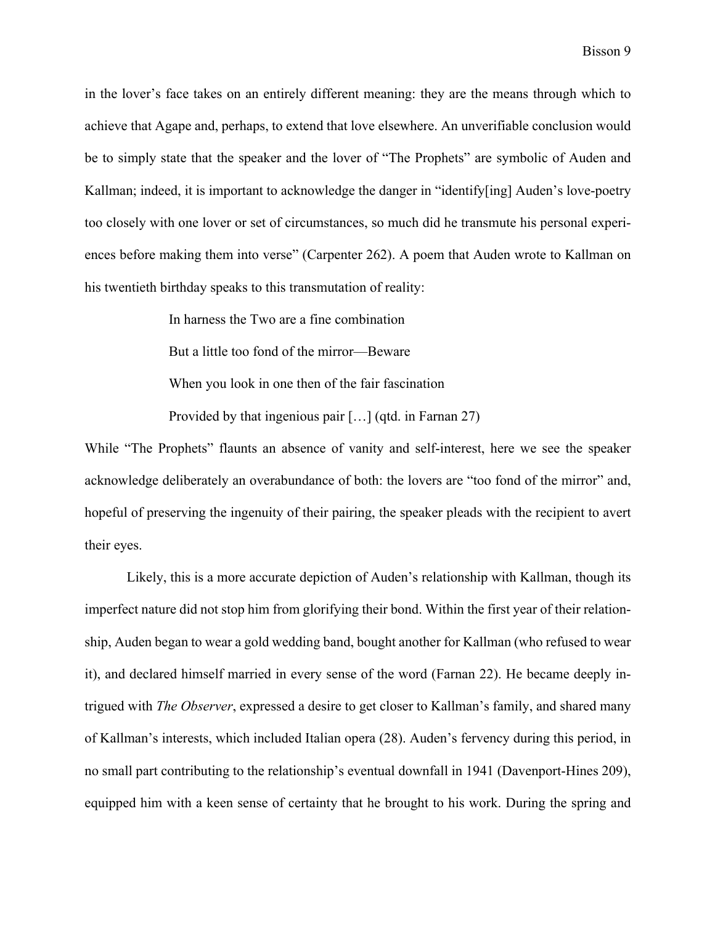in the lover's face takes on an entirely different meaning: they are the means through which to achieve that Agape and, perhaps, to extend that love elsewhere. An unverifiable conclusion would be to simply state that the speaker and the lover of "The Prophets" are symbolic of Auden and Kallman; indeed, it is important to acknowledge the danger in "identify[ing] Auden's love-poetry too closely with one lover or set of circumstances, so much did he transmute his personal experiences before making them into verse" (Carpenter 262). A poem that Auden wrote to Kallman on his twentieth birthday speaks to this transmutation of reality:

> In harness the Two are a fine combination But a little too fond of the mirror—Beware When you look in one then of the fair fascination Provided by that ingenious pair […] (qtd. in Farnan 27)

While "The Prophets" flaunts an absence of vanity and self-interest, here we see the speaker acknowledge deliberately an overabundance of both: the lovers are "too fond of the mirror" and, hopeful of preserving the ingenuity of their pairing, the speaker pleads with the recipient to avert their eyes.

Likely, this is a more accurate depiction of Auden's relationship with Kallman, though its imperfect nature did not stop him from glorifying their bond. Within the first year of their relationship, Auden began to wear a gold wedding band, bought another for Kallman (who refused to wear it), and declared himself married in every sense of the word (Farnan 22). He became deeply intrigued with *The Observer*, expressed a desire to get closer to Kallman's family, and shared many of Kallman's interests, which included Italian opera (28). Auden's fervency during this period, in no small part contributing to the relationship's eventual downfall in 1941 (Davenport-Hines 209), equipped him with a keen sense of certainty that he brought to his work. During the spring and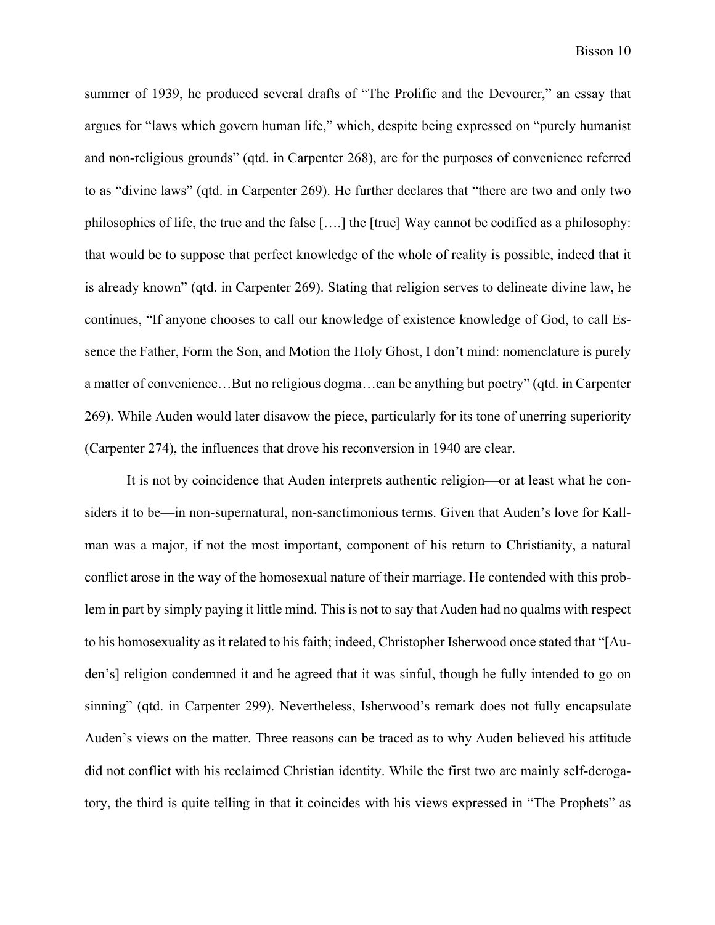summer of 1939, he produced several drafts of "The Prolific and the Devourer," an essay that argues for "laws which govern human life," which, despite being expressed on "purely humanist and non-religious grounds" (qtd. in Carpenter 268), are for the purposes of convenience referred to as "divine laws" (qtd. in Carpenter 269). He further declares that "there are two and only two philosophies of life, the true and the false [….] the [true] Way cannot be codified as a philosophy: that would be to suppose that perfect knowledge of the whole of reality is possible, indeed that it is already known" (qtd. in Carpenter 269). Stating that religion serves to delineate divine law, he continues, "If anyone chooses to call our knowledge of existence knowledge of God, to call Essence the Father, Form the Son, and Motion the Holy Ghost, I don't mind: nomenclature is purely a matter of convenience…But no religious dogma…can be anything but poetry" (qtd. in Carpenter 269). While Auden would later disavow the piece, particularly for its tone of unerring superiority (Carpenter 274), the influences that drove his reconversion in 1940 are clear.

It is not by coincidence that Auden interprets authentic religion—or at least what he considers it to be—in non-supernatural, non-sanctimonious terms. Given that Auden's love for Kallman was a major, if not the most important, component of his return to Christianity, a natural conflict arose in the way of the homosexual nature of their marriage. He contended with this problem in part by simply paying it little mind. This is not to say that Auden had no qualms with respect to his homosexuality as it related to his faith; indeed, Christopher Isherwood once stated that "[Auden's] religion condemned it and he agreed that it was sinful, though he fully intended to go on sinning" (qtd. in Carpenter 299). Nevertheless, Isherwood's remark does not fully encapsulate Auden's views on the matter. Three reasons can be traced as to why Auden believed his attitude did not conflict with his reclaimed Christian identity. While the first two are mainly self-derogatory, the third is quite telling in that it coincides with his views expressed in "The Prophets" as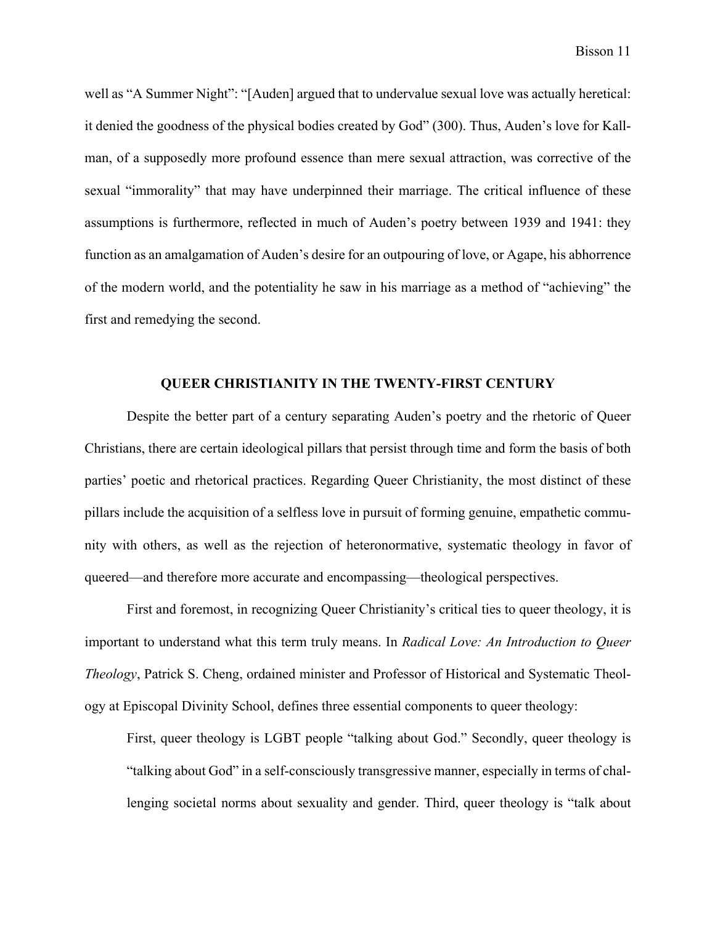well as "A Summer Night": "[Auden] argued that to undervalue sexual love was actually heretical: it denied the goodness of the physical bodies created by God" (300). Thus, Auden's love for Kallman, of a supposedly more profound essence than mere sexual attraction, was corrective of the sexual "immorality" that may have underpinned their marriage. The critical influence of these assumptions is furthermore, reflected in much of Auden's poetry between 1939 and 1941: they function as an amalgamation of Auden's desire for an outpouring of love, or Agape, his abhorrence of the modern world, and the potentiality he saw in his marriage as a method of "achieving" the first and remedying the second.

## **QUEER CHRISTIANITY IN THE TWENTY-FIRST CENTURY**

Despite the better part of a century separating Auden's poetry and the rhetoric of Queer Christians, there are certain ideological pillars that persist through time and form the basis of both parties' poetic and rhetorical practices. Regarding Queer Christianity, the most distinct of these pillars include the acquisition of a selfless love in pursuit of forming genuine, empathetic community with others, as well as the rejection of heteronormative, systematic theology in favor of queered—and therefore more accurate and encompassing—theological perspectives.

First and foremost, in recognizing Queer Christianity's critical ties to queer theology, it is important to understand what this term truly means. In *Radical Love: An Introduction to Queer Theology*, Patrick S. Cheng, ordained minister and Professor of Historical and Systematic Theology at Episcopal Divinity School, defines three essential components to queer theology:

First, queer theology is LGBT people "talking about God." Secondly, queer theology is "talking about God" in a self-consciously transgressive manner, especially in terms of challenging societal norms about sexuality and gender. Third, queer theology is "talk about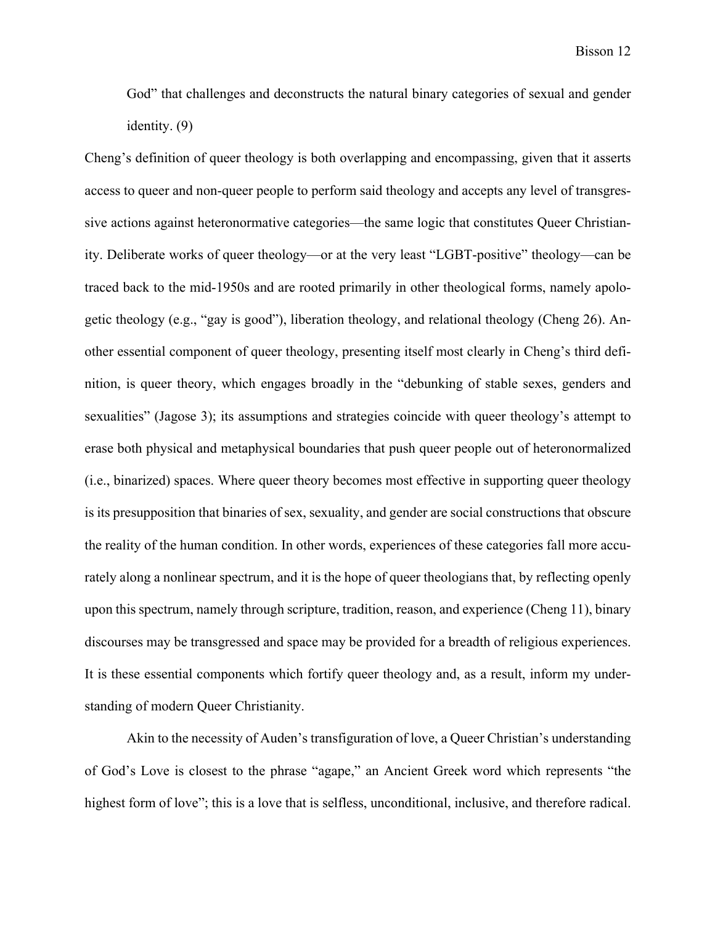God" that challenges and deconstructs the natural binary categories of sexual and gender identity. (9)

Cheng's definition of queer theology is both overlapping and encompassing, given that it asserts access to queer and non-queer people to perform said theology and accepts any level of transgressive actions against heteronormative categories—the same logic that constitutes Queer Christianity. Deliberate works of queer theology—or at the very least "LGBT-positive" theology—can be traced back to the mid-1950s and are rooted primarily in other theological forms, namely apologetic theology (e.g., "gay is good"), liberation theology, and relational theology (Cheng 26). Another essential component of queer theology, presenting itself most clearly in Cheng's third definition, is queer theory, which engages broadly in the "debunking of stable sexes, genders and sexualities" (Jagose 3); its assumptions and strategies coincide with queer theology's attempt to erase both physical and metaphysical boundaries that push queer people out of heteronormalized (i.e., binarized) spaces. Where queer theory becomes most effective in supporting queer theology is its presupposition that binaries of sex, sexuality, and gender are social constructions that obscure the reality of the human condition. In other words, experiences of these categories fall more accurately along a nonlinear spectrum, and it is the hope of queer theologians that, by reflecting openly upon this spectrum, namely through scripture, tradition, reason, and experience (Cheng 11), binary discourses may be transgressed and space may be provided for a breadth of religious experiences. It is these essential components which fortify queer theology and, as a result, inform my understanding of modern Queer Christianity.

Akin to the necessity of Auden's transfiguration of love, a Queer Christian's understanding of God's Love is closest to the phrase "agape," an Ancient Greek word which represents "the highest form of love"; this is a love that is selfless, unconditional, inclusive, and therefore radical.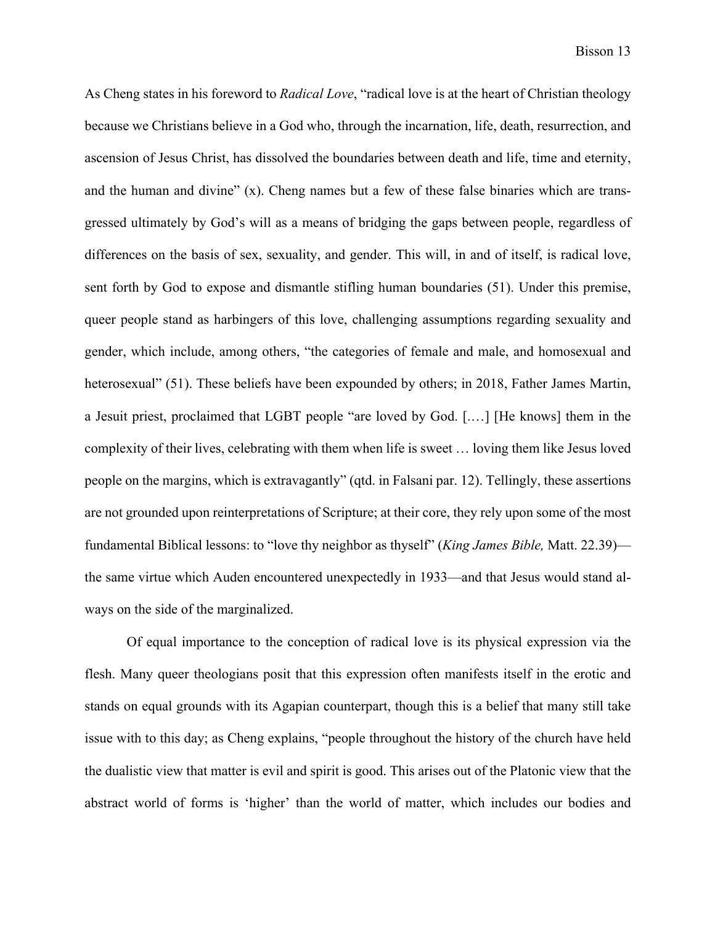As Cheng states in his foreword to *Radical Love*, "radical love is at the heart of Christian theology because we Christians believe in a God who, through the incarnation, life, death, resurrection, and ascension of Jesus Christ, has dissolved the boundaries between death and life, time and eternity, and the human and divine"  $(x)$ . Cheng names but a few of these false binaries which are transgressed ultimately by God's will as a means of bridging the gaps between people, regardless of differences on the basis of sex, sexuality, and gender. This will, in and of itself, is radical love, sent forth by God to expose and dismantle stifling human boundaries (51). Under this premise, queer people stand as harbingers of this love, challenging assumptions regarding sexuality and gender, which include, among others, "the categories of female and male, and homosexual and heterosexual" (51). These beliefs have been expounded by others; in 2018, Father James Martin, a Jesuit priest, proclaimed that LGBT people "are loved by God. [.…] [He knows] them in the complexity of their lives, celebrating with them when life is sweet … loving them like Jesus loved people on the margins, which is extravagantly" (qtd. in Falsani par. 12). Tellingly, these assertions are not grounded upon reinterpretations of Scripture; at their core, they rely upon some of the most fundamental Biblical lessons: to "love thy neighbor as thyself" (*King James Bible,* Matt. 22.39) the same virtue which Auden encountered unexpectedly in 1933—and that Jesus would stand always on the side of the marginalized.

Of equal importance to the conception of radical love is its physical expression via the flesh. Many queer theologians posit that this expression often manifests itself in the erotic and stands on equal grounds with its Agapian counterpart, though this is a belief that many still take issue with to this day; as Cheng explains, "people throughout the history of the church have held the dualistic view that matter is evil and spirit is good. This arises out of the Platonic view that the abstract world of forms is 'higher' than the world of matter, which includes our bodies and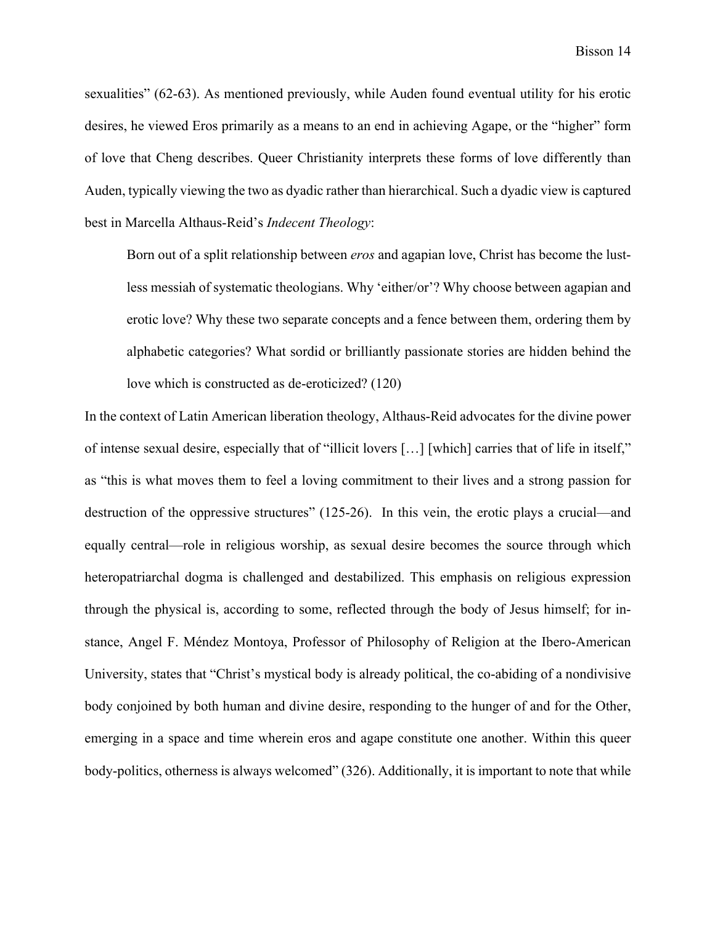sexualities" (62-63). As mentioned previously, while Auden found eventual utility for his erotic desires, he viewed Eros primarily as a means to an end in achieving Agape, or the "higher" form of love that Cheng describes. Queer Christianity interprets these forms of love differently than Auden, typically viewing the two as dyadic rather than hierarchical. Such a dyadic view is captured best in Marcella Althaus-Reid's *Indecent Theology*:

Born out of a split relationship between *eros* and agapian love, Christ has become the lustless messiah of systematic theologians. Why 'either/or'? Why choose between agapian and erotic love? Why these two separate concepts and a fence between them, ordering them by alphabetic categories? What sordid or brilliantly passionate stories are hidden behind the love which is constructed as de-eroticized? (120)

In the context of Latin American liberation theology, Althaus-Reid advocates for the divine power of intense sexual desire, especially that of "illicit lovers […] [which] carries that of life in itself," as "this is what moves them to feel a loving commitment to their lives and a strong passion for destruction of the oppressive structures" (125-26). In this vein, the erotic plays a crucial—and equally central—role in religious worship, as sexual desire becomes the source through which heteropatriarchal dogma is challenged and destabilized. This emphasis on religious expression through the physical is, according to some, reflected through the body of Jesus himself; for instance, Angel F. Méndez Montoya, Professor of Philosophy of Religion at the Ibero-American University, states that "Christ's mystical body is already political, the co-abiding of a nondivisive body conjoined by both human and divine desire, responding to the hunger of and for the Other, emerging in a space and time wherein eros and agape constitute one another. Within this queer body-politics, otherness is always welcomed" (326). Additionally, it is important to note that while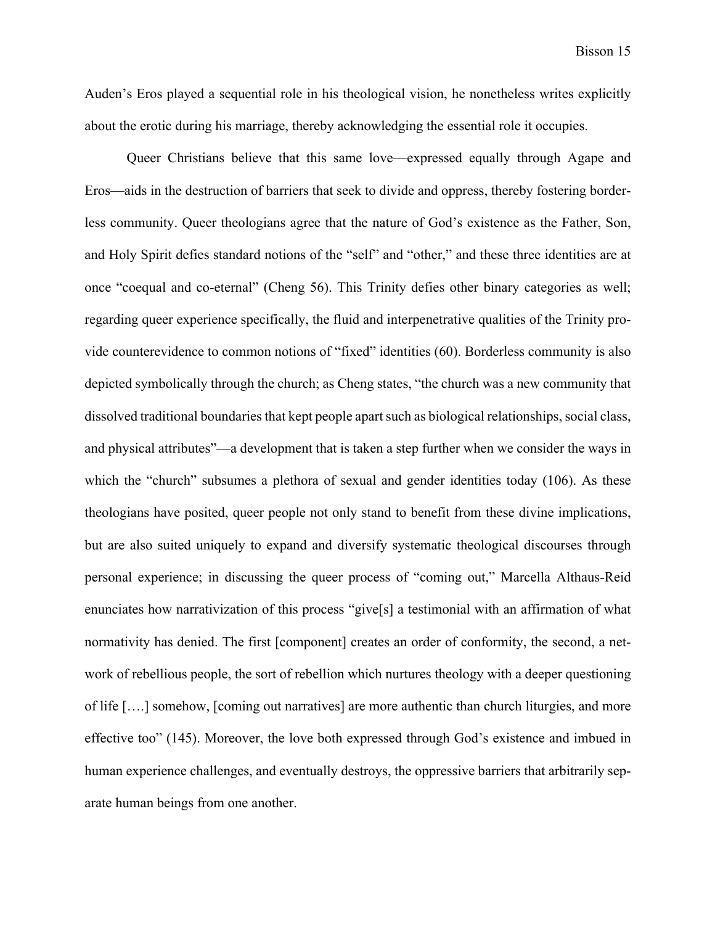Auden's Eros played a sequential role in his theological vision, he nonetheless writes explicitly about the erotic during his marriage, thereby acknowledging the essential role it occupies.

Queer Christians believe that this same love—expressed equally through Agape and Eros—aids in the destruction of barriers that seek to divide and oppress, thereby fostering borderless community. Queer theologians agree that the nature of God's existence as the Father, Son, and Holy Spirit defies standard notions of the "self" and "other," and these three identities are at once "coequal and co-eternal" (Cheng 56). This Trinity defies other binary categories as well; regarding queer experience specifically, the fluid and interpenetrative qualities of the Trinity provide counterevidence to common notions of "fixed" identities (60). Borderless community is also depicted symbolically through the church; as Cheng states, "the church was a new community that dissolved traditional boundaries that kept people apart such as biological relationships, social class, and physical attributes"—a development that is taken a step further when we consider the ways in which the "church" subsumes a plethora of sexual and gender identities today (106). As these theologians have posited, queer people not only stand to benefit from these divine implications, but are also suited uniquely to expand and diversify systematic theological discourses through personal experience; in discussing the queer process of "coming out," Marcella Althaus-Reid enunciates how narrativization of this process "give[s] a testimonial with an affirmation of what normativity has denied. The first [component] creates an order of conformity, the second, a network of rebellious people, the sort of rebellion which nurtures theology with a deeper questioning of life [….] somehow, [coming out narratives] are more authentic than church liturgies, and more effective too" (145). Moreover, the love both expressed through God's existence and imbued in human experience challenges, and eventually destroys, the oppressive barriers that arbitrarily separate human beings from one another.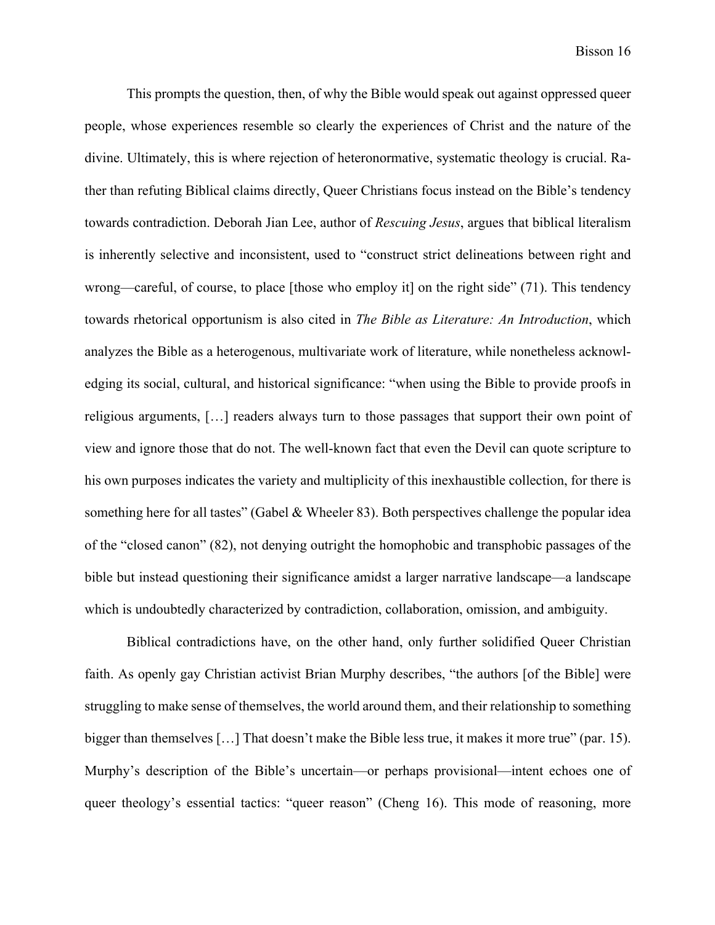This prompts the question, then, of why the Bible would speak out against oppressed queer people, whose experiences resemble so clearly the experiences of Christ and the nature of the divine. Ultimately, this is where rejection of heteronormative, systematic theology is crucial. Rather than refuting Biblical claims directly, Queer Christians focus instead on the Bible's tendency towards contradiction. Deborah Jian Lee, author of *Rescuing Jesus*, argues that biblical literalism is inherently selective and inconsistent, used to "construct strict delineations between right and wrong—careful, of course, to place [those who employ it] on the right side" (71). This tendency towards rhetorical opportunism is also cited in *The Bible as Literature: An Introduction*, which analyzes the Bible as a heterogenous, multivariate work of literature, while nonetheless acknowledging its social, cultural, and historical significance: "when using the Bible to provide proofs in religious arguments, […] readers always turn to those passages that support their own point of view and ignore those that do not. The well-known fact that even the Devil can quote scripture to his own purposes indicates the variety and multiplicity of this inexhaustible collection, for there is something here for all tastes" (Gabel & Wheeler 83). Both perspectives challenge the popular idea of the "closed canon" (82), not denying outright the homophobic and transphobic passages of the bible but instead questioning their significance amidst a larger narrative landscape—a landscape which is undoubtedly characterized by contradiction, collaboration, omission, and ambiguity.

Biblical contradictions have, on the other hand, only further solidified Queer Christian faith. As openly gay Christian activist Brian Murphy describes, "the authors [of the Bible] were struggling to make sense of themselves, the world around them, and their relationship to something bigger than themselves [...] That doesn't make the Bible less true, it makes it more true" (par. 15). Murphy's description of the Bible's uncertain—or perhaps provisional—intent echoes one of queer theology's essential tactics: "queer reason" (Cheng 16). This mode of reasoning, more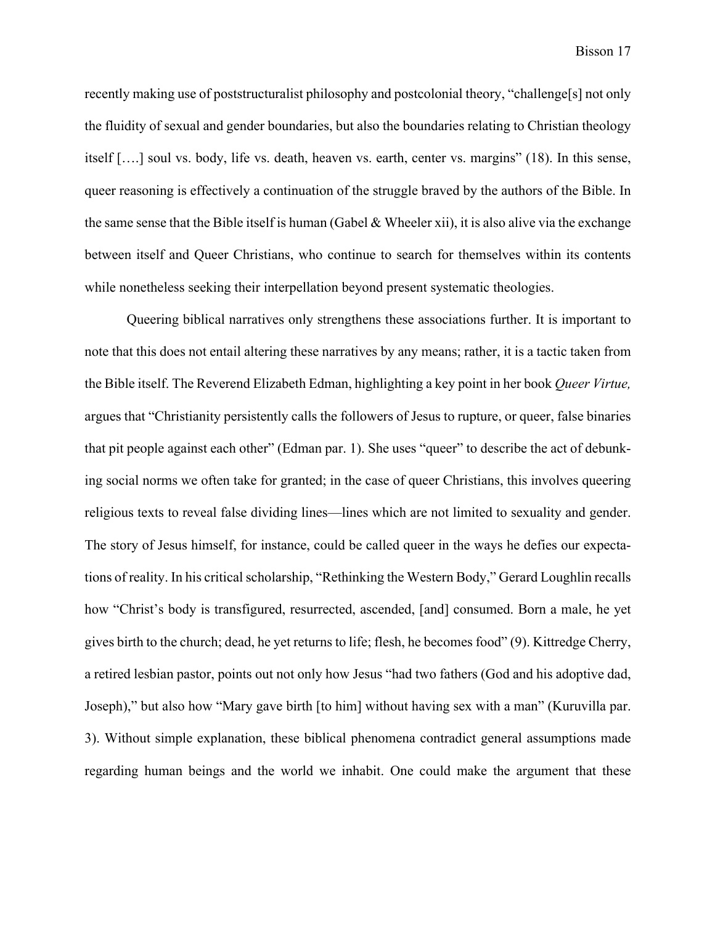recently making use of poststructuralist philosophy and postcolonial theory, "challenge[s] not only the fluidity of sexual and gender boundaries, but also the boundaries relating to Christian theology itself [….] soul vs. body, life vs. death, heaven vs. earth, center vs. margins" (18). In this sense, queer reasoning is effectively a continuation of the struggle braved by the authors of the Bible. In the same sense that the Bible itself is human (Gabel & Wheeler xii), it is also alive via the exchange between itself and Queer Christians, who continue to search for themselves within its contents while nonetheless seeking their interpellation beyond present systematic theologies.

Queering biblical narratives only strengthens these associations further. It is important to note that this does not entail altering these narratives by any means; rather, it is a tactic taken from the Bible itself. The Reverend Elizabeth Edman, highlighting a key point in her book *Queer Virtue,* argues that "Christianity persistently calls the followers of Jesus to rupture, or queer, false binaries that pit people against each other" (Edman par. 1). She uses "queer" to describe the act of debunking social norms we often take for granted; in the case of queer Christians, this involves queering religious texts to reveal false dividing lines—lines which are not limited to sexuality and gender. The story of Jesus himself, for instance, could be called queer in the ways he defies our expectations of reality. In his critical scholarship, "Rethinking the Western Body," Gerard Loughlin recalls how "Christ's body is transfigured, resurrected, ascended, [and] consumed. Born a male, he yet gives birth to the church; dead, he yet returns to life; flesh, he becomes food" (9). Kittredge Cherry, a retired lesbian pastor, points out not only how Jesus "had two fathers (God and his adoptive dad, Joseph)," but also how "Mary gave birth [to him] without having sex with a man" (Kuruvilla par. 3). Without simple explanation, these biblical phenomena contradict general assumptions made regarding human beings and the world we inhabit. One could make the argument that these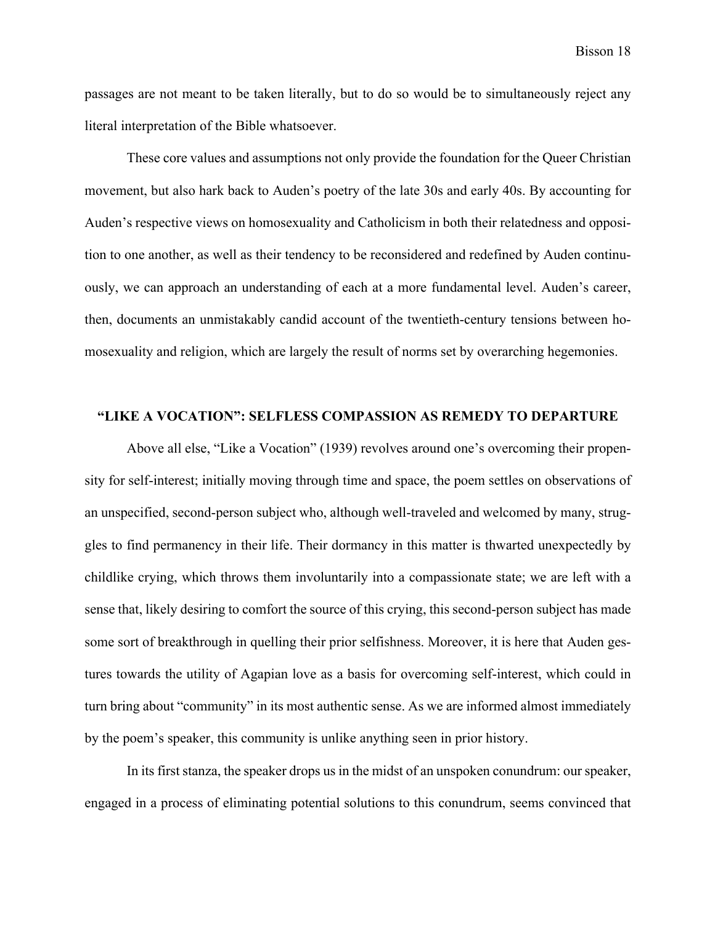passages are not meant to be taken literally, but to do so would be to simultaneously reject any literal interpretation of the Bible whatsoever.

These core values and assumptions not only provide the foundation for the Queer Christian movement, but also hark back to Auden's poetry of the late 30s and early 40s. By accounting for Auden's respective views on homosexuality and Catholicism in both their relatedness and opposition to one another, as well as their tendency to be reconsidered and redefined by Auden continuously, we can approach an understanding of each at a more fundamental level. Auden's career, then, documents an unmistakably candid account of the twentieth-century tensions between homosexuality and religion, which are largely the result of norms set by overarching hegemonies.

## **"LIKE A VOCATION": SELFLESS COMPASSION AS REMEDY TO DEPARTURE**

Above all else, "Like a Vocation" (1939) revolves around one's overcoming their propensity for self-interest; initially moving through time and space, the poem settles on observations of an unspecified, second-person subject who, although well-traveled and welcomed by many, struggles to find permanency in their life. Their dormancy in this matter is thwarted unexpectedly by childlike crying, which throws them involuntarily into a compassionate state; we are left with a sense that, likely desiring to comfort the source of this crying, this second-person subject has made some sort of breakthrough in quelling their prior selfishness. Moreover, it is here that Auden gestures towards the utility of Agapian love as a basis for overcoming self-interest, which could in turn bring about "community" in its most authentic sense. As we are informed almost immediately by the poem's speaker, this community is unlike anything seen in prior history.

In its first stanza, the speaker drops us in the midst of an unspoken conundrum: our speaker, engaged in a process of eliminating potential solutions to this conundrum, seems convinced that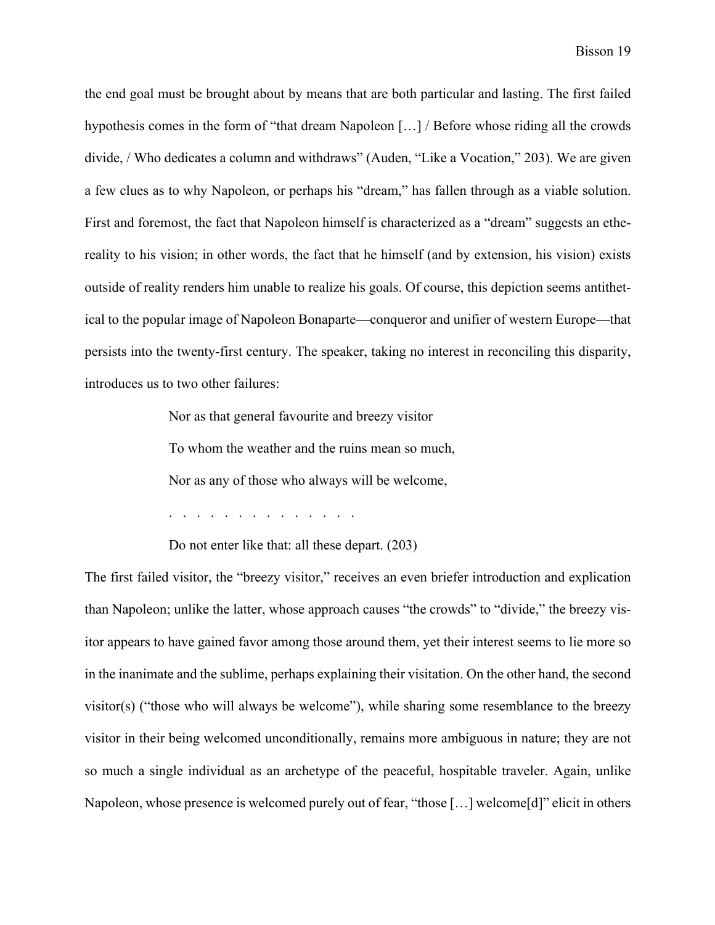the end goal must be brought about by means that are both particular and lasting. The first failed hypothesis comes in the form of "that dream Napoleon […] / Before whose riding all the crowds divide, / Who dedicates a column and withdraws" (Auden, "Like a Vocation," 203). We are given a few clues as to why Napoleon, or perhaps his "dream," has fallen through as a viable solution. First and foremost, the fact that Napoleon himself is characterized as a "dream" suggests an ethereality to his vision; in other words, the fact that he himself (and by extension, his vision) exists outside of reality renders him unable to realize his goals. Of course, this depiction seems antithetical to the popular image of Napoleon Bonaparte—conqueror and unifier of western Europe—that persists into the twenty-first century. The speaker, taking no interest in reconciling this disparity, introduces us to two other failures:

Nor as that general favourite and breezy visitor

To whom the weather and the ruins mean so much,

Nor as any of those who always will be welcome,

. . . . . . . . . . . . . .

Do not enter like that: all these depart. (203)

The first failed visitor, the "breezy visitor," receives an even briefer introduction and explication than Napoleon; unlike the latter, whose approach causes "the crowds" to "divide," the breezy visitor appears to have gained favor among those around them, yet their interest seems to lie more so in the inanimate and the sublime, perhaps explaining their visitation. On the other hand, the second visitor(s) ("those who will always be welcome"), while sharing some resemblance to the breezy visitor in their being welcomed unconditionally, remains more ambiguous in nature; they are not so much a single individual as an archetype of the peaceful, hospitable traveler. Again, unlike Napoleon, whose presence is welcomed purely out of fear, "those […] welcome[d]" elicit in others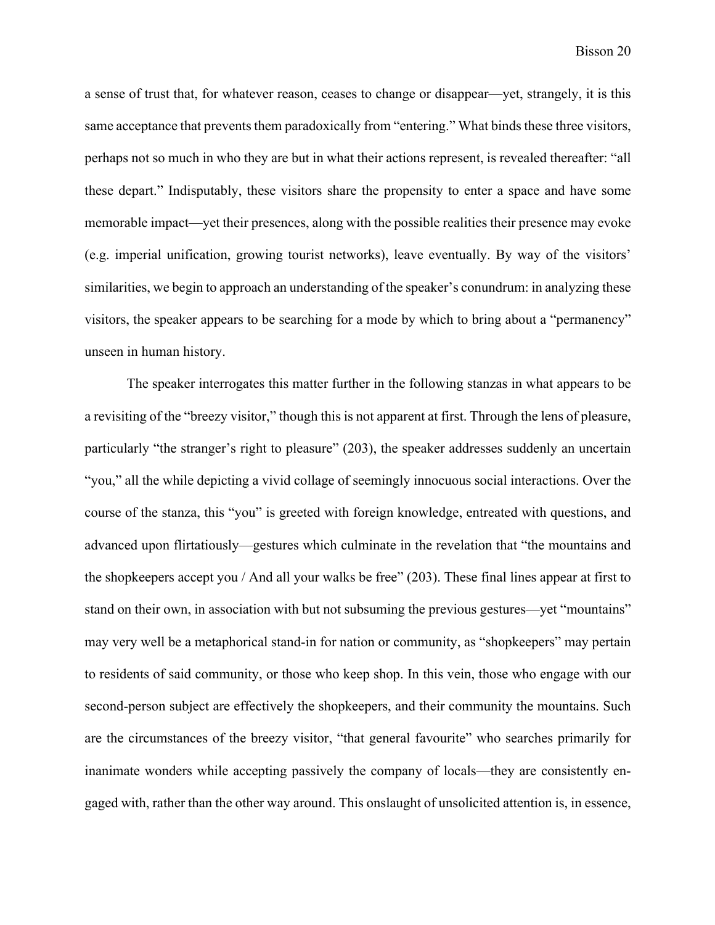a sense of trust that, for whatever reason, ceases to change or disappear—yet, strangely, it is this same acceptance that prevents them paradoxically from "entering." What binds these three visitors, perhaps not so much in who they are but in what their actions represent, is revealed thereafter: "all these depart." Indisputably, these visitors share the propensity to enter a space and have some memorable impact—yet their presences, along with the possible realities their presence may evoke (e.g. imperial unification, growing tourist networks), leave eventually. By way of the visitors' similarities, we begin to approach an understanding of the speaker's conundrum: in analyzing these visitors, the speaker appears to be searching for a mode by which to bring about a "permanency" unseen in human history.

The speaker interrogates this matter further in the following stanzas in what appears to be a revisiting of the "breezy visitor," though this is not apparent at first. Through the lens of pleasure, particularly "the stranger's right to pleasure" (203), the speaker addresses suddenly an uncertain "you," all the while depicting a vivid collage of seemingly innocuous social interactions. Over the course of the stanza, this "you" is greeted with foreign knowledge, entreated with questions, and advanced upon flirtatiously—gestures which culminate in the revelation that "the mountains and the shopkeepers accept you / And all your walks be free" (203). These final lines appear at first to stand on their own, in association with but not subsuming the previous gestures—yet "mountains" may very well be a metaphorical stand-in for nation or community, as "shopkeepers" may pertain to residents of said community, or those who keep shop. In this vein, those who engage with our second-person subject are effectively the shopkeepers, and their community the mountains. Such are the circumstances of the breezy visitor, "that general favourite" who searches primarily for inanimate wonders while accepting passively the company of locals—they are consistently engaged with, rather than the other way around. This onslaught of unsolicited attention is, in essence,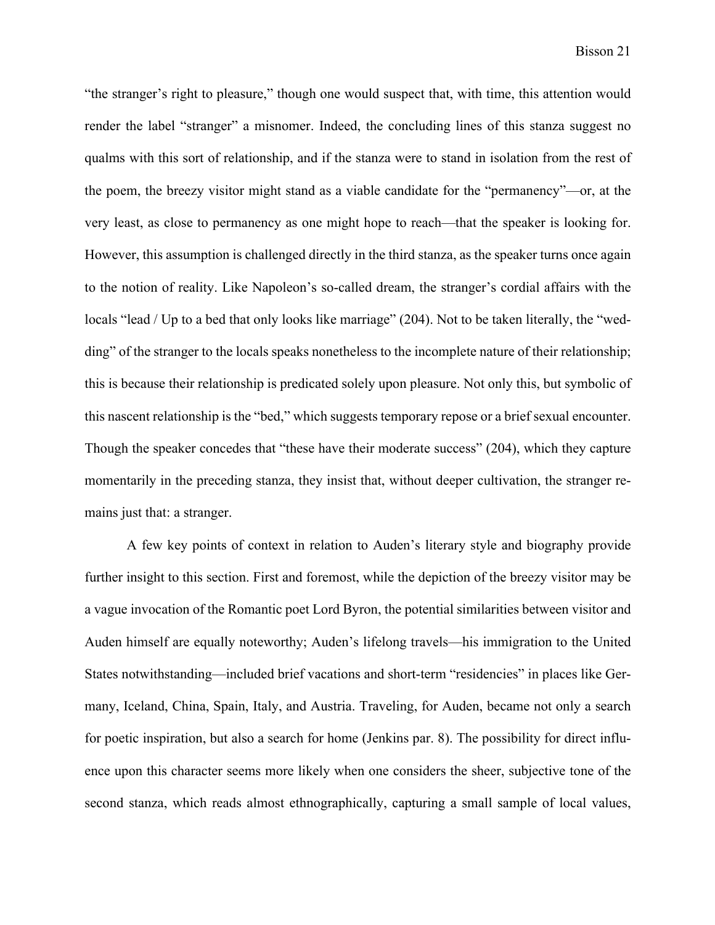"the stranger's right to pleasure," though one would suspect that, with time, this attention would render the label "stranger" a misnomer. Indeed, the concluding lines of this stanza suggest no qualms with this sort of relationship, and if the stanza were to stand in isolation from the rest of the poem, the breezy visitor might stand as a viable candidate for the "permanency"—or, at the very least, as close to permanency as one might hope to reach—that the speaker is looking for. However, this assumption is challenged directly in the third stanza, as the speaker turns once again to the notion of reality. Like Napoleon's so-called dream, the stranger's cordial affairs with the locals "lead / Up to a bed that only looks like marriage" (204). Not to be taken literally, the "wedding" of the stranger to the locals speaks nonetheless to the incomplete nature of their relationship; this is because their relationship is predicated solely upon pleasure. Not only this, but symbolic of this nascent relationship is the "bed," which suggests temporary repose or a brief sexual encounter. Though the speaker concedes that "these have their moderate success" (204), which they capture momentarily in the preceding stanza, they insist that, without deeper cultivation, the stranger remains just that: a stranger.

A few key points of context in relation to Auden's literary style and biography provide further insight to this section. First and foremost, while the depiction of the breezy visitor may be a vague invocation of the Romantic poet Lord Byron, the potential similarities between visitor and Auden himself are equally noteworthy; Auden's lifelong travels—his immigration to the United States notwithstanding—included brief vacations and short-term "residencies" in places like Germany, Iceland, China, Spain, Italy, and Austria. Traveling, for Auden, became not only a search for poetic inspiration, but also a search for home (Jenkins par. 8). The possibility for direct influence upon this character seems more likely when one considers the sheer, subjective tone of the second stanza, which reads almost ethnographically, capturing a small sample of local values,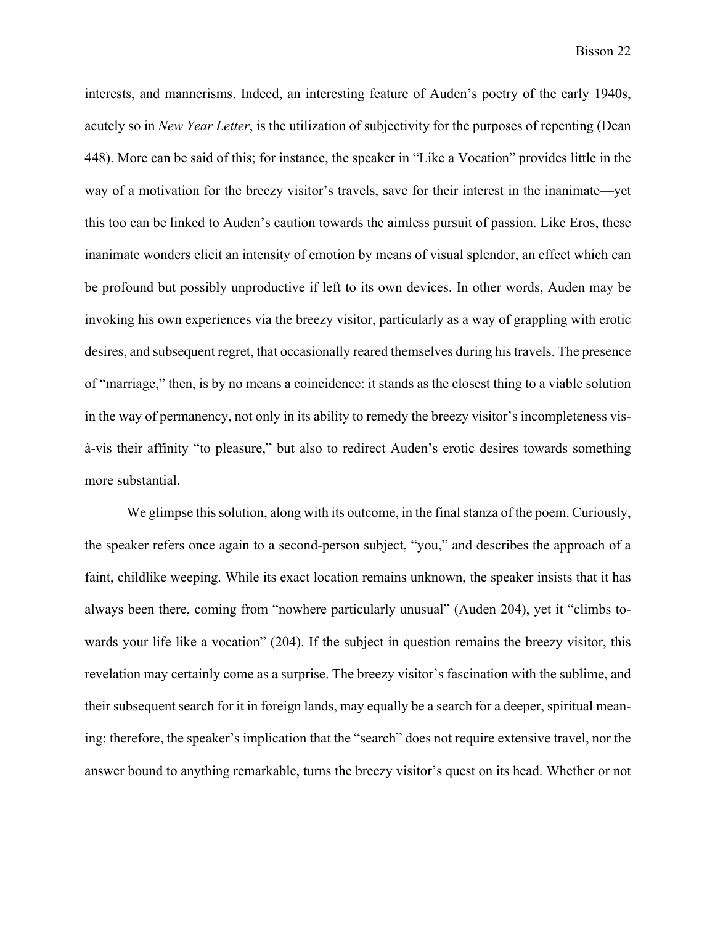interests, and mannerisms. Indeed, an interesting feature of Auden's poetry of the early 1940s, acutely so in *New Year Letter*, is the utilization of subjectivity for the purposes of repenting (Dean 448). More can be said of this; for instance, the speaker in "Like a Vocation" provides little in the way of a motivation for the breezy visitor's travels, save for their interest in the inanimate—yet this too can be linked to Auden's caution towards the aimless pursuit of passion. Like Eros, these inanimate wonders elicit an intensity of emotion by means of visual splendor, an effect which can be profound but possibly unproductive if left to its own devices. In other words, Auden may be invoking his own experiences via the breezy visitor, particularly as a way of grappling with erotic desires, and subsequent regret, that occasionally reared themselves during his travels. The presence of "marriage," then, is by no means a coincidence: it stands as the closest thing to a viable solution in the way of permanency, not only in its ability to remedy the breezy visitor's incompleteness visà-vis their affinity "to pleasure," but also to redirect Auden's erotic desires towards something more substantial.

We glimpse this solution, along with its outcome, in the final stanza of the poem. Curiously, the speaker refers once again to a second-person subject, "you," and describes the approach of a faint, childlike weeping. While its exact location remains unknown, the speaker insists that it has always been there, coming from "nowhere particularly unusual" (Auden 204), yet it "climbs towards your life like a vocation" (204). If the subject in question remains the breezy visitor, this revelation may certainly come as a surprise. The breezy visitor's fascination with the sublime, and their subsequent search for it in foreign lands, may equally be a search for a deeper, spiritual meaning; therefore, the speaker's implication that the "search" does not require extensive travel, nor the answer bound to anything remarkable, turns the breezy visitor's quest on its head. Whether or not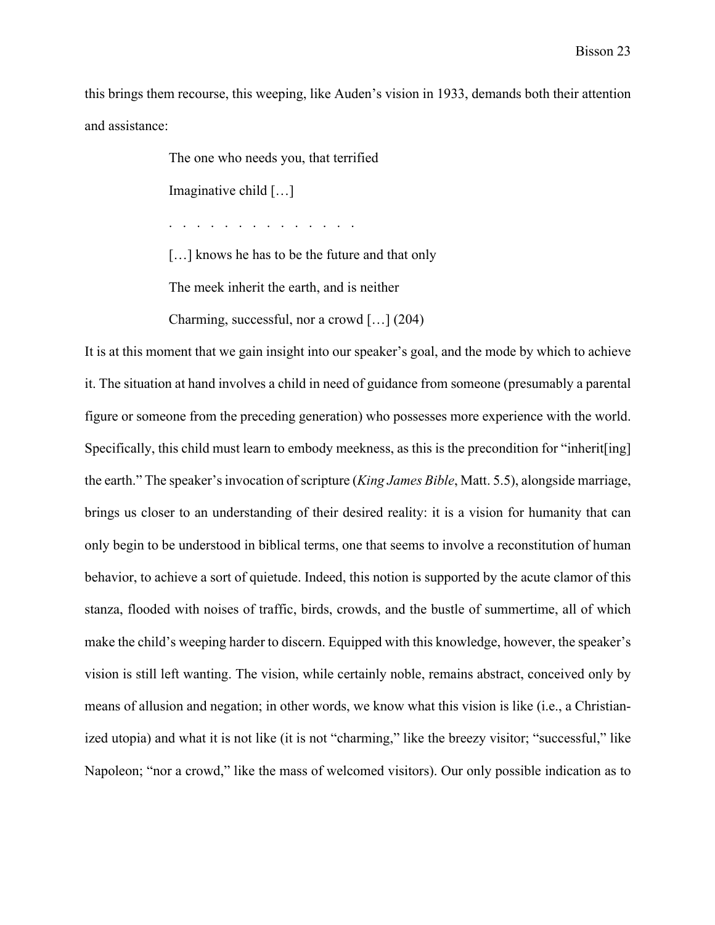this brings them recourse, this weeping, like Auden's vision in 1933, demands both their attention and assistance:

The one who needs you, that terrified

Imaginative child […]

. . . . . . . . . . . . . .

[...] knows he has to be the future and that only

The meek inherit the earth, and is neither

Charming, successful, nor a crowd […] (204)

It is at this moment that we gain insight into our speaker's goal, and the mode by which to achieve it. The situation at hand involves a child in need of guidance from someone (presumably a parental figure or someone from the preceding generation) who possesses more experience with the world. Specifically, this child must learn to embody meekness, as this is the precondition for "inherit[ing] the earth." The speaker's invocation of scripture (*King James Bible*, Matt. 5.5), alongside marriage, brings us closer to an understanding of their desired reality: it is a vision for humanity that can only begin to be understood in biblical terms, one that seems to involve a reconstitution of human behavior, to achieve a sort of quietude. Indeed, this notion is supported by the acute clamor of this stanza, flooded with noises of traffic, birds, crowds, and the bustle of summertime, all of which make the child's weeping harder to discern. Equipped with this knowledge, however, the speaker's vision is still left wanting. The vision, while certainly noble, remains abstract, conceived only by means of allusion and negation; in other words, we know what this vision is like (i.e., a Christianized utopia) and what it is not like (it is not "charming," like the breezy visitor; "successful," like Napoleon; "nor a crowd," like the mass of welcomed visitors). Our only possible indication as to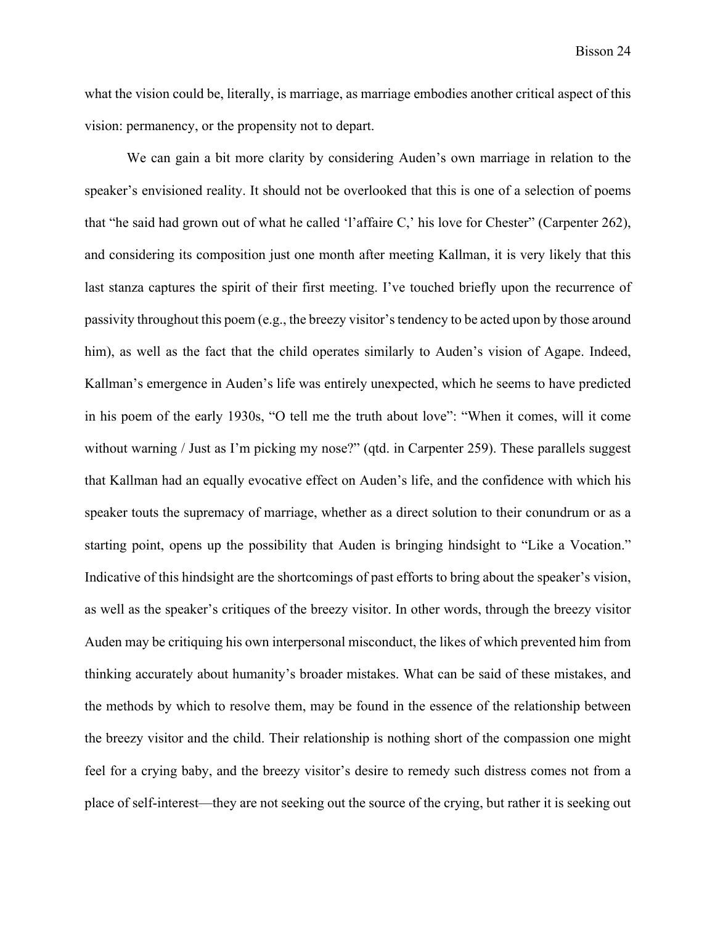what the vision could be, literally, is marriage, as marriage embodies another critical aspect of this vision: permanency, or the propensity not to depart.

We can gain a bit more clarity by considering Auden's own marriage in relation to the speaker's envisioned reality. It should not be overlooked that this is one of a selection of poems that "he said had grown out of what he called 'l'affaire C,' his love for Chester" (Carpenter 262), and considering its composition just one month after meeting Kallman, it is very likely that this last stanza captures the spirit of their first meeting. I've touched briefly upon the recurrence of passivity throughout this poem (e.g., the breezy visitor's tendency to be acted upon by those around him), as well as the fact that the child operates similarly to Auden's vision of Agape. Indeed, Kallman's emergence in Auden's life was entirely unexpected, which he seems to have predicted in his poem of the early 1930s, "O tell me the truth about love": "When it comes, will it come without warning / Just as I'm picking my nose?" (qtd. in Carpenter 259). These parallels suggest that Kallman had an equally evocative effect on Auden's life, and the confidence with which his speaker touts the supremacy of marriage, whether as a direct solution to their conundrum or as a starting point, opens up the possibility that Auden is bringing hindsight to "Like a Vocation." Indicative of this hindsight are the shortcomings of past efforts to bring about the speaker's vision, as well as the speaker's critiques of the breezy visitor. In other words, through the breezy visitor Auden may be critiquing his own interpersonal misconduct, the likes of which prevented him from thinking accurately about humanity's broader mistakes. What can be said of these mistakes, and the methods by which to resolve them, may be found in the essence of the relationship between the breezy visitor and the child. Their relationship is nothing short of the compassion one might feel for a crying baby, and the breezy visitor's desire to remedy such distress comes not from a place of self-interest—they are not seeking out the source of the crying, but rather it is seeking out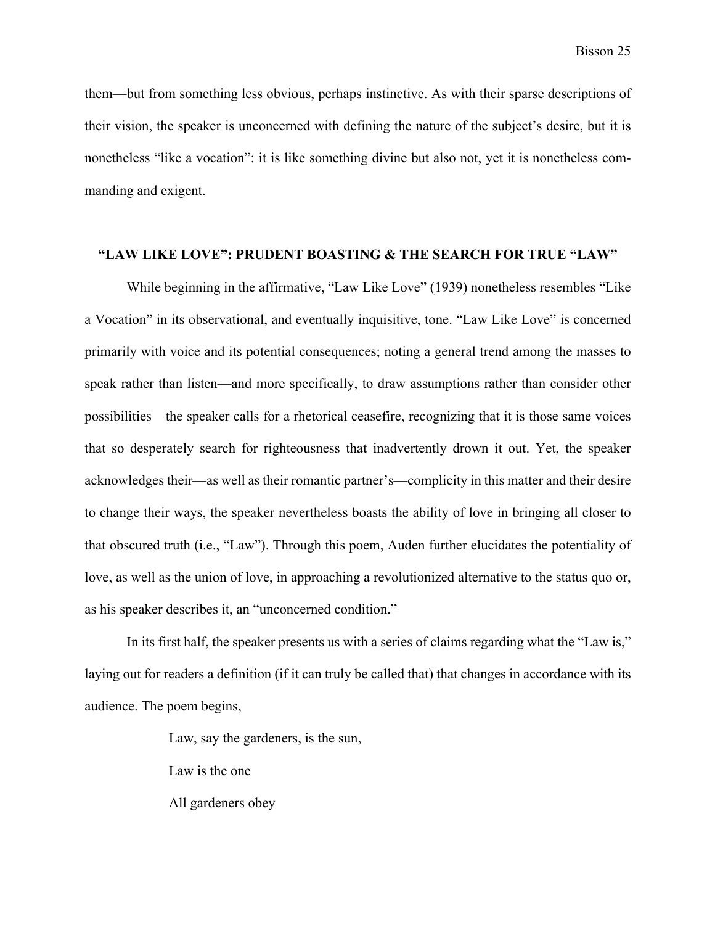them—but from something less obvious, perhaps instinctive. As with their sparse descriptions of their vision, the speaker is unconcerned with defining the nature of the subject's desire, but it is nonetheless "like a vocation": it is like something divine but also not, yet it is nonetheless commanding and exigent.

## **"LAW LIKE LOVE": PRUDENT BOASTING & THE SEARCH FOR TRUE "LAW"**

While beginning in the affirmative, "Law Like Love" (1939) nonetheless resembles "Like a Vocation" in its observational, and eventually inquisitive, tone. "Law Like Love" is concerned primarily with voice and its potential consequences; noting a general trend among the masses to speak rather than listen—and more specifically, to draw assumptions rather than consider other possibilities—the speaker calls for a rhetorical ceasefire, recognizing that it is those same voices that so desperately search for righteousness that inadvertently drown it out. Yet, the speaker acknowledges their—as well as their romantic partner's—complicity in this matter and their desire to change their ways, the speaker nevertheless boasts the ability of love in bringing all closer to that obscured truth (i.e., "Law"). Through this poem, Auden further elucidates the potentiality of love, as well as the union of love, in approaching a revolutionized alternative to the status quo or, as his speaker describes it, an "unconcerned condition."

In its first half, the speaker presents us with a series of claims regarding what the "Law is," laying out for readers a definition (if it can truly be called that) that changes in accordance with its audience. The poem begins,

Law, say the gardeners, is the sun,

Law is the one

All gardeners obey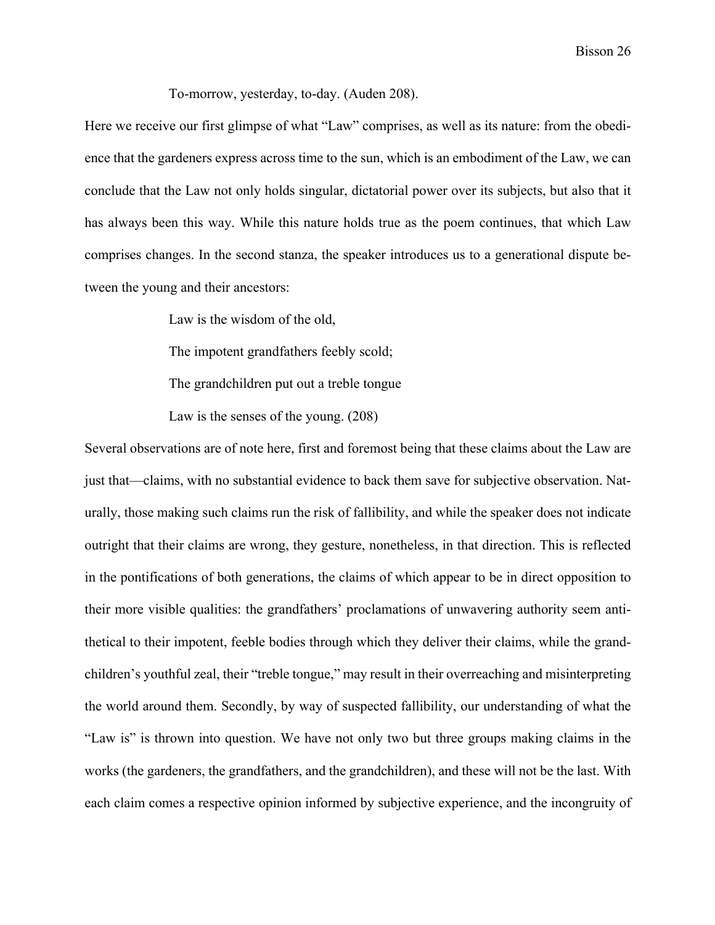To-morrow, yesterday, to-day. (Auden 208).

Here we receive our first glimpse of what "Law" comprises, as well as its nature: from the obedience that the gardeners express across time to the sun, which is an embodiment of the Law, we can conclude that the Law not only holds singular, dictatorial power over its subjects, but also that it has always been this way. While this nature holds true as the poem continues, that which Law comprises changes. In the second stanza, the speaker introduces us to a generational dispute between the young and their ancestors:

Law is the wisdom of the old,

The impotent grandfathers feebly scold;

The grandchildren put out a treble tongue

Law is the senses of the young. (208)

Several observations are of note here, first and foremost being that these claims about the Law are just that—claims, with no substantial evidence to back them save for subjective observation. Naturally, those making such claims run the risk of fallibility, and while the speaker does not indicate outright that their claims are wrong, they gesture, nonetheless, in that direction. This is reflected in the pontifications of both generations, the claims of which appear to be in direct opposition to their more visible qualities: the grandfathers' proclamations of unwavering authority seem antithetical to their impotent, feeble bodies through which they deliver their claims, while the grandchildren's youthful zeal, their "treble tongue," may result in their overreaching and misinterpreting the world around them. Secondly, by way of suspected fallibility, our understanding of what the "Law is" is thrown into question. We have not only two but three groups making claims in the works (the gardeners, the grandfathers, and the grandchildren), and these will not be the last. With each claim comes a respective opinion informed by subjective experience, and the incongruity of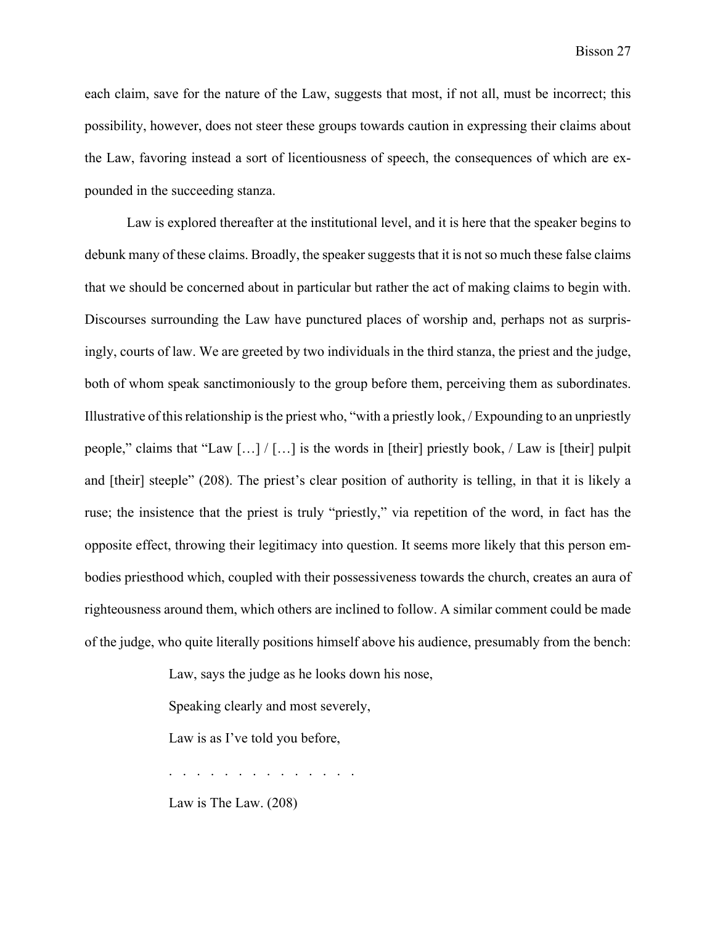each claim, save for the nature of the Law, suggests that most, if not all, must be incorrect; this possibility, however, does not steer these groups towards caution in expressing their claims about the Law, favoring instead a sort of licentiousness of speech, the consequences of which are expounded in the succeeding stanza.

Law is explored thereafter at the institutional level, and it is here that the speaker begins to debunk many of these claims. Broadly, the speaker suggests that it is not so much these false claims that we should be concerned about in particular but rather the act of making claims to begin with. Discourses surrounding the Law have punctured places of worship and, perhaps not as surprisingly, courts of law. We are greeted by two individuals in the third stanza, the priest and the judge, both of whom speak sanctimoniously to the group before them, perceiving them as subordinates. Illustrative of this relationship is the priest who, "with a priestly look, / Expounding to an unpriestly people," claims that "Law […] / […] is the words in [their] priestly book, / Law is [their] pulpit and [their] steeple" (208). The priest's clear position of authority is telling, in that it is likely a ruse; the insistence that the priest is truly "priestly," via repetition of the word, in fact has the opposite effect, throwing their legitimacy into question. It seems more likely that this person embodies priesthood which, coupled with their possessiveness towards the church, creates an aura of righteousness around them, which others are inclined to follow. A similar comment could be made of the judge, who quite literally positions himself above his audience, presumably from the bench:

Law, says the judge as he looks down his nose,

Speaking clearly and most severely,

Law is as I've told you before,

. . . . . . . . . . . . . .

Law is The Law. (208)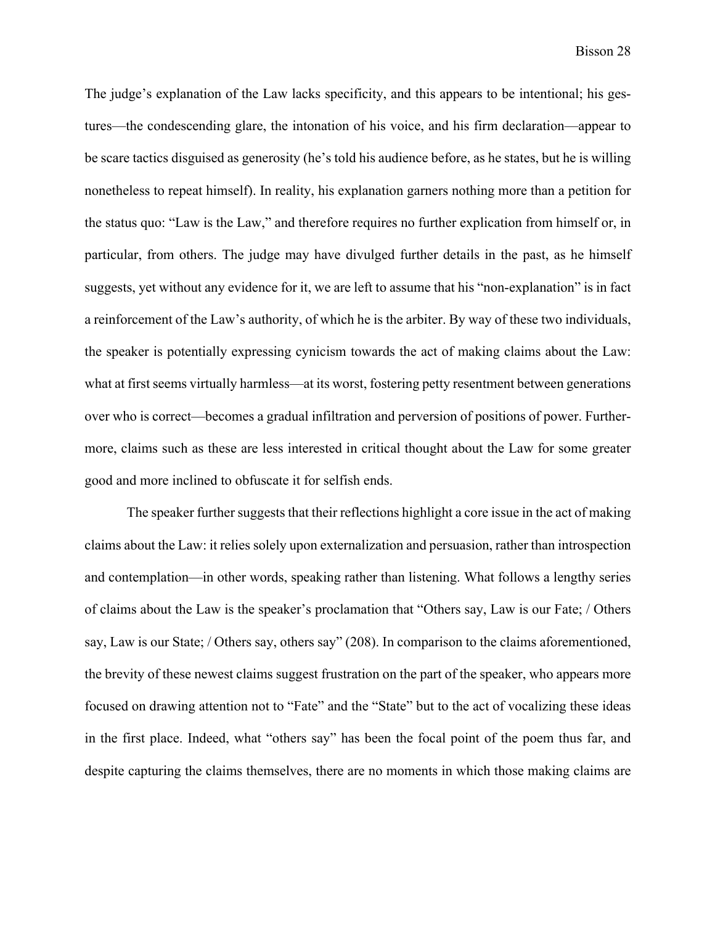The judge's explanation of the Law lacks specificity, and this appears to be intentional; his gestures—the condescending glare, the intonation of his voice, and his firm declaration—appear to be scare tactics disguised as generosity (he's told his audience before, as he states, but he is willing nonetheless to repeat himself). In reality, his explanation garners nothing more than a petition for the status quo: "Law is the Law," and therefore requires no further explication from himself or, in particular, from others. The judge may have divulged further details in the past, as he himself suggests, yet without any evidence for it, we are left to assume that his "non-explanation" is in fact a reinforcement of the Law's authority, of which he is the arbiter. By way of these two individuals, the speaker is potentially expressing cynicism towards the act of making claims about the Law: what at first seems virtually harmless—at its worst, fostering petty resentment between generations over who is correct—becomes a gradual infiltration and perversion of positions of power. Furthermore, claims such as these are less interested in critical thought about the Law for some greater good and more inclined to obfuscate it for selfish ends.

The speaker further suggests that their reflections highlight a core issue in the act of making claims about the Law: it relies solely upon externalization and persuasion, rather than introspection and contemplation—in other words, speaking rather than listening. What follows a lengthy series of claims about the Law is the speaker's proclamation that "Others say, Law is our Fate; / Others say, Law is our State; / Others say, others say" (208). In comparison to the claims aforementioned, the brevity of these newest claims suggest frustration on the part of the speaker, who appears more focused on drawing attention not to "Fate" and the "State" but to the act of vocalizing these ideas in the first place. Indeed, what "others say" has been the focal point of the poem thus far, and despite capturing the claims themselves, there are no moments in which those making claims are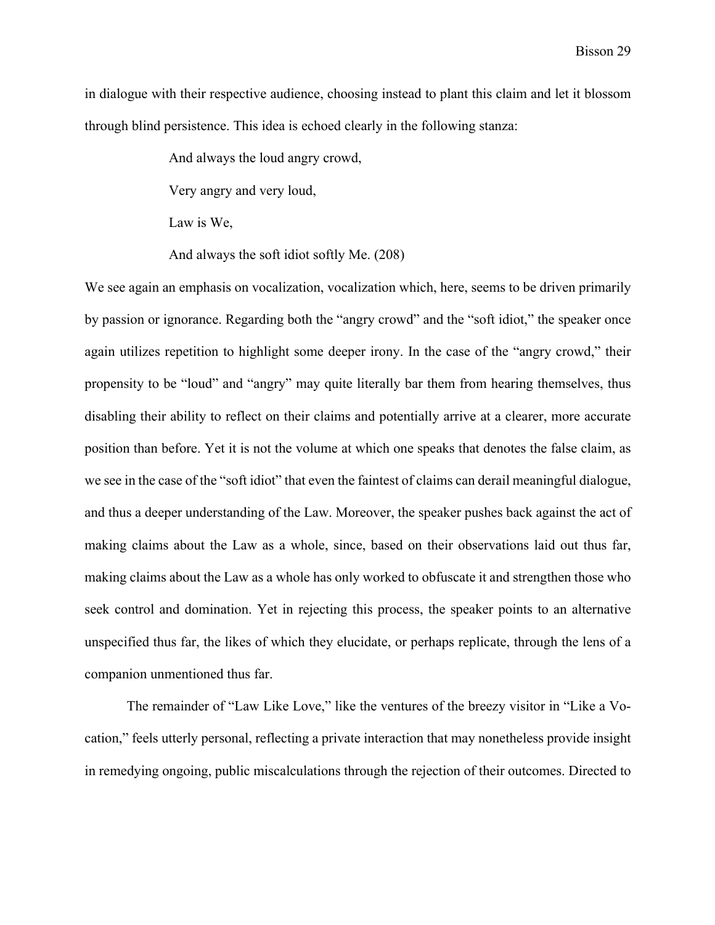in dialogue with their respective audience, choosing instead to plant this claim and let it blossom through blind persistence. This idea is echoed clearly in the following stanza:

And always the loud angry crowd,

Very angry and very loud,

Law is We,

And always the soft idiot softly Me. (208)

We see again an emphasis on vocalization, vocalization which, here, seems to be driven primarily by passion or ignorance. Regarding both the "angry crowd" and the "soft idiot," the speaker once again utilizes repetition to highlight some deeper irony. In the case of the "angry crowd," their propensity to be "loud" and "angry" may quite literally bar them from hearing themselves, thus disabling their ability to reflect on their claims and potentially arrive at a clearer, more accurate position than before. Yet it is not the volume at which one speaks that denotes the false claim, as we see in the case of the "soft idiot" that even the faintest of claims can derail meaningful dialogue, and thus a deeper understanding of the Law. Moreover, the speaker pushes back against the act of making claims about the Law as a whole, since, based on their observations laid out thus far, making claims about the Law as a whole has only worked to obfuscate it and strengthen those who seek control and domination. Yet in rejecting this process, the speaker points to an alternative unspecified thus far, the likes of which they elucidate, or perhaps replicate, through the lens of a companion unmentioned thus far.

The remainder of "Law Like Love," like the ventures of the breezy visitor in "Like a Vocation," feels utterly personal, reflecting a private interaction that may nonetheless provide insight in remedying ongoing, public miscalculations through the rejection of their outcomes. Directed to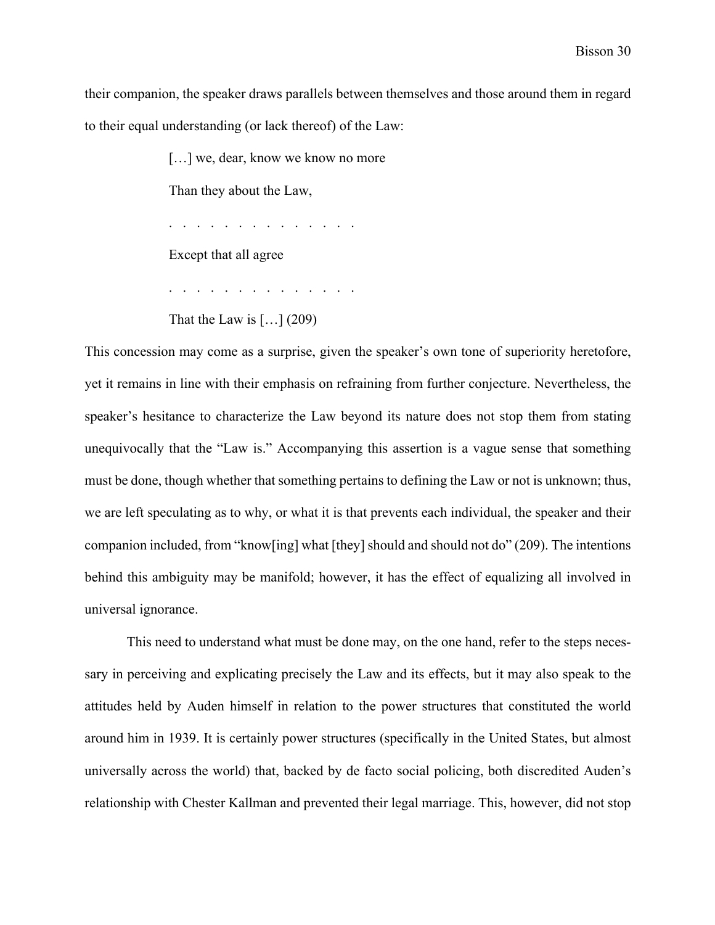their companion, the speaker draws parallels between themselves and those around them in regard to their equal understanding (or lack thereof) of the Law:

[...] we, dear, know we know no more

Than they about the Law,

. . . . . . . . . . . . . .

Except that all agree

. . . . . . . . . . . . . .

That the Law is  $\left[\ldots\right]$  (209)

This concession may come as a surprise, given the speaker's own tone of superiority heretofore, yet it remains in line with their emphasis on refraining from further conjecture. Nevertheless, the speaker's hesitance to characterize the Law beyond its nature does not stop them from stating unequivocally that the "Law is." Accompanying this assertion is a vague sense that something must be done, though whether that something pertains to defining the Law or not is unknown; thus, we are left speculating as to why, or what it is that prevents each individual, the speaker and their companion included, from "know[ing] what [they] should and should not do" (209). The intentions behind this ambiguity may be manifold; however, it has the effect of equalizing all involved in universal ignorance.

This need to understand what must be done may, on the one hand, refer to the steps necessary in perceiving and explicating precisely the Law and its effects, but it may also speak to the attitudes held by Auden himself in relation to the power structures that constituted the world around him in 1939. It is certainly power structures (specifically in the United States, but almost universally across the world) that, backed by de facto social policing, both discredited Auden's relationship with Chester Kallman and prevented their legal marriage. This, however, did not stop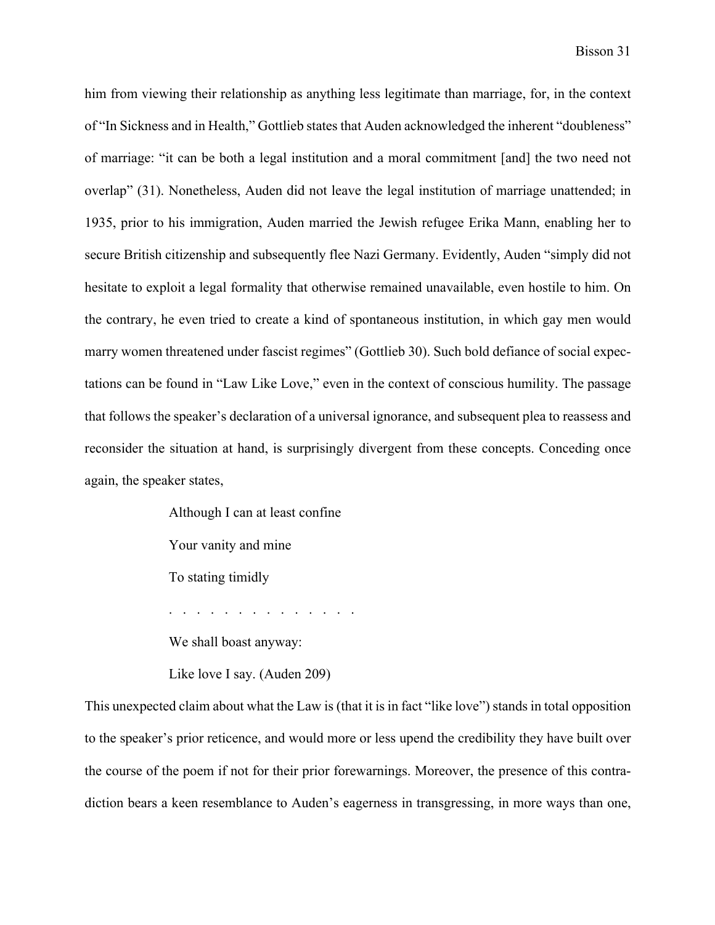him from viewing their relationship as anything less legitimate than marriage, for, in the context of "In Sickness and in Health," Gottlieb states that Auden acknowledged the inherent "doubleness" of marriage: "it can be both a legal institution and a moral commitment [and] the two need not overlap" (31). Nonetheless, Auden did not leave the legal institution of marriage unattended; in 1935, prior to his immigration, Auden married the Jewish refugee Erika Mann, enabling her to secure British citizenship and subsequently flee Nazi Germany. Evidently, Auden "simply did not hesitate to exploit a legal formality that otherwise remained unavailable, even hostile to him. On the contrary, he even tried to create a kind of spontaneous institution, in which gay men would marry women threatened under fascist regimes" (Gottlieb 30). Such bold defiance of social expectations can be found in "Law Like Love," even in the context of conscious humility. The passage that follows the speaker's declaration of a universal ignorance, and subsequent plea to reassess and reconsider the situation at hand, is surprisingly divergent from these concepts. Conceding once again, the speaker states,

Although I can at least confine

Your vanity and mine

To stating timidly

. . . . . . . . . . . . . .

We shall boast anyway:

Like love I say. (Auden 209)

This unexpected claim about what the Law is (that it is in fact "like love") stands in total opposition to the speaker's prior reticence, and would more or less upend the credibility they have built over the course of the poem if not for their prior forewarnings. Moreover, the presence of this contradiction bears a keen resemblance to Auden's eagerness in transgressing, in more ways than one,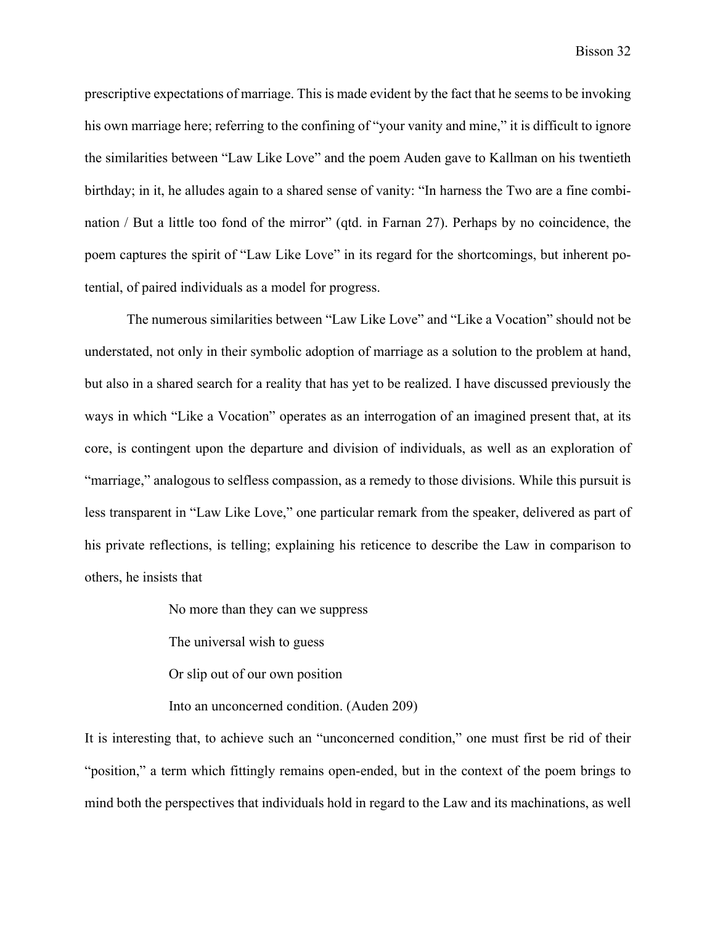prescriptive expectations of marriage. This is made evident by the fact that he seems to be invoking his own marriage here; referring to the confining of "your vanity and mine," it is difficult to ignore the similarities between "Law Like Love" and the poem Auden gave to Kallman on his twentieth birthday; in it, he alludes again to a shared sense of vanity: "In harness the Two are a fine combination / But a little too fond of the mirror" (qtd. in Farnan 27). Perhaps by no coincidence, the poem captures the spirit of "Law Like Love" in its regard for the shortcomings, but inherent potential, of paired individuals as a model for progress.

The numerous similarities between "Law Like Love" and "Like a Vocation" should not be understated, not only in their symbolic adoption of marriage as a solution to the problem at hand, but also in a shared search for a reality that has yet to be realized. I have discussed previously the ways in which "Like a Vocation" operates as an interrogation of an imagined present that, at its core, is contingent upon the departure and division of individuals, as well as an exploration of "marriage," analogous to selfless compassion, as a remedy to those divisions. While this pursuit is less transparent in "Law Like Love," one particular remark from the speaker, delivered as part of his private reflections, is telling; explaining his reticence to describe the Law in comparison to others, he insists that

No more than they can we suppress

The universal wish to guess

Or slip out of our own position

Into an unconcerned condition. (Auden 209)

It is interesting that, to achieve such an "unconcerned condition," one must first be rid of their "position," a term which fittingly remains open-ended, but in the context of the poem brings to mind both the perspectives that individuals hold in regard to the Law and its machinations, as well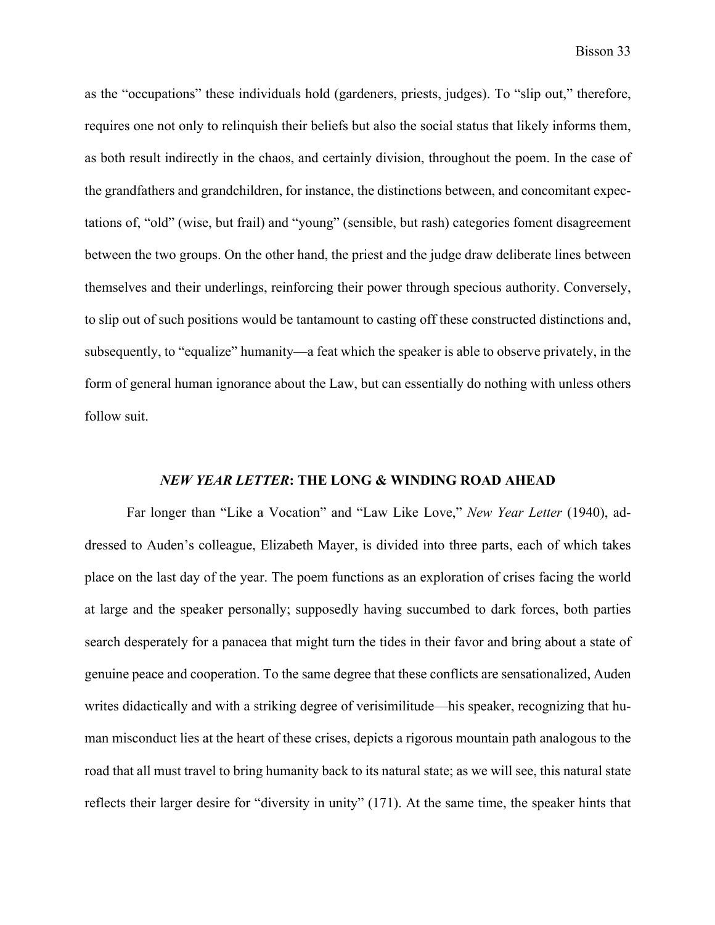as the "occupations" these individuals hold (gardeners, priests, judges). To "slip out," therefore, requires one not only to relinquish their beliefs but also the social status that likely informs them, as both result indirectly in the chaos, and certainly division, throughout the poem. In the case of the grandfathers and grandchildren, for instance, the distinctions between, and concomitant expectations of, "old" (wise, but frail) and "young" (sensible, but rash) categories foment disagreement between the two groups. On the other hand, the priest and the judge draw deliberate lines between themselves and their underlings, reinforcing their power through specious authority. Conversely, to slip out of such positions would be tantamount to casting off these constructed distinctions and, subsequently, to "equalize" humanity—a feat which the speaker is able to observe privately, in the form of general human ignorance about the Law, but can essentially do nothing with unless others follow suit.

## *NEW YEAR LETTER***: THE LONG & WINDING ROAD AHEAD**

Far longer than "Like a Vocation" and "Law Like Love," *New Year Letter* (1940), addressed to Auden's colleague, Elizabeth Mayer, is divided into three parts, each of which takes place on the last day of the year. The poem functions as an exploration of crises facing the world at large and the speaker personally; supposedly having succumbed to dark forces, both parties search desperately for a panacea that might turn the tides in their favor and bring about a state of genuine peace and cooperation. To the same degree that these conflicts are sensationalized, Auden writes didactically and with a striking degree of verisimilitude—his speaker, recognizing that human misconduct lies at the heart of these crises, depicts a rigorous mountain path analogous to the road that all must travel to bring humanity back to its natural state; as we will see, this natural state reflects their larger desire for "diversity in unity" (171). At the same time, the speaker hints that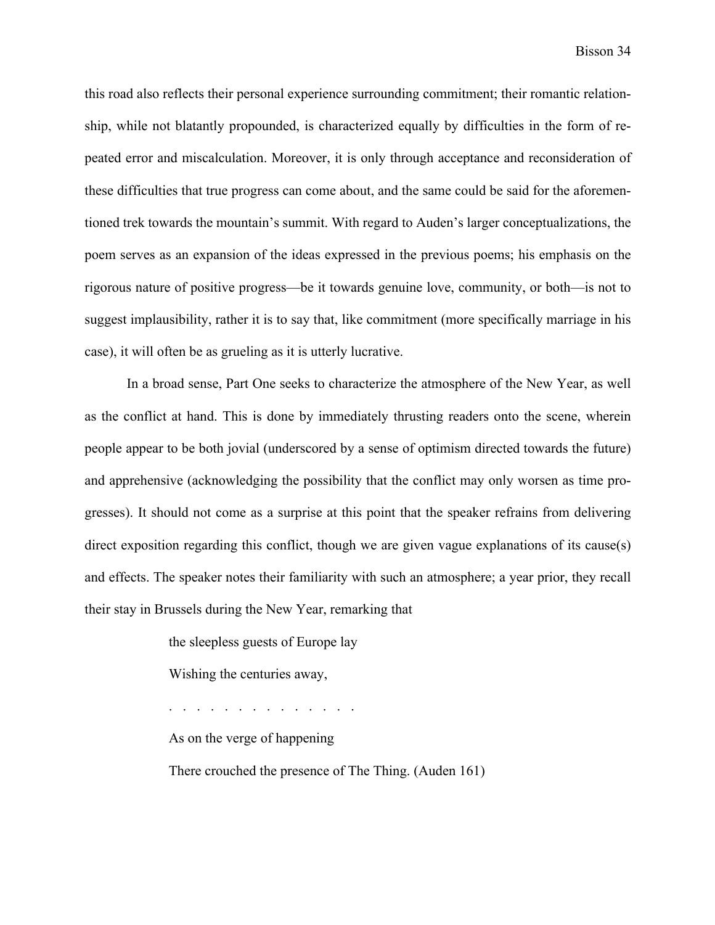this road also reflects their personal experience surrounding commitment; their romantic relationship, while not blatantly propounded, is characterized equally by difficulties in the form of repeated error and miscalculation. Moreover, it is only through acceptance and reconsideration of these difficulties that true progress can come about, and the same could be said for the aforementioned trek towards the mountain's summit. With regard to Auden's larger conceptualizations, the poem serves as an expansion of the ideas expressed in the previous poems; his emphasis on the rigorous nature of positive progress—be it towards genuine love, community, or both—is not to suggest implausibility, rather it is to say that, like commitment (more specifically marriage in his case), it will often be as grueling as it is utterly lucrative.

In a broad sense, Part One seeks to characterize the atmosphere of the New Year, as well as the conflict at hand. This is done by immediately thrusting readers onto the scene, wherein people appear to be both jovial (underscored by a sense of optimism directed towards the future) and apprehensive (acknowledging the possibility that the conflict may only worsen as time progresses). It should not come as a surprise at this point that the speaker refrains from delivering direct exposition regarding this conflict, though we are given vague explanations of its cause(s) and effects. The speaker notes their familiarity with such an atmosphere; a year prior, they recall their stay in Brussels during the New Year, remarking that

> the sleepless guests of Europe lay Wishing the centuries away, . . . . . . . . . . . . . . As on the verge of happening There crouched the presence of The Thing. (Auden 161)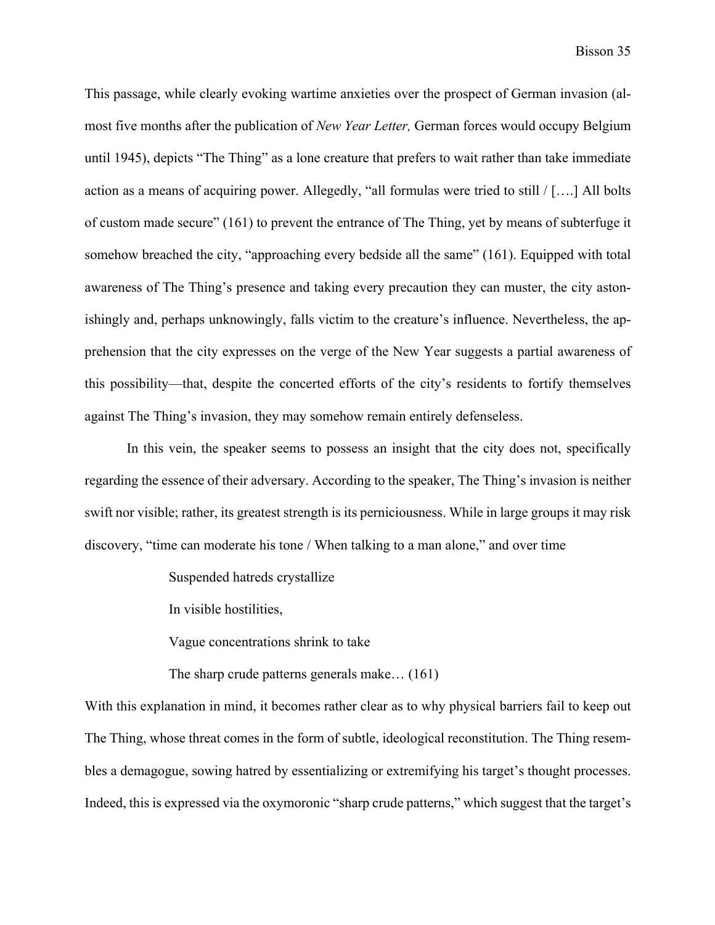This passage, while clearly evoking wartime anxieties over the prospect of German invasion (almost five months after the publication of *New Year Letter,* German forces would occupy Belgium until 1945), depicts "The Thing" as a lone creature that prefers to wait rather than take immediate action as a means of acquiring power. Allegedly, "all formulas were tried to still / [….] All bolts of custom made secure" (161) to prevent the entrance of The Thing, yet by means of subterfuge it somehow breached the city, "approaching every bedside all the same" (161). Equipped with total awareness of The Thing's presence and taking every precaution they can muster, the city astonishingly and, perhaps unknowingly, falls victim to the creature's influence. Nevertheless, the apprehension that the city expresses on the verge of the New Year suggests a partial awareness of this possibility—that, despite the concerted efforts of the city's residents to fortify themselves against The Thing's invasion, they may somehow remain entirely defenseless.

In this vein, the speaker seems to possess an insight that the city does not, specifically regarding the essence of their adversary. According to the speaker, The Thing's invasion is neither swift nor visible; rather, its greatest strength is its perniciousness. While in large groups it may risk discovery, "time can moderate his tone / When talking to a man alone," and over time

Suspended hatreds crystallize

In visible hostilities,

Vague concentrations shrink to take

The sharp crude patterns generals make… (161)

With this explanation in mind, it becomes rather clear as to why physical barriers fail to keep out The Thing, whose threat comes in the form of subtle, ideological reconstitution. The Thing resembles a demagogue, sowing hatred by essentializing or extremifying his target's thought processes. Indeed, this is expressed via the oxymoronic "sharp crude patterns," which suggest that the target's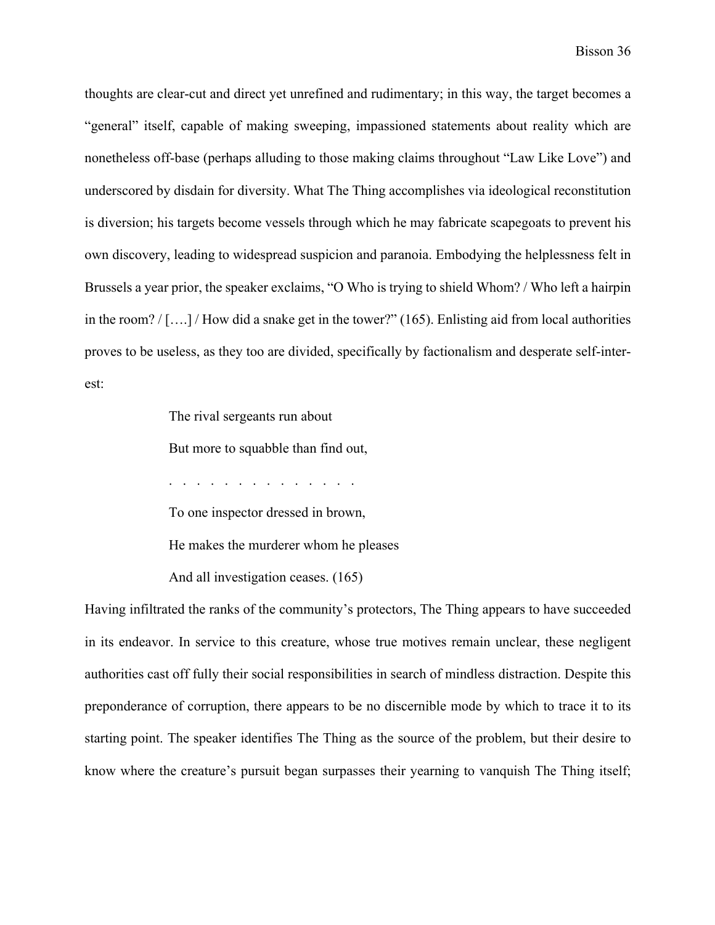thoughts are clear-cut and direct yet unrefined and rudimentary; in this way, the target becomes a "general" itself, capable of making sweeping, impassioned statements about reality which are nonetheless off-base (perhaps alluding to those making claims throughout "Law Like Love") and underscored by disdain for diversity. What The Thing accomplishes via ideological reconstitution is diversion; his targets become vessels through which he may fabricate scapegoats to prevent his own discovery, leading to widespread suspicion and paranoia. Embodying the helplessness felt in Brussels a year prior, the speaker exclaims, "O Who is trying to shield Whom? / Who left a hairpin in the room? / [….] / How did a snake get in the tower?" (165). Enlisting aid from local authorities proves to be useless, as they too are divided, specifically by factionalism and desperate self-interest:

The rival sergeants run about

But more to squabble than find out,

. . . . . . . . . . . . . .

To one inspector dressed in brown,

He makes the murderer whom he pleases

And all investigation ceases. (165)

Having infiltrated the ranks of the community's protectors, The Thing appears to have succeeded in its endeavor. In service to this creature, whose true motives remain unclear, these negligent authorities cast off fully their social responsibilities in search of mindless distraction. Despite this preponderance of corruption, there appears to be no discernible mode by which to trace it to its starting point. The speaker identifies The Thing as the source of the problem, but their desire to know where the creature's pursuit began surpasses their yearning to vanquish The Thing itself;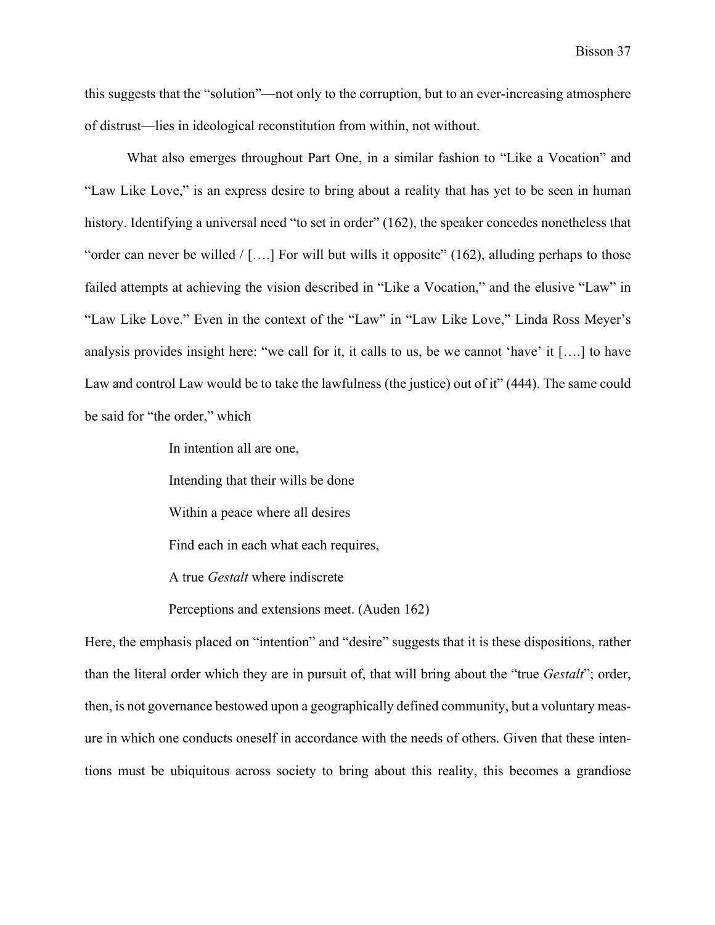this suggests that the "solution"—not only to the corruption, but to an ever-increasing atmosphere of distrust—lies in ideological reconstitution from within, not without.

What also emerges throughout Part One, in a similar fashion to "Like a Vocation" and "Law Like Love," is an express desire to bring about a reality that has yet to be seen in human history. Identifying a universal need "to set in order" (162), the speaker concedes nonetheless that "order can never be willed  $/$  [....] For will but wills it opposite" (162), alluding perhaps to those failed attempts at achieving the vision described in "Like a Vocation," and the elusive "Law" in "Law Like Love." Even in the context of the "Law" in "Law Like Love," Linda Ross Meyer's analysis provides insight here: "we call for it, it calls to us, be we cannot 'have' it [….] to have Law and control Law would be to take the lawfulness (the justice) out of it" (444). The same could be said for "the order," which

In intention all are one,

Intending that their wills be done

Within a peace where all desires

Find each in each what each requires,

A true *Gestalt* where indiscrete

Perceptions and extensions meet. (Auden 162)

Here, the emphasis placed on "intention" and "desire" suggests that it is these dispositions, rather than the literal order which they are in pursuit of, that will bring about the "true *Gestalt*"; order, then, is not governance bestowed upon a geographically defined community, but a voluntary measure in which one conducts oneself in accordance with the needs of others. Given that these intentions must be ubiquitous across society to bring about this reality, this becomes a grandiose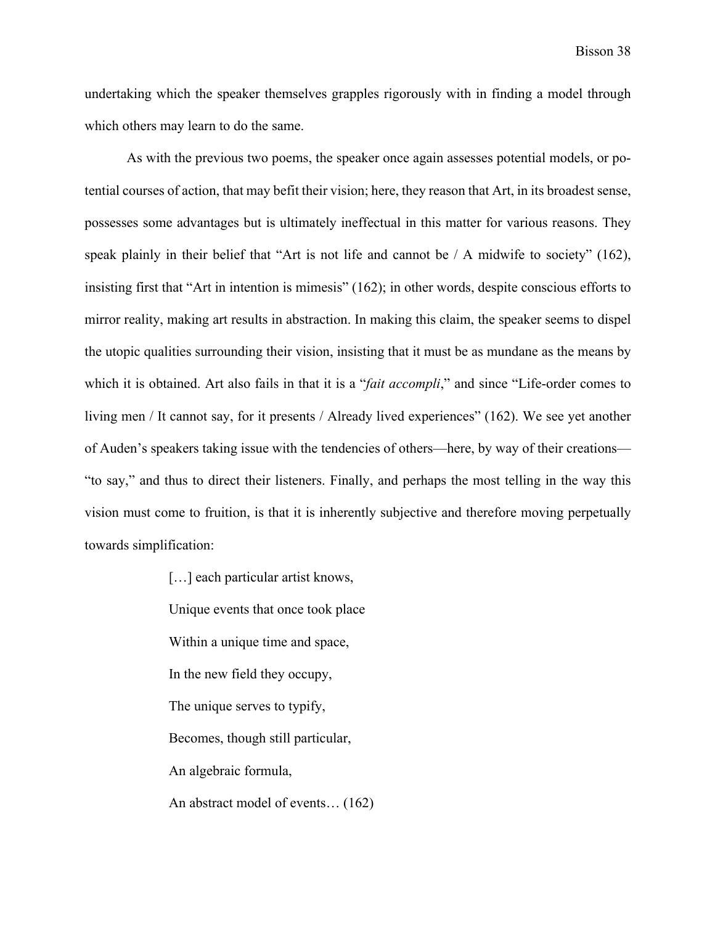undertaking which the speaker themselves grapples rigorously with in finding a model through which others may learn to do the same.

As with the previous two poems, the speaker once again assesses potential models, or potential courses of action, that may befit their vision; here, they reason that Art, in its broadest sense, possesses some advantages but is ultimately ineffectual in this matter for various reasons. They speak plainly in their belief that "Art is not life and cannot be / A midwife to society" (162), insisting first that "Art in intention is mimesis" (162); in other words, despite conscious efforts to mirror reality, making art results in abstraction. In making this claim, the speaker seems to dispel the utopic qualities surrounding their vision, insisting that it must be as mundane as the means by which it is obtained. Art also fails in that it is a "*fait accompli*," and since "Life-order comes to living men / It cannot say, for it presents / Already lived experiences" (162). We see yet another of Auden's speakers taking issue with the tendencies of others—here, by way of their creations— "to say," and thus to direct their listeners. Finally, and perhaps the most telling in the way this vision must come to fruition, is that it is inherently subjective and therefore moving perpetually towards simplification:

> [...] each particular artist knows, Unique events that once took place Within a unique time and space, In the new field they occupy, The unique serves to typify, Becomes, though still particular, An algebraic formula, An abstract model of events… (162)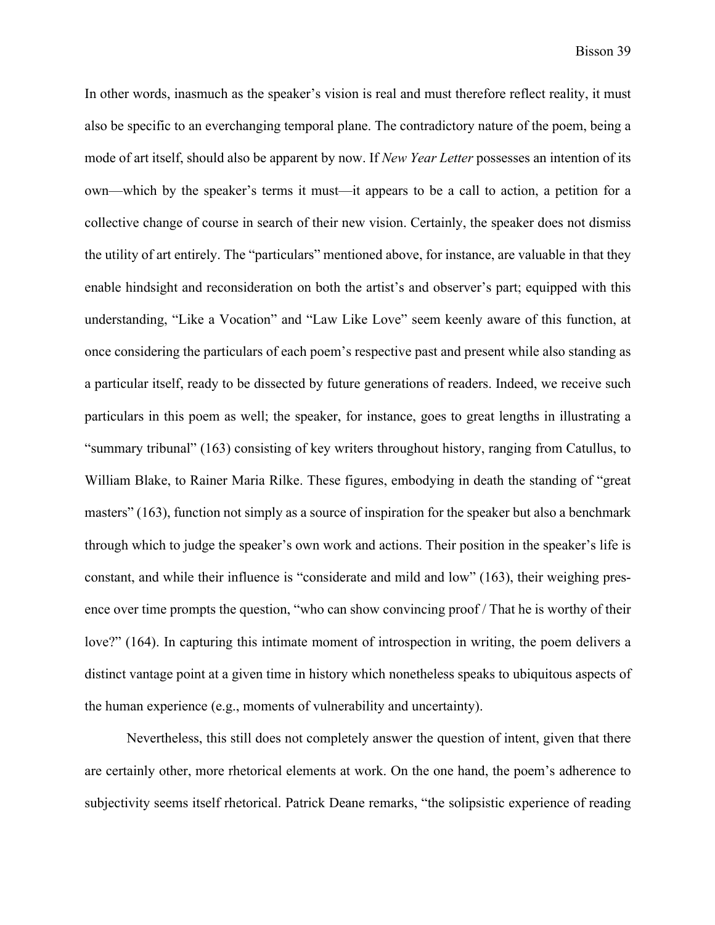In other words, inasmuch as the speaker's vision is real and must therefore reflect reality, it must also be specific to an everchanging temporal plane. The contradictory nature of the poem, being a mode of art itself, should also be apparent by now. If *New Year Letter* possesses an intention of its own—which by the speaker's terms it must—it appears to be a call to action, a petition for a collective change of course in search of their new vision. Certainly, the speaker does not dismiss the utility of art entirely. The "particulars" mentioned above, for instance, are valuable in that they enable hindsight and reconsideration on both the artist's and observer's part; equipped with this understanding, "Like a Vocation" and "Law Like Love" seem keenly aware of this function, at once considering the particulars of each poem's respective past and present while also standing as a particular itself, ready to be dissected by future generations of readers. Indeed, we receive such particulars in this poem as well; the speaker, for instance, goes to great lengths in illustrating a "summary tribunal" (163) consisting of key writers throughout history, ranging from Catullus, to William Blake, to Rainer Maria Rilke. These figures, embodying in death the standing of "great masters" (163), function not simply as a source of inspiration for the speaker but also a benchmark through which to judge the speaker's own work and actions. Their position in the speaker's life is constant, and while their influence is "considerate and mild and low" (163), their weighing presence over time prompts the question, "who can show convincing proof / That he is worthy of their love?" (164). In capturing this intimate moment of introspection in writing, the poem delivers a distinct vantage point at a given time in history which nonetheless speaks to ubiquitous aspects of the human experience (e.g., moments of vulnerability and uncertainty).

Nevertheless, this still does not completely answer the question of intent, given that there are certainly other, more rhetorical elements at work. On the one hand, the poem's adherence to subjectivity seems itself rhetorical. Patrick Deane remarks, "the solipsistic experience of reading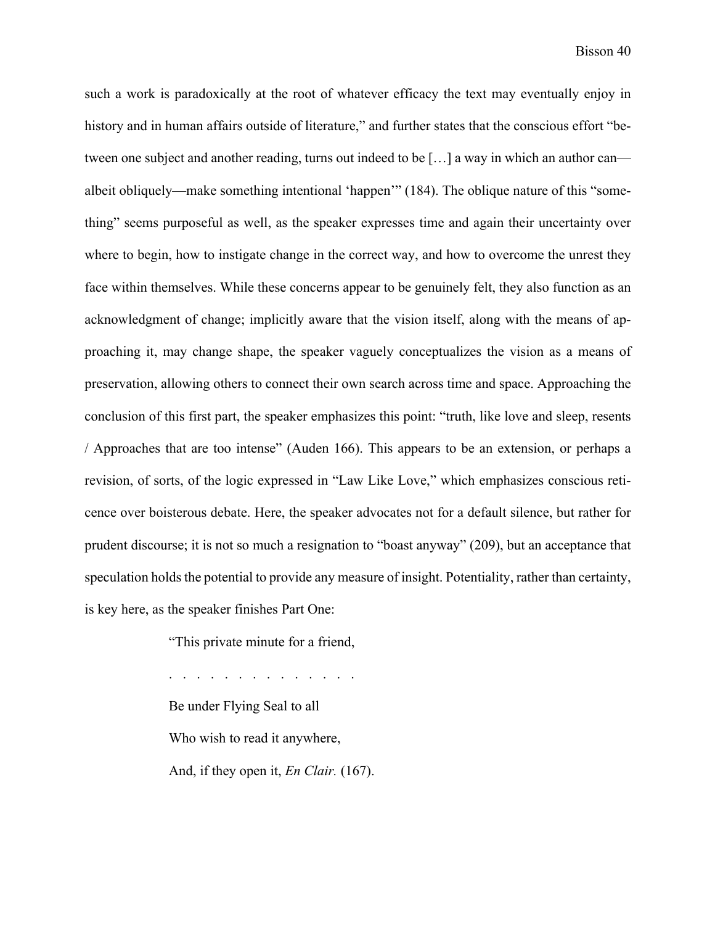such a work is paradoxically at the root of whatever efficacy the text may eventually enjoy in history and in human affairs outside of literature," and further states that the conscious effort "between one subject and another reading, turns out indeed to be […] a way in which an author can albeit obliquely—make something intentional 'happen'" (184). The oblique nature of this "something" seems purposeful as well, as the speaker expresses time and again their uncertainty over where to begin, how to instigate change in the correct way, and how to overcome the unrest they face within themselves. While these concerns appear to be genuinely felt, they also function as an acknowledgment of change; implicitly aware that the vision itself, along with the means of approaching it, may change shape, the speaker vaguely conceptualizes the vision as a means of preservation, allowing others to connect their own search across time and space. Approaching the conclusion of this first part, the speaker emphasizes this point: "truth, like love and sleep, resents / Approaches that are too intense" (Auden 166). This appears to be an extension, or perhaps a revision, of sorts, of the logic expressed in "Law Like Love," which emphasizes conscious reticence over boisterous debate. Here, the speaker advocates not for a default silence, but rather for prudent discourse; it is not so much a resignation to "boast anyway" (209), but an acceptance that speculation holds the potential to provide any measure of insight. Potentiality, rather than certainty, is key here, as the speaker finishes Part One:

"This private minute for a friend,

. . . . . . . . . . . . . . Be under Flying Seal to all Who wish to read it anywhere, And, if they open it, *En Clair.* (167).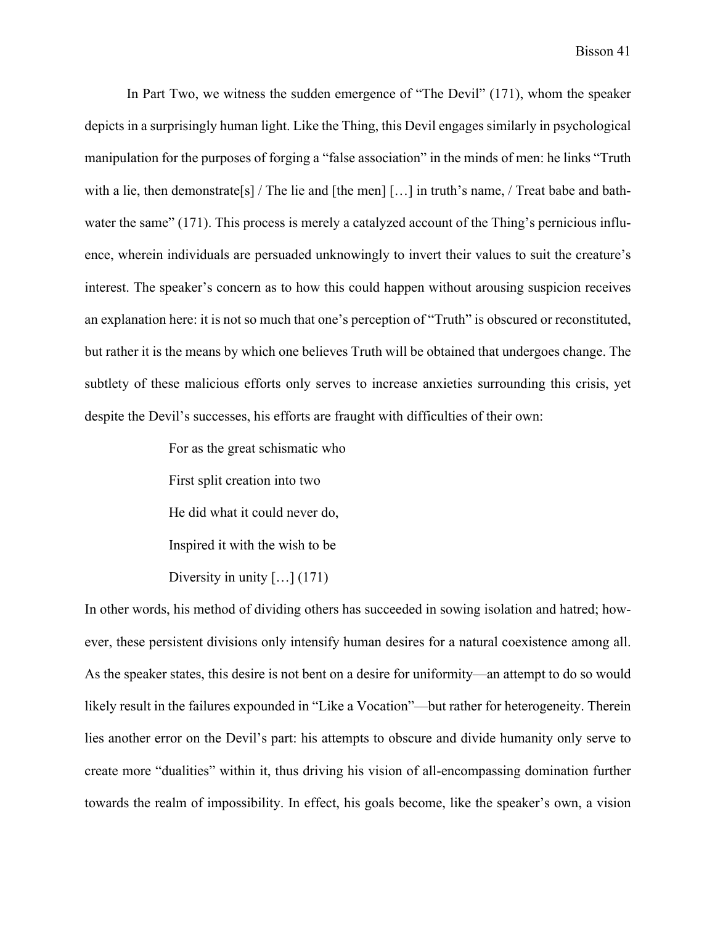In Part Two, we witness the sudden emergence of "The Devil" (171), whom the speaker depicts in a surprisingly human light. Like the Thing, this Devil engages similarly in psychological manipulation for the purposes of forging a "false association" in the minds of men: he links "Truth with a lie, then demonstrate<sup>[s]</sup> / The lie and [the men]  $[\dots]$  in truth's name, / Treat babe and bathwater the same" (171). This process is merely a catalyzed account of the Thing's pernicious influence, wherein individuals are persuaded unknowingly to invert their values to suit the creature's interest. The speaker's concern as to how this could happen without arousing suspicion receives an explanation here: it is not so much that one's perception of "Truth" is obscured or reconstituted, but rather it is the means by which one believes Truth will be obtained that undergoes change. The subtlety of these malicious efforts only serves to increase anxieties surrounding this crisis, yet despite the Devil's successes, his efforts are fraught with difficulties of their own:

> For as the great schismatic who First split creation into two He did what it could never do, Inspired it with the wish to be Diversity in unity [...] (171)

In other words, his method of dividing others has succeeded in sowing isolation and hatred; however, these persistent divisions only intensify human desires for a natural coexistence among all. As the speaker states, this desire is not bent on a desire for uniformity—an attempt to do so would likely result in the failures expounded in "Like a Vocation"—but rather for heterogeneity. Therein lies another error on the Devil's part: his attempts to obscure and divide humanity only serve to create more "dualities" within it, thus driving his vision of all-encompassing domination further towards the realm of impossibility. In effect, his goals become, like the speaker's own, a vision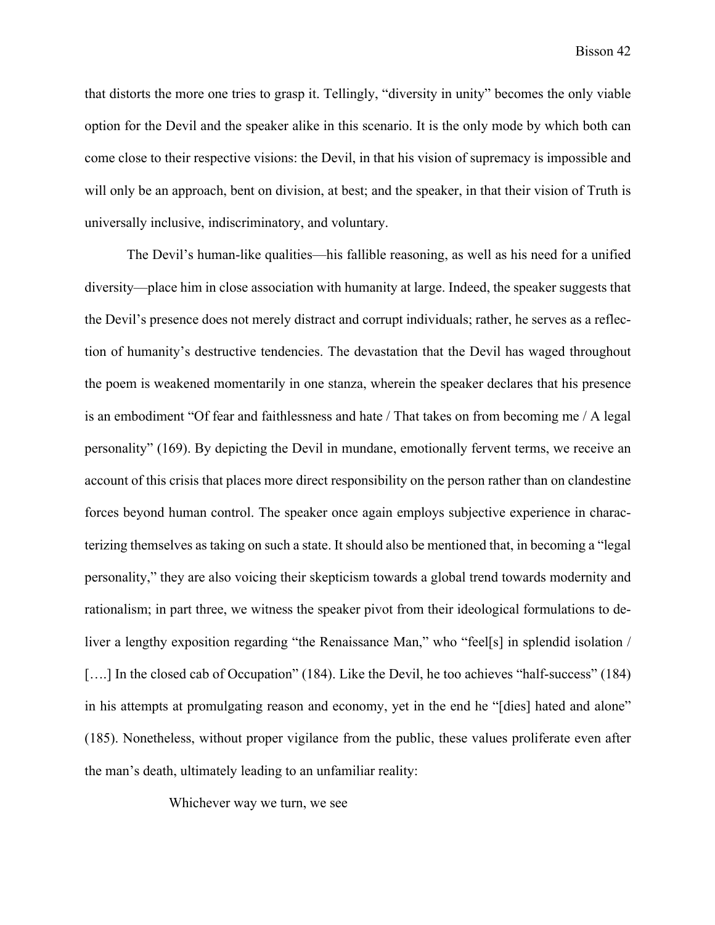that distorts the more one tries to grasp it. Tellingly, "diversity in unity" becomes the only viable option for the Devil and the speaker alike in this scenario. It is the only mode by which both can come close to their respective visions: the Devil, in that his vision of supremacy is impossible and will only be an approach, bent on division, at best; and the speaker, in that their vision of Truth is universally inclusive, indiscriminatory, and voluntary.

The Devil's human-like qualities—his fallible reasoning, as well as his need for a unified diversity—place him in close association with humanity at large. Indeed, the speaker suggests that the Devil's presence does not merely distract and corrupt individuals; rather, he serves as a reflection of humanity's destructive tendencies. The devastation that the Devil has waged throughout the poem is weakened momentarily in one stanza, wherein the speaker declares that his presence is an embodiment "Of fear and faithlessness and hate / That takes on from becoming me / A legal personality" (169). By depicting the Devil in mundane, emotionally fervent terms, we receive an account of this crisis that places more direct responsibility on the person rather than on clandestine forces beyond human control. The speaker once again employs subjective experience in characterizing themselves as taking on such a state. It should also be mentioned that, in becoming a "legal personality," they are also voicing their skepticism towards a global trend towards modernity and rationalism; in part three, we witness the speaker pivot from their ideological formulations to deliver a lengthy exposition regarding "the Renaissance Man," who "feel[s] in splendid isolation / [....] In the closed cab of Occupation" (184). Like the Devil, he too achieves "half-success" (184) in his attempts at promulgating reason and economy, yet in the end he "[dies] hated and alone" (185). Nonetheless, without proper vigilance from the public, these values proliferate even after the man's death, ultimately leading to an unfamiliar reality:

Whichever way we turn, we see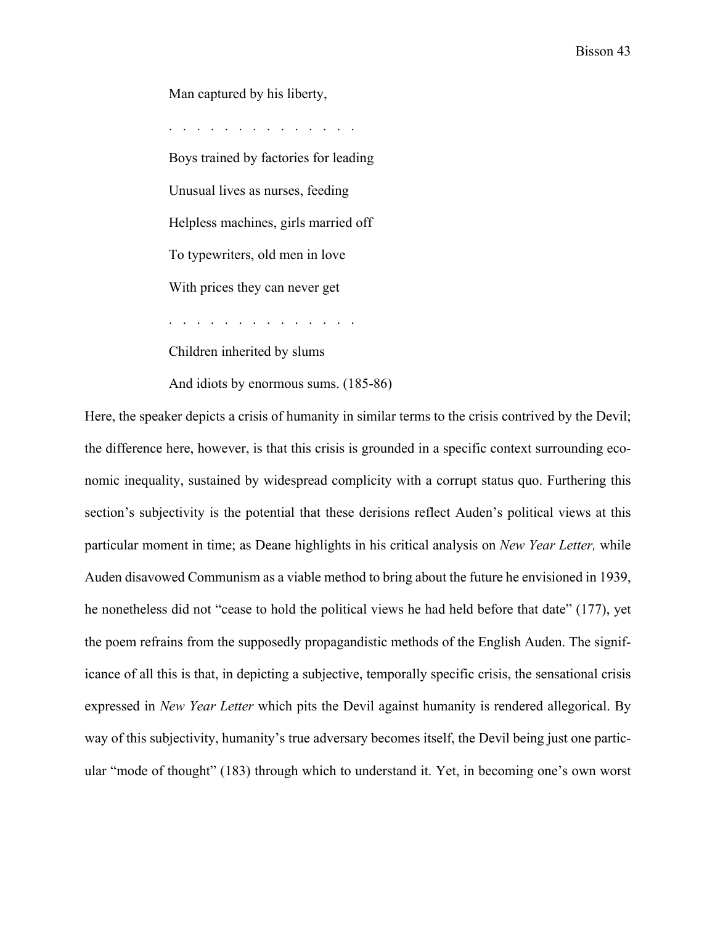Man captured by his liberty,

. . . . . . . . . . . . . . Boys trained by factories for leading Unusual lives as nurses, feeding Helpless machines, girls married off To typewriters, old men in love With prices they can never get . . . . . . . . . . . . . .

Children inherited by slums

And idiots by enormous sums. (185-86)

Here, the speaker depicts a crisis of humanity in similar terms to the crisis contrived by the Devil; the difference here, however, is that this crisis is grounded in a specific context surrounding economic inequality, sustained by widespread complicity with a corrupt status quo. Furthering this section's subjectivity is the potential that these derisions reflect Auden's political views at this particular moment in time; as Deane highlights in his critical analysis on *New Year Letter,* while Auden disavowed Communism as a viable method to bring about the future he envisioned in 1939, he nonetheless did not "cease to hold the political views he had held before that date" (177), yet the poem refrains from the supposedly propagandistic methods of the English Auden. The significance of all this is that, in depicting a subjective, temporally specific crisis, the sensational crisis expressed in *New Year Letter* which pits the Devil against humanity is rendered allegorical. By way of this subjectivity, humanity's true adversary becomes itself, the Devil being just one particular "mode of thought" (183) through which to understand it. Yet, in becoming one's own worst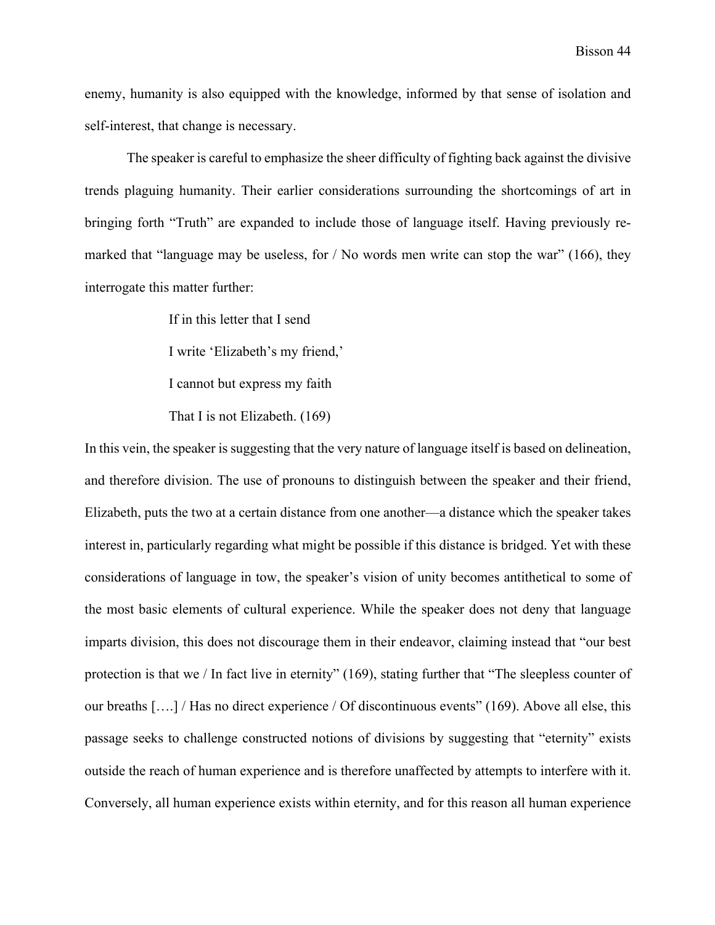enemy, humanity is also equipped with the knowledge, informed by that sense of isolation and self-interest, that change is necessary.

The speaker is careful to emphasize the sheer difficulty of fighting back against the divisive trends plaguing humanity. Their earlier considerations surrounding the shortcomings of art in bringing forth "Truth" are expanded to include those of language itself. Having previously remarked that "language may be useless, for  $\prime$  No words men write can stop the war" (166), they interrogate this matter further:

> If in this letter that I send I write 'Elizabeth's my friend,' I cannot but express my faith That I is not Elizabeth. (169)

In this vein, the speaker is suggesting that the very nature of language itself is based on delineation, and therefore division. The use of pronouns to distinguish between the speaker and their friend, Elizabeth, puts the two at a certain distance from one another—a distance which the speaker takes interest in, particularly regarding what might be possible if this distance is bridged. Yet with these considerations of language in tow, the speaker's vision of unity becomes antithetical to some of the most basic elements of cultural experience. While the speaker does not deny that language imparts division, this does not discourage them in their endeavor, claiming instead that "our best protection is that we / In fact live in eternity" (169), stating further that "The sleepless counter of our breaths [….] / Has no direct experience / Of discontinuous events" (169). Above all else, this passage seeks to challenge constructed notions of divisions by suggesting that "eternity" exists outside the reach of human experience and is therefore unaffected by attempts to interfere with it. Conversely, all human experience exists within eternity, and for this reason all human experience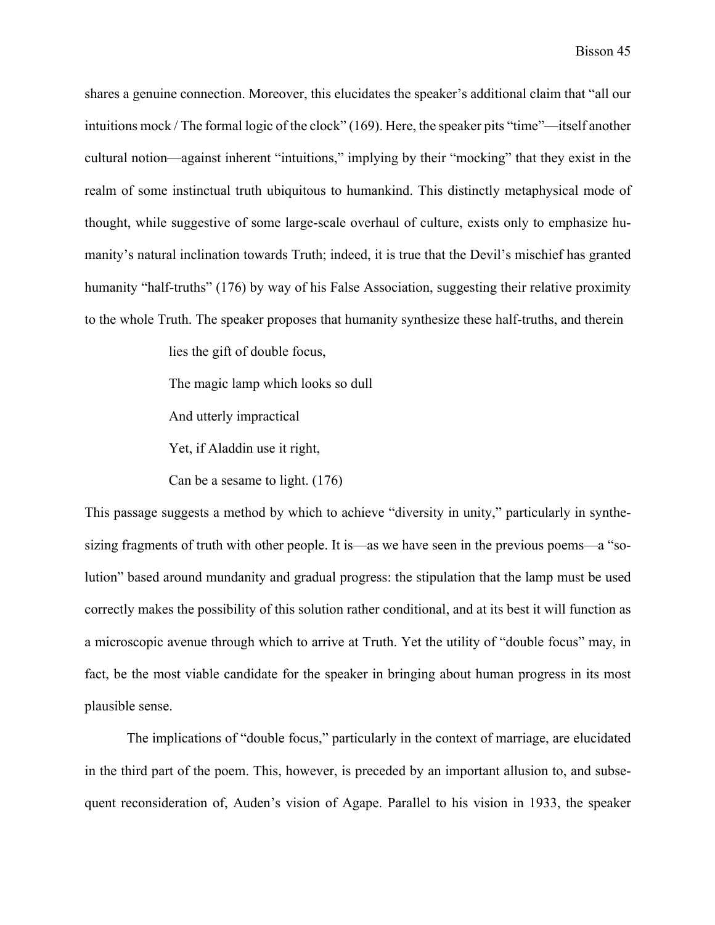shares a genuine connection. Moreover, this elucidates the speaker's additional claim that "all our intuitions mock / The formal logic of the clock" (169). Here, the speaker pits "time"—itself another cultural notion—against inherent "intuitions," implying by their "mocking" that they exist in the realm of some instinctual truth ubiquitous to humankind. This distinctly metaphysical mode of thought, while suggestive of some large-scale overhaul of culture, exists only to emphasize humanity's natural inclination towards Truth; indeed, it is true that the Devil's mischief has granted humanity "half-truths" (176) by way of his False Association, suggesting their relative proximity to the whole Truth. The speaker proposes that humanity synthesize these half-truths, and therein

lies the gift of double focus,

The magic lamp which looks so dull

And utterly impractical

Yet, if Aladdin use it right,

Can be a sesame to light. (176)

This passage suggests a method by which to achieve "diversity in unity," particularly in synthesizing fragments of truth with other people. It is—as we have seen in the previous poems—a "solution" based around mundanity and gradual progress: the stipulation that the lamp must be used correctly makes the possibility of this solution rather conditional, and at its best it will function as a microscopic avenue through which to arrive at Truth. Yet the utility of "double focus" may, in fact, be the most viable candidate for the speaker in bringing about human progress in its most plausible sense.

The implications of "double focus," particularly in the context of marriage, are elucidated in the third part of the poem. This, however, is preceded by an important allusion to, and subsequent reconsideration of, Auden's vision of Agape. Parallel to his vision in 1933, the speaker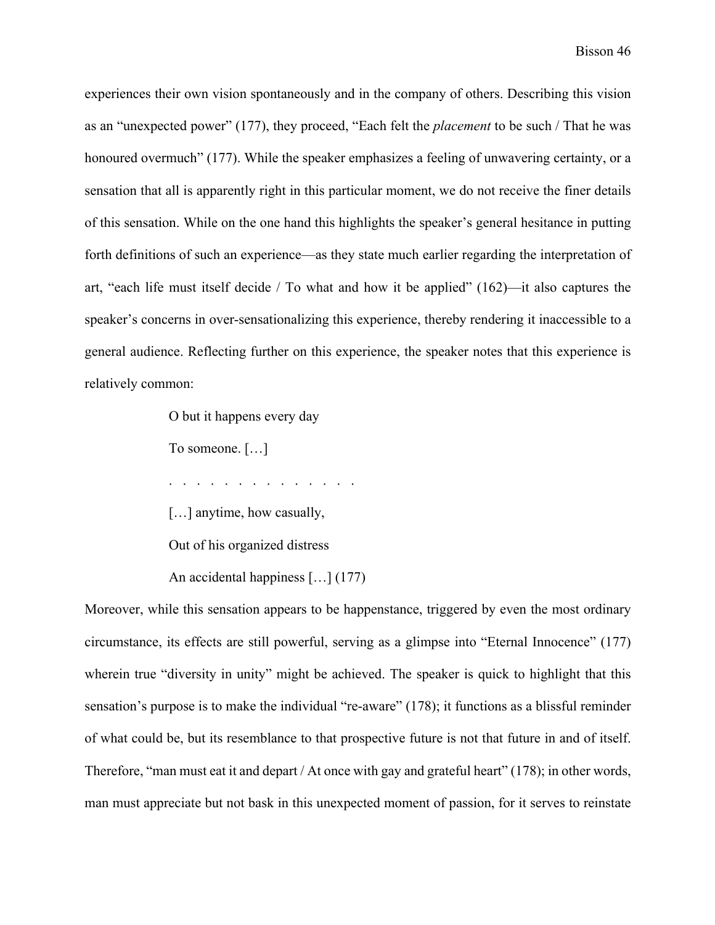experiences their own vision spontaneously and in the company of others. Describing this vision as an "unexpected power" (177), they proceed, "Each felt the *placement* to be such / That he was honoured overmuch" (177). While the speaker emphasizes a feeling of unwavering certainty, or a sensation that all is apparently right in this particular moment, we do not receive the finer details of this sensation. While on the one hand this highlights the speaker's general hesitance in putting forth definitions of such an experience—as they state much earlier regarding the interpretation of art, "each life must itself decide / To what and how it be applied" (162)—it also captures the speaker's concerns in over-sensationalizing this experience, thereby rendering it inaccessible to a general audience. Reflecting further on this experience, the speaker notes that this experience is relatively common:

O but it happens every day

To someone. […]

. . . . . . . . . . . . . .

[...] anytime, how casually,

Out of his organized distress

An accidental happiness […] (177)

Moreover, while this sensation appears to be happenstance, triggered by even the most ordinary circumstance, its effects are still powerful, serving as a glimpse into "Eternal Innocence" (177) wherein true "diversity in unity" might be achieved. The speaker is quick to highlight that this sensation's purpose is to make the individual "re-aware" (178); it functions as a blissful reminder of what could be, but its resemblance to that prospective future is not that future in and of itself. Therefore, "man must eat it and depart / At once with gay and grateful heart" (178); in other words, man must appreciate but not bask in this unexpected moment of passion, for it serves to reinstate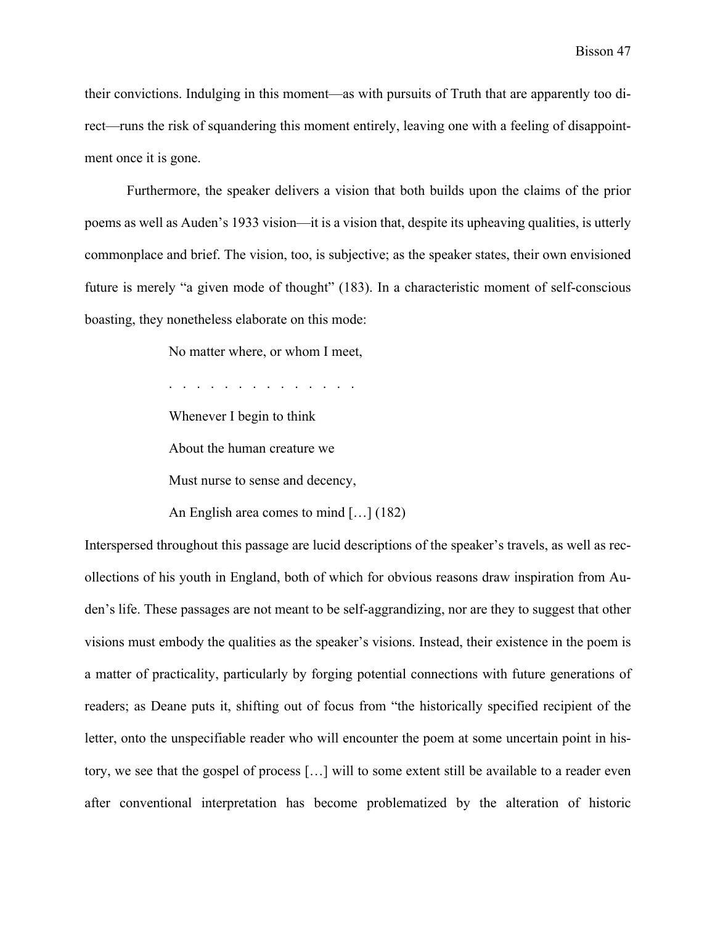their convictions. Indulging in this moment—as with pursuits of Truth that are apparently too direct—runs the risk of squandering this moment entirely, leaving one with a feeling of disappointment once it is gone.

Furthermore, the speaker delivers a vision that both builds upon the claims of the prior poems as well as Auden's 1933 vision—it is a vision that, despite its upheaving qualities, is utterly commonplace and brief. The vision, too, is subjective; as the speaker states, their own envisioned future is merely "a given mode of thought" (183). In a characteristic moment of self-conscious boasting, they nonetheless elaborate on this mode:

No matter where, or whom I meet,

. . . . . . . . . . . . . .

Whenever I begin to think

About the human creature we

Must nurse to sense and decency,

An English area comes to mind […] (182)

Interspersed throughout this passage are lucid descriptions of the speaker's travels, as well as recollections of his youth in England, both of which for obvious reasons draw inspiration from Auden's life. These passages are not meant to be self-aggrandizing, nor are they to suggest that other visions must embody the qualities as the speaker's visions. Instead, their existence in the poem is a matter of practicality, particularly by forging potential connections with future generations of readers; as Deane puts it, shifting out of focus from "the historically specified recipient of the letter, onto the unspecifiable reader who will encounter the poem at some uncertain point in history, we see that the gospel of process […] will to some extent still be available to a reader even after conventional interpretation has become problematized by the alteration of historic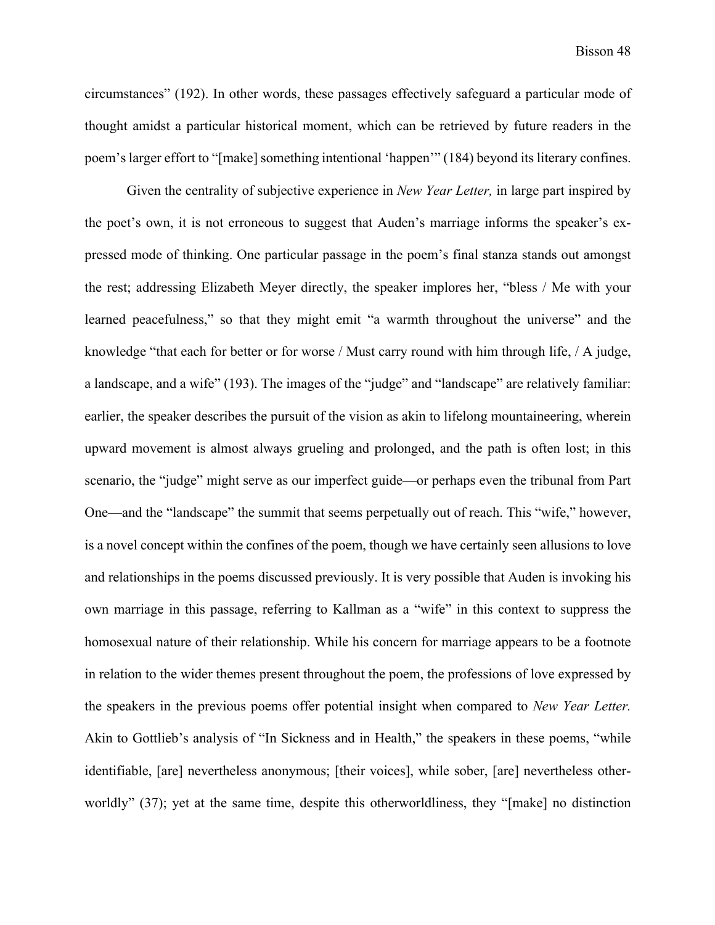circumstances" (192). In other words, these passages effectively safeguard a particular mode of thought amidst a particular historical moment, which can be retrieved by future readers in the poem's larger effort to "[make] something intentional 'happen'" (184) beyond its literary confines.

Given the centrality of subjective experience in *New Year Letter,* in large part inspired by the poet's own, it is not erroneous to suggest that Auden's marriage informs the speaker's expressed mode of thinking. One particular passage in the poem's final stanza stands out amongst the rest; addressing Elizabeth Meyer directly, the speaker implores her, "bless / Me with your learned peacefulness," so that they might emit "a warmth throughout the universe" and the knowledge "that each for better or for worse / Must carry round with him through life, / A judge, a landscape, and a wife" (193). The images of the "judge" and "landscape" are relatively familiar: earlier, the speaker describes the pursuit of the vision as akin to lifelong mountaineering, wherein upward movement is almost always grueling and prolonged, and the path is often lost; in this scenario, the "judge" might serve as our imperfect guide—or perhaps even the tribunal from Part One—and the "landscape" the summit that seems perpetually out of reach. This "wife," however, is a novel concept within the confines of the poem, though we have certainly seen allusions to love and relationships in the poems discussed previously. It is very possible that Auden is invoking his own marriage in this passage, referring to Kallman as a "wife" in this context to suppress the homosexual nature of their relationship. While his concern for marriage appears to be a footnote in relation to the wider themes present throughout the poem, the professions of love expressed by the speakers in the previous poems offer potential insight when compared to *New Year Letter.* Akin to Gottlieb's analysis of "In Sickness and in Health," the speakers in these poems, "while identifiable, [are] nevertheless anonymous; [their voices], while sober, [are] nevertheless otherworldly" (37); yet at the same time, despite this otherworldliness, they "[make] no distinction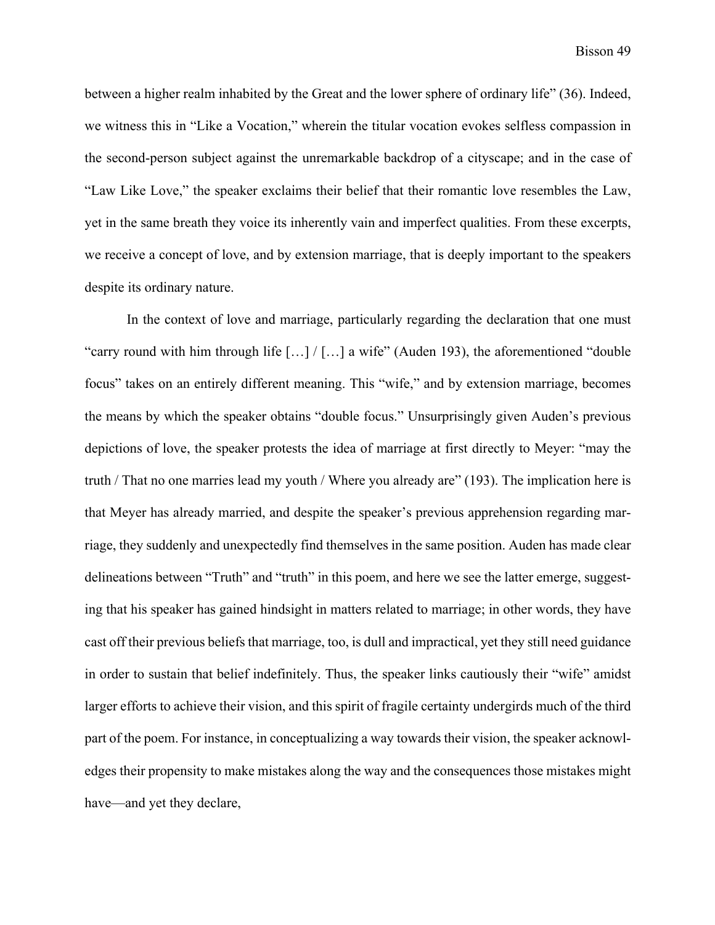between a higher realm inhabited by the Great and the lower sphere of ordinary life" (36). Indeed, we witness this in "Like a Vocation," wherein the titular vocation evokes selfless compassion in the second-person subject against the unremarkable backdrop of a cityscape; and in the case of "Law Like Love," the speaker exclaims their belief that their romantic love resembles the Law, yet in the same breath they voice its inherently vain and imperfect qualities. From these excerpts, we receive a concept of love, and by extension marriage, that is deeply important to the speakers despite its ordinary nature.

In the context of love and marriage, particularly regarding the declaration that one must "carry round with him through life […] / […] a wife" (Auden 193), the aforementioned "double focus" takes on an entirely different meaning. This "wife," and by extension marriage, becomes the means by which the speaker obtains "double focus." Unsurprisingly given Auden's previous depictions of love, the speaker protests the idea of marriage at first directly to Meyer: "may the truth / That no one marries lead my youth / Where you already are" (193). The implication here is that Meyer has already married, and despite the speaker's previous apprehension regarding marriage, they suddenly and unexpectedly find themselves in the same position. Auden has made clear delineations between "Truth" and "truth" in this poem, and here we see the latter emerge, suggesting that his speaker has gained hindsight in matters related to marriage; in other words, they have cast off their previous beliefs that marriage, too, is dull and impractical, yet they still need guidance in order to sustain that belief indefinitely. Thus, the speaker links cautiously their "wife" amidst larger efforts to achieve their vision, and this spirit of fragile certainty undergirds much of the third part of the poem. For instance, in conceptualizing a way towards their vision, the speaker acknowledges their propensity to make mistakes along the way and the consequences those mistakes might have—and yet they declare,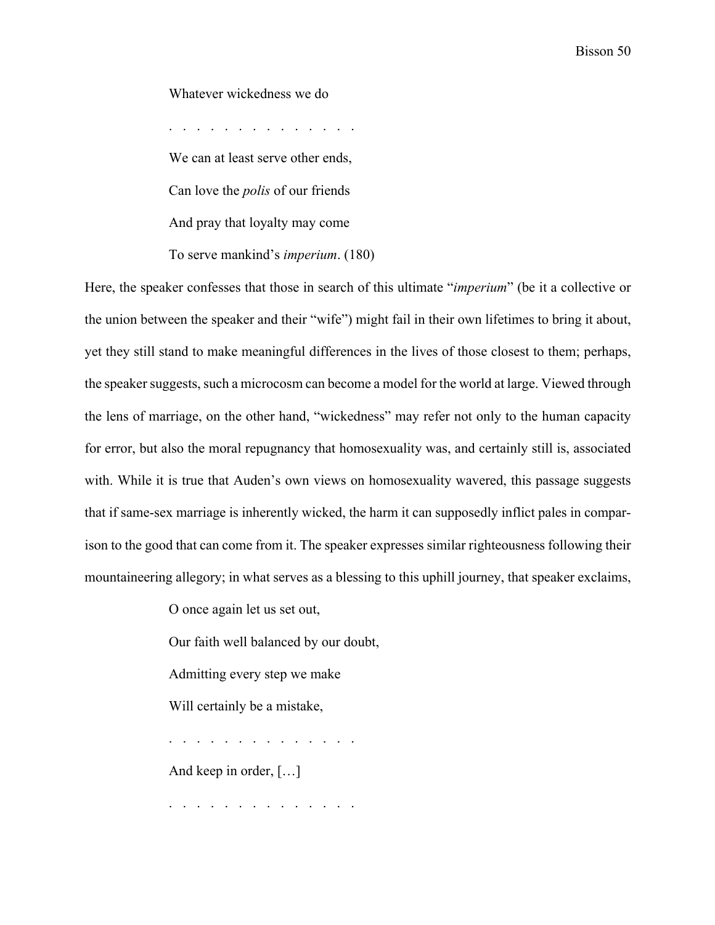Whatever wickedness we do

. . . . . . . . . . . . . . We can at least serve other ends, Can love the *polis* of our friends And pray that loyalty may come To serve mankind's *imperium*. (180)

Here, the speaker confesses that those in search of this ultimate "*imperium*" (be it a collective or the union between the speaker and their "wife") might fail in their own lifetimes to bring it about, yet they still stand to make meaningful differences in the lives of those closest to them; perhaps, the speaker suggests, such a microcosm can become a model for the world at large. Viewed through the lens of marriage, on the other hand, "wickedness" may refer not only to the human capacity for error, but also the moral repugnancy that homosexuality was, and certainly still is, associated with. While it is true that Auden's own views on homosexuality wavered, this passage suggests that if same-sex marriage is inherently wicked, the harm it can supposedly inflict pales in comparison to the good that can come from it. The speaker expresses similar righteousness following their mountaineering allegory; in what serves as a blessing to this uphill journey, that speaker exclaims,

O once again let us set out,

Our faith well balanced by our doubt,

Admitting every step we make

Will certainly be a mistake,

. . . . . . . . . . . . . . And keep in order, […]

. . . . . . . . . . . . . .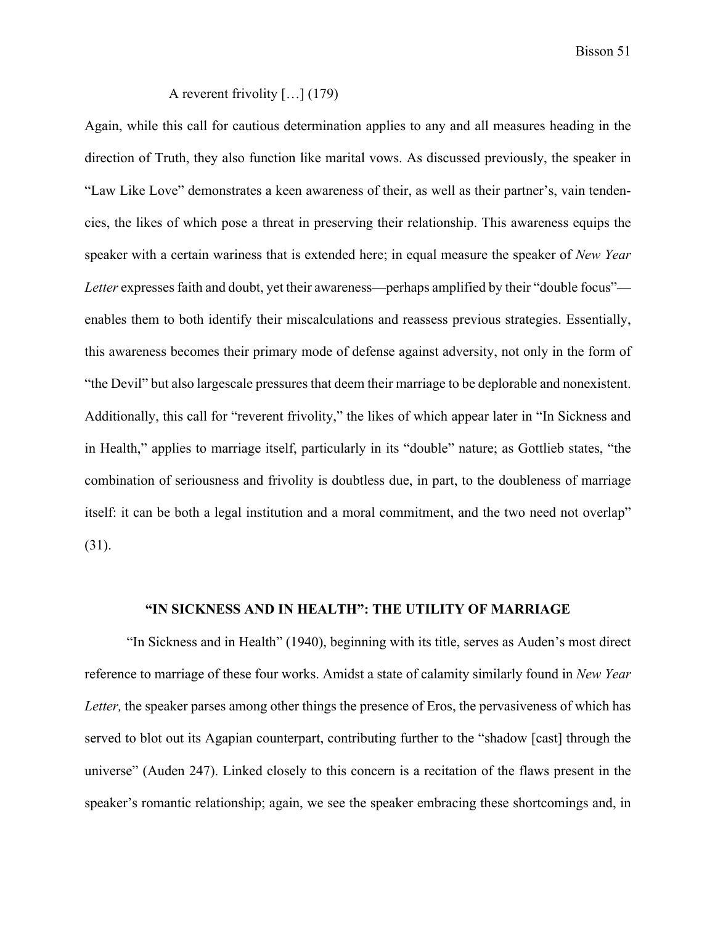Bisson 51

## A reverent frivolity […] (179)

Again, while this call for cautious determination applies to any and all measures heading in the direction of Truth, they also function like marital vows. As discussed previously, the speaker in "Law Like Love" demonstrates a keen awareness of their, as well as their partner's, vain tendencies, the likes of which pose a threat in preserving their relationship. This awareness equips the speaker with a certain wariness that is extended here; in equal measure the speaker of *New Year Letter* expresses faith and doubt, yet their awareness—perhaps amplified by their "double focus" enables them to both identify their miscalculations and reassess previous strategies. Essentially, this awareness becomes their primary mode of defense against adversity, not only in the form of "the Devil" but also largescale pressures that deem their marriage to be deplorable and nonexistent. Additionally, this call for "reverent frivolity," the likes of which appear later in "In Sickness and in Health," applies to marriage itself, particularly in its "double" nature; as Gottlieb states, "the combination of seriousness and frivolity is doubtless due, in part, to the doubleness of marriage itself: it can be both a legal institution and a moral commitment, and the two need not overlap" (31).

## **"IN SICKNESS AND IN HEALTH": THE UTILITY OF MARRIAGE**

"In Sickness and in Health" (1940), beginning with its title, serves as Auden's most direct reference to marriage of these four works. Amidst a state of calamity similarly found in *New Year Letter*, the speaker parses among other things the presence of Eros, the pervasiveness of which has served to blot out its Agapian counterpart, contributing further to the "shadow [cast] through the universe" (Auden 247). Linked closely to this concern is a recitation of the flaws present in the speaker's romantic relationship; again, we see the speaker embracing these shortcomings and, in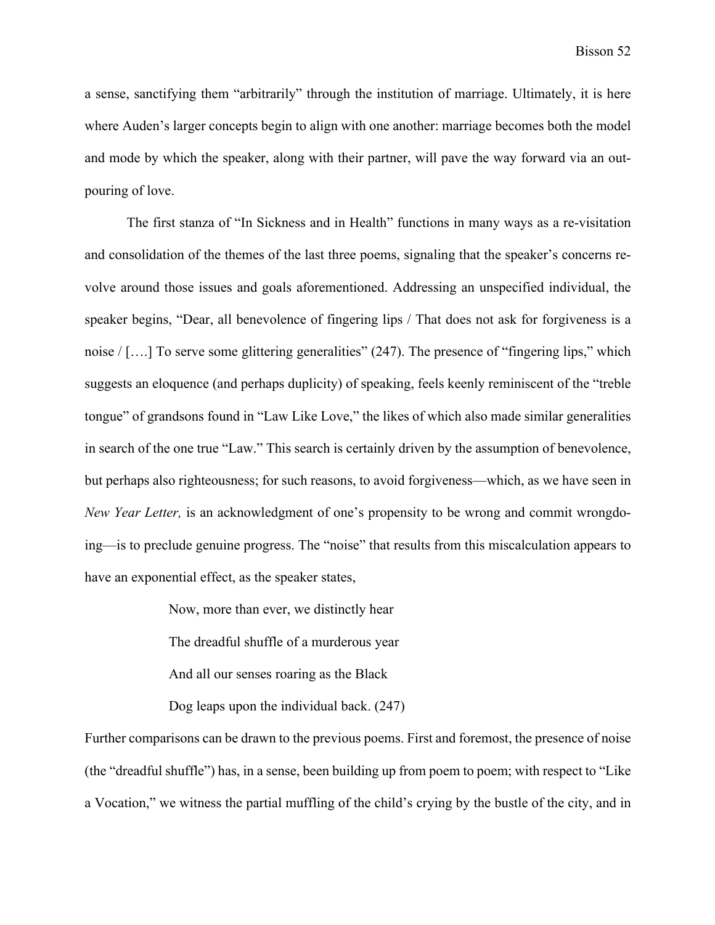a sense, sanctifying them "arbitrarily" through the institution of marriage. Ultimately, it is here where Auden's larger concepts begin to align with one another: marriage becomes both the model and mode by which the speaker, along with their partner, will pave the way forward via an outpouring of love.

The first stanza of "In Sickness and in Health" functions in many ways as a re-visitation and consolidation of the themes of the last three poems, signaling that the speaker's concerns revolve around those issues and goals aforementioned. Addressing an unspecified individual, the speaker begins, "Dear, all benevolence of fingering lips / That does not ask for forgiveness is a noise / [....] To serve some glittering generalities" (247). The presence of "fingering lips," which suggests an eloquence (and perhaps duplicity) of speaking, feels keenly reminiscent of the "treble tongue" of grandsons found in "Law Like Love," the likes of which also made similar generalities in search of the one true "Law." This search is certainly driven by the assumption of benevolence, but perhaps also righteousness; for such reasons, to avoid forgiveness—which, as we have seen in *New Year Letter,* is an acknowledgment of one's propensity to be wrong and commit wrongdoing—is to preclude genuine progress. The "noise" that results from this miscalculation appears to have an exponential effect, as the speaker states,

Now, more than ever, we distinctly hear

The dreadful shuffle of a murderous year

And all our senses roaring as the Black

Dog leaps upon the individual back. (247)

Further comparisons can be drawn to the previous poems. First and foremost, the presence of noise (the "dreadful shuffle") has, in a sense, been building up from poem to poem; with respect to "Like a Vocation," we witness the partial muffling of the child's crying by the bustle of the city, and in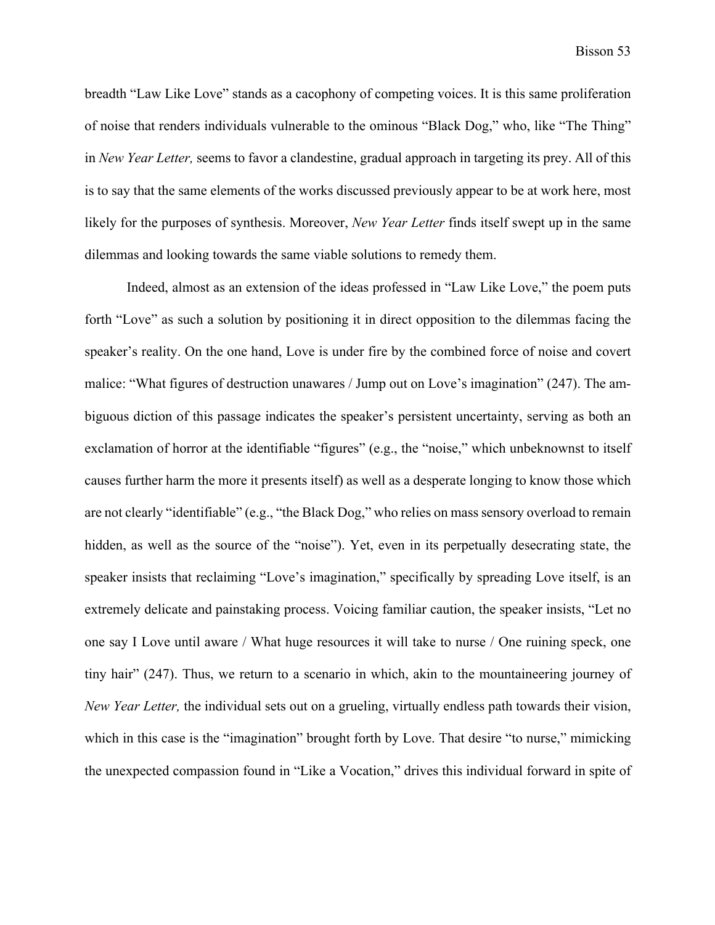breadth "Law Like Love" stands as a cacophony of competing voices. It is this same proliferation of noise that renders individuals vulnerable to the ominous "Black Dog," who, like "The Thing" in *New Year Letter,* seems to favor a clandestine, gradual approach in targeting its prey. All of this is to say that the same elements of the works discussed previously appear to be at work here, most likely for the purposes of synthesis. Moreover, *New Year Letter* finds itself swept up in the same dilemmas and looking towards the same viable solutions to remedy them.

Indeed, almost as an extension of the ideas professed in "Law Like Love," the poem puts forth "Love" as such a solution by positioning it in direct opposition to the dilemmas facing the speaker's reality. On the one hand, Love is under fire by the combined force of noise and covert malice: "What figures of destruction unawares / Jump out on Love's imagination" (247). The ambiguous diction of this passage indicates the speaker's persistent uncertainty, serving as both an exclamation of horror at the identifiable "figures" (e.g., the "noise," which unbeknownst to itself causes further harm the more it presents itself) as well as a desperate longing to know those which are not clearly "identifiable" (e.g., "the Black Dog," who relies on mass sensory overload to remain hidden, as well as the source of the "noise"). Yet, even in its perpetually desecrating state, the speaker insists that reclaiming "Love's imagination," specifically by spreading Love itself, is an extremely delicate and painstaking process. Voicing familiar caution, the speaker insists, "Let no one say I Love until aware / What huge resources it will take to nurse / One ruining speck, one tiny hair" (247). Thus, we return to a scenario in which, akin to the mountaineering journey of *New Year Letter,* the individual sets out on a grueling, virtually endless path towards their vision, which in this case is the "imagination" brought forth by Love. That desire "to nurse," mimicking the unexpected compassion found in "Like a Vocation," drives this individual forward in spite of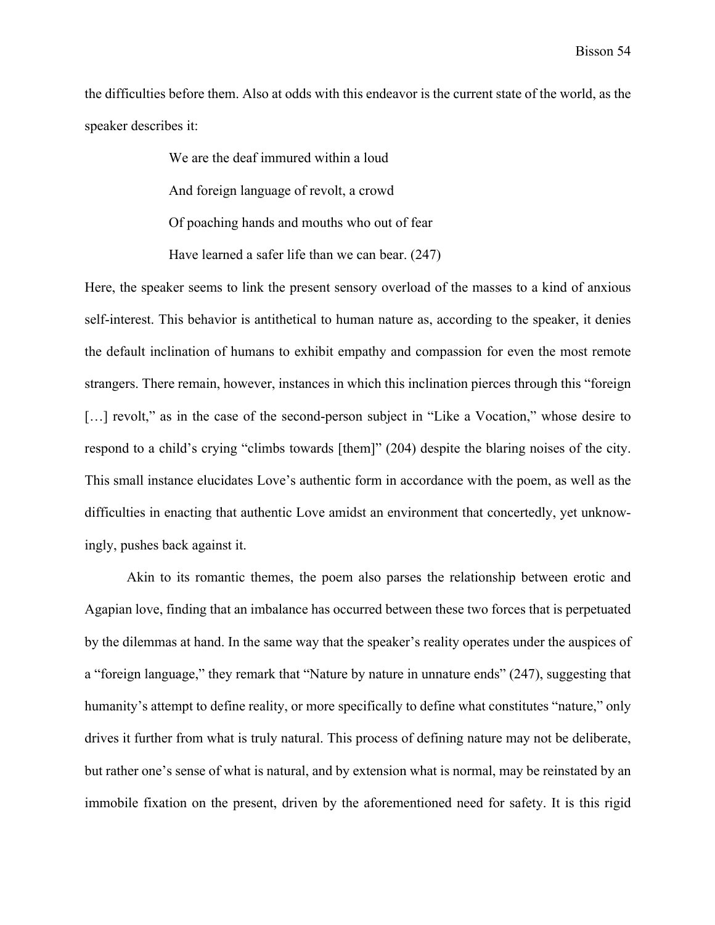the difficulties before them. Also at odds with this endeavor is the current state of the world, as the speaker describes it:

We are the deaf immured within a loud

And foreign language of revolt, a crowd

Of poaching hands and mouths who out of fear

Have learned a safer life than we can bear. (247)

Here, the speaker seems to link the present sensory overload of the masses to a kind of anxious self-interest. This behavior is antithetical to human nature as, according to the speaker, it denies the default inclination of humans to exhibit empathy and compassion for even the most remote strangers. There remain, however, instances in which this inclination pierces through this "foreign [...] revolt," as in the case of the second-person subject in "Like a Vocation," whose desire to respond to a child's crying "climbs towards [them]" (204) despite the blaring noises of the city. This small instance elucidates Love's authentic form in accordance with the poem, as well as the difficulties in enacting that authentic Love amidst an environment that concertedly, yet unknowingly, pushes back against it.

Akin to its romantic themes, the poem also parses the relationship between erotic and Agapian love, finding that an imbalance has occurred between these two forces that is perpetuated by the dilemmas at hand. In the same way that the speaker's reality operates under the auspices of a "foreign language," they remark that "Nature by nature in unnature ends" (247), suggesting that humanity's attempt to define reality, or more specifically to define what constitutes "nature," only drives it further from what is truly natural. This process of defining nature may not be deliberate, but rather one's sense of what is natural, and by extension what is normal, may be reinstated by an immobile fixation on the present, driven by the aforementioned need for safety. It is this rigid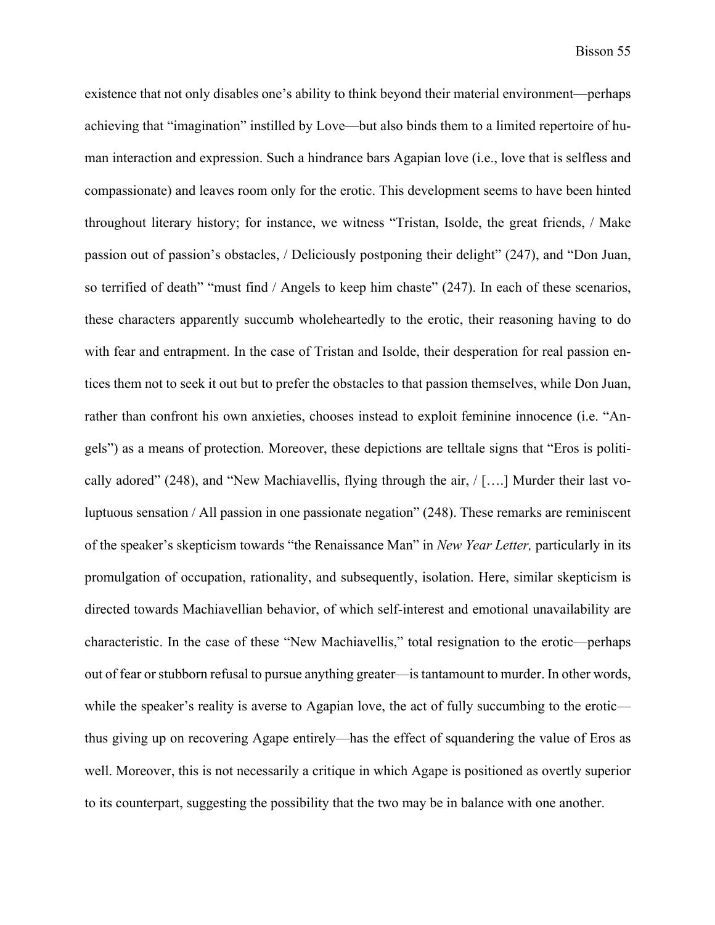existence that not only disables one's ability to think beyond their material environment—perhaps achieving that "imagination" instilled by Love—but also binds them to a limited repertoire of human interaction and expression. Such a hindrance bars Agapian love (i.e., love that is selfless and compassionate) and leaves room only for the erotic. This development seems to have been hinted throughout literary history; for instance, we witness "Tristan, Isolde, the great friends, / Make passion out of passion's obstacles, / Deliciously postponing their delight" (247), and "Don Juan, so terrified of death" "must find / Angels to keep him chaste" (247). In each of these scenarios, these characters apparently succumb wholeheartedly to the erotic, their reasoning having to do with fear and entrapment. In the case of Tristan and Isolde, their desperation for real passion entices them not to seek it out but to prefer the obstacles to that passion themselves, while Don Juan, rather than confront his own anxieties, chooses instead to exploit feminine innocence (i.e. "Angels") as a means of protection. Moreover, these depictions are telltale signs that "Eros is politically adored" (248), and "New Machiavellis, flying through the air, / [….] Murder their last voluptuous sensation / All passion in one passionate negation" (248). These remarks are reminiscent of the speaker's skepticism towards "the Renaissance Man" in *New Year Letter,* particularly in its promulgation of occupation, rationality, and subsequently, isolation. Here, similar skepticism is directed towards Machiavellian behavior, of which self-interest and emotional unavailability are characteristic. In the case of these "New Machiavellis," total resignation to the erotic—perhaps out of fear or stubborn refusal to pursue anything greater—is tantamount to murder. In other words, while the speaker's reality is averse to Agapian love, the act of fully succumbing to the erotic thus giving up on recovering Agape entirely—has the effect of squandering the value of Eros as well. Moreover, this is not necessarily a critique in which Agape is positioned as overtly superior to its counterpart, suggesting the possibility that the two may be in balance with one another.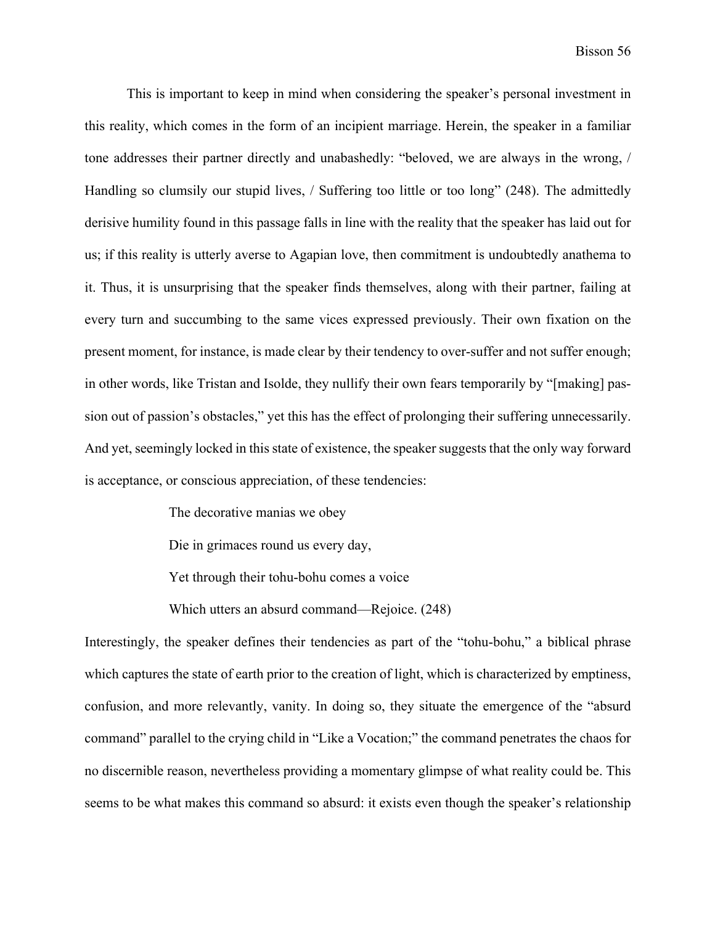This is important to keep in mind when considering the speaker's personal investment in this reality, which comes in the form of an incipient marriage. Herein, the speaker in a familiar tone addresses their partner directly and unabashedly: "beloved, we are always in the wrong, / Handling so clumsily our stupid lives, / Suffering too little or too long" (248). The admittedly derisive humility found in this passage falls in line with the reality that the speaker has laid out for us; if this reality is utterly averse to Agapian love, then commitment is undoubtedly anathema to it. Thus, it is unsurprising that the speaker finds themselves, along with their partner, failing at every turn and succumbing to the same vices expressed previously. Their own fixation on the present moment, for instance, is made clear by their tendency to over-suffer and not suffer enough; in other words, like Tristan and Isolde, they nullify their own fears temporarily by "[making] passion out of passion's obstacles," yet this has the effect of prolonging their suffering unnecessarily. And yet, seemingly locked in this state of existence, the speaker suggests that the only way forward is acceptance, or conscious appreciation, of these tendencies:

The decorative manias we obey

Die in grimaces round us every day,

Yet through their tohu-bohu comes a voice

Which utters an absurd command—Rejoice. (248)

Interestingly, the speaker defines their tendencies as part of the "tohu-bohu," a biblical phrase which captures the state of earth prior to the creation of light, which is characterized by emptiness, confusion, and more relevantly, vanity. In doing so, they situate the emergence of the "absurd command" parallel to the crying child in "Like a Vocation;" the command penetrates the chaos for no discernible reason, nevertheless providing a momentary glimpse of what reality could be. This seems to be what makes this command so absurd: it exists even though the speaker's relationship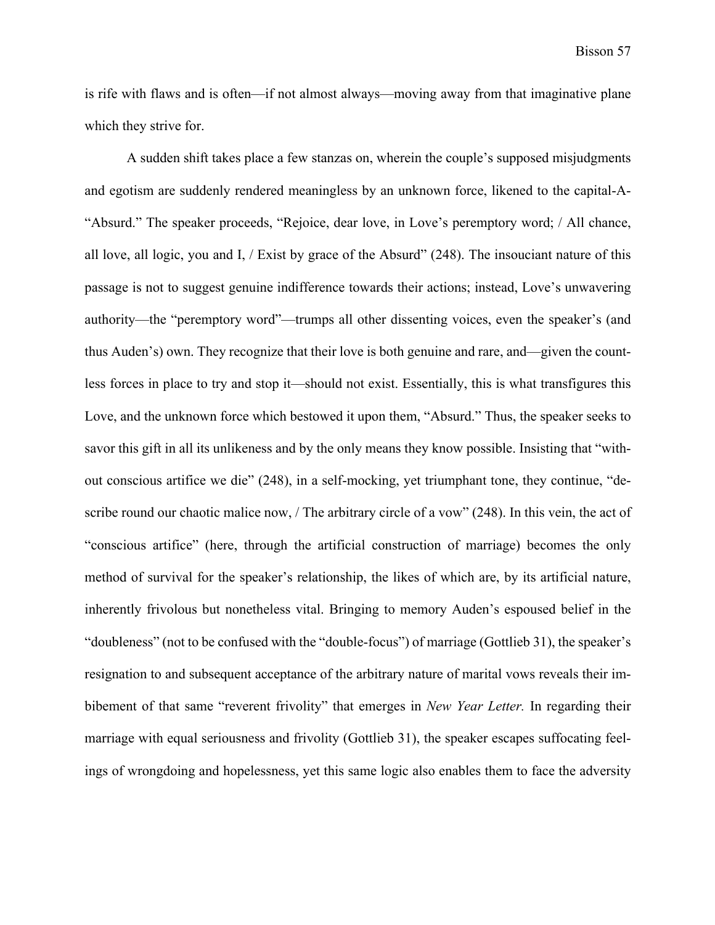is rife with flaws and is often—if not almost always—moving away from that imaginative plane which they strive for.

A sudden shift takes place a few stanzas on, wherein the couple's supposed misjudgments and egotism are suddenly rendered meaningless by an unknown force, likened to the capital-A- "Absurd." The speaker proceeds, "Rejoice, dear love, in Love's peremptory word; / All chance, all love, all logic, you and I, / Exist by grace of the Absurd" (248). The insouciant nature of this passage is not to suggest genuine indifference towards their actions; instead, Love's unwavering authority—the "peremptory word"—trumps all other dissenting voices, even the speaker's (and thus Auden's) own. They recognize that their love is both genuine and rare, and—given the countless forces in place to try and stop it—should not exist. Essentially, this is what transfigures this Love, and the unknown force which bestowed it upon them, "Absurd." Thus, the speaker seeks to savor this gift in all its unlikeness and by the only means they know possible. Insisting that "without conscious artifice we die" (248), in a self-mocking, yet triumphant tone, they continue, "describe round our chaotic malice now, / The arbitrary circle of a vow" (248). In this vein, the act of "conscious artifice" (here, through the artificial construction of marriage) becomes the only method of survival for the speaker's relationship, the likes of which are, by its artificial nature, inherently frivolous but nonetheless vital. Bringing to memory Auden's espoused belief in the "doubleness" (not to be confused with the "double-focus") of marriage (Gottlieb 31), the speaker's resignation to and subsequent acceptance of the arbitrary nature of marital vows reveals their imbibement of that same "reverent frivolity" that emerges in *New Year Letter.* In regarding their marriage with equal seriousness and frivolity (Gottlieb 31), the speaker escapes suffocating feelings of wrongdoing and hopelessness, yet this same logic also enables them to face the adversity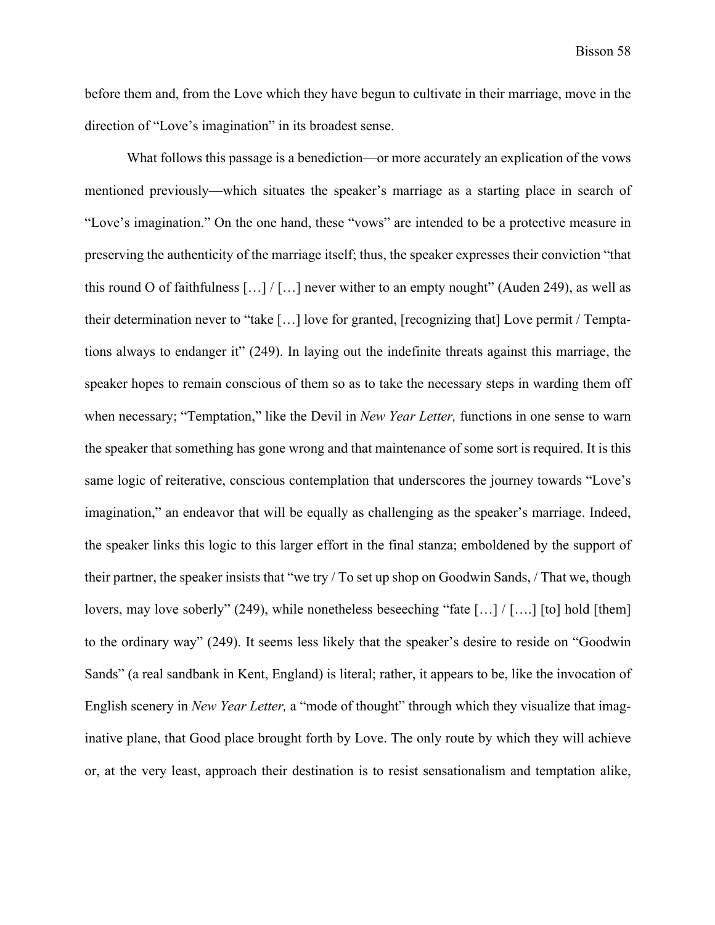before them and, from the Love which they have begun to cultivate in their marriage, move in the direction of "Love's imagination" in its broadest sense.

What follows this passage is a benediction—or more accurately an explication of the vows mentioned previously—which situates the speaker's marriage as a starting place in search of "Love's imagination." On the one hand, these "vows" are intended to be a protective measure in preserving the authenticity of the marriage itself; thus, the speaker expresses their conviction "that this round O of faithfulness  $\left[\ldots\right] / \left[\ldots\right]$  never wither to an empty nought" (Auden 249), as well as their determination never to "take […] love for granted, [recognizing that] Love permit / Temptations always to endanger it" (249). In laying out the indefinite threats against this marriage, the speaker hopes to remain conscious of them so as to take the necessary steps in warding them off when necessary; "Temptation," like the Devil in *New Year Letter,* functions in one sense to warn the speaker that something has gone wrong and that maintenance of some sort is required. It is this same logic of reiterative, conscious contemplation that underscores the journey towards "Love's imagination," an endeavor that will be equally as challenging as the speaker's marriage. Indeed, the speaker links this logic to this larger effort in the final stanza; emboldened by the support of their partner, the speaker insists that "we try / To set up shop on Goodwin Sands, / That we, though lovers, may love soberly" (249), while nonetheless beseeching "fate […] / [….] [to] hold [them] to the ordinary way" (249). It seems less likely that the speaker's desire to reside on "Goodwin Sands" (a real sandbank in Kent, England) is literal; rather, it appears to be, like the invocation of English scenery in *New Year Letter,* a "mode of thought" through which they visualize that imaginative plane, that Good place brought forth by Love. The only route by which they will achieve or, at the very least, approach their destination is to resist sensationalism and temptation alike,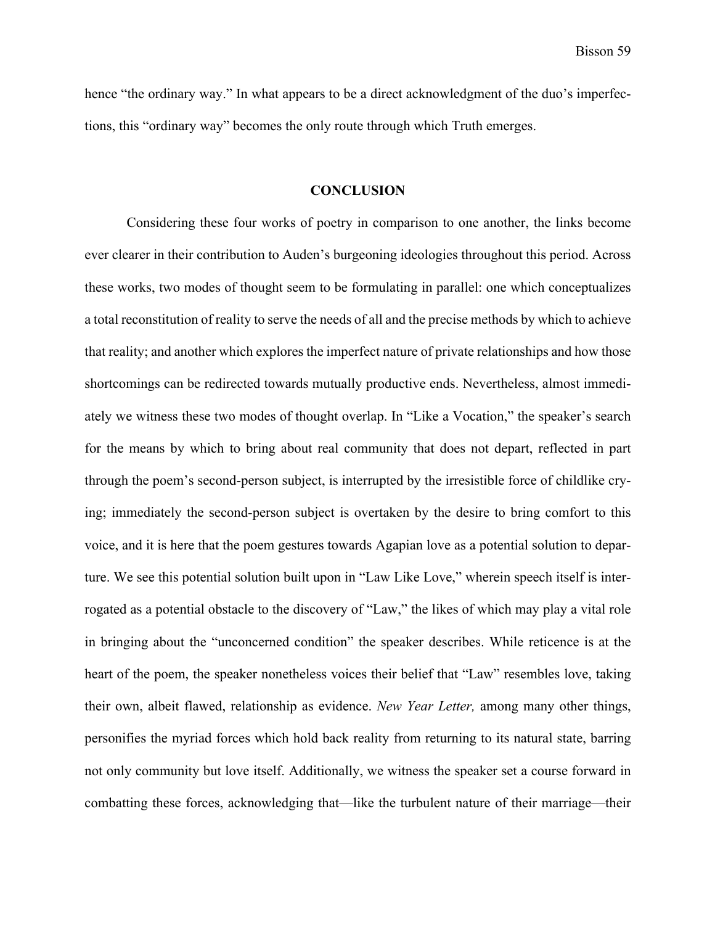hence "the ordinary way." In what appears to be a direct acknowledgment of the duo's imperfections, this "ordinary way" becomes the only route through which Truth emerges.

#### **CONCLUSION**

Considering these four works of poetry in comparison to one another, the links become ever clearer in their contribution to Auden's burgeoning ideologies throughout this period. Across these works, two modes of thought seem to be formulating in parallel: one which conceptualizes a total reconstitution of reality to serve the needs of all and the precise methods by which to achieve that reality; and another which explores the imperfect nature of private relationships and how those shortcomings can be redirected towards mutually productive ends. Nevertheless, almost immediately we witness these two modes of thought overlap. In "Like a Vocation," the speaker's search for the means by which to bring about real community that does not depart, reflected in part through the poem's second-person subject, is interrupted by the irresistible force of childlike crying; immediately the second-person subject is overtaken by the desire to bring comfort to this voice, and it is here that the poem gestures towards Agapian love as a potential solution to departure. We see this potential solution built upon in "Law Like Love," wherein speech itself is interrogated as a potential obstacle to the discovery of "Law," the likes of which may play a vital role in bringing about the "unconcerned condition" the speaker describes. While reticence is at the heart of the poem, the speaker nonetheless voices their belief that "Law" resembles love, taking their own, albeit flawed, relationship as evidence. *New Year Letter,* among many other things, personifies the myriad forces which hold back reality from returning to its natural state, barring not only community but love itself. Additionally, we witness the speaker set a course forward in combatting these forces, acknowledging that—like the turbulent nature of their marriage—their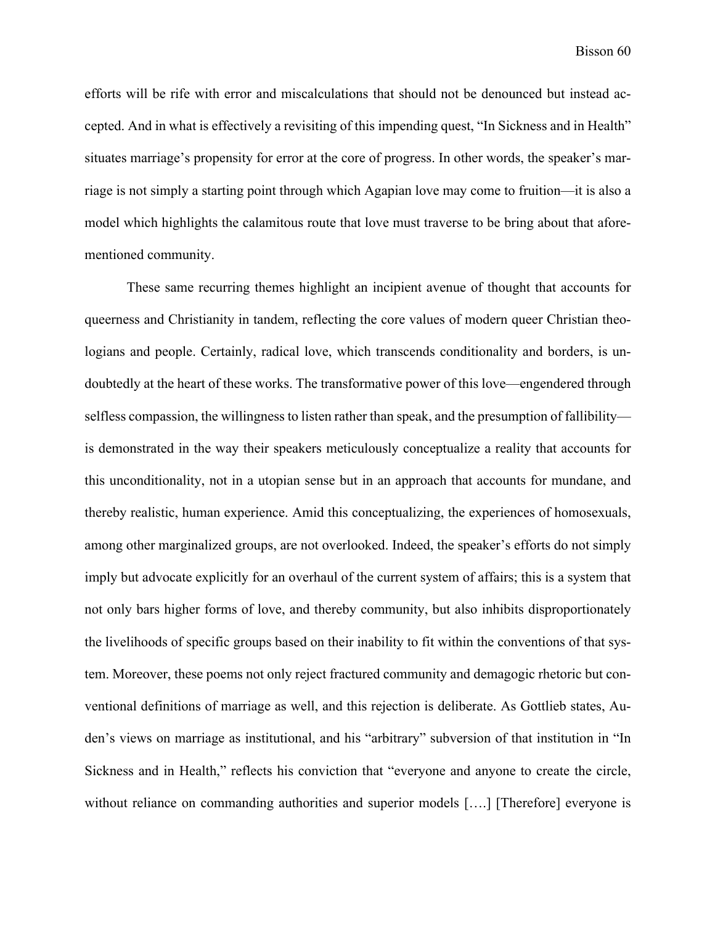efforts will be rife with error and miscalculations that should not be denounced but instead accepted. And in what is effectively a revisiting of this impending quest, "In Sickness and in Health" situates marriage's propensity for error at the core of progress. In other words, the speaker's marriage is not simply a starting point through which Agapian love may come to fruition—it is also a model which highlights the calamitous route that love must traverse to be bring about that aforementioned community.

These same recurring themes highlight an incipient avenue of thought that accounts for queerness and Christianity in tandem, reflecting the core values of modern queer Christian theologians and people. Certainly, radical love, which transcends conditionality and borders, is undoubtedly at the heart of these works. The transformative power of this love—engendered through selfless compassion, the willingness to listen rather than speak, and the presumption of fallibility is demonstrated in the way their speakers meticulously conceptualize a reality that accounts for this unconditionality, not in a utopian sense but in an approach that accounts for mundane, and thereby realistic, human experience. Amid this conceptualizing, the experiences of homosexuals, among other marginalized groups, are not overlooked. Indeed, the speaker's efforts do not simply imply but advocate explicitly for an overhaul of the current system of affairs; this is a system that not only bars higher forms of love, and thereby community, but also inhibits disproportionately the livelihoods of specific groups based on their inability to fit within the conventions of that system. Moreover, these poems not only reject fractured community and demagogic rhetoric but conventional definitions of marriage as well, and this rejection is deliberate. As Gottlieb states, Auden's views on marriage as institutional, and his "arbitrary" subversion of that institution in "In Sickness and in Health," reflects his conviction that "everyone and anyone to create the circle, without reliance on commanding authorities and superior models [....] [Therefore] everyone is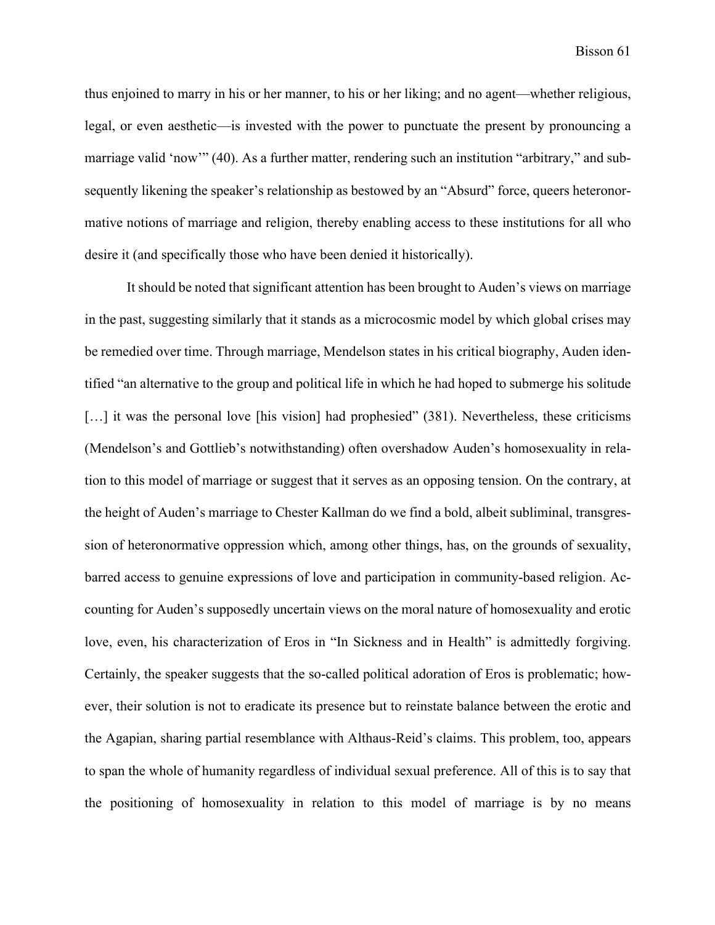thus enjoined to marry in his or her manner, to his or her liking; and no agent—whether religious, legal, or even aesthetic—is invested with the power to punctuate the present by pronouncing a marriage valid 'now'" (40). As a further matter, rendering such an institution "arbitrary," and subsequently likening the speaker's relationship as bestowed by an "Absurd" force, queers heteronormative notions of marriage and religion, thereby enabling access to these institutions for all who desire it (and specifically those who have been denied it historically).

It should be noted that significant attention has been brought to Auden's views on marriage in the past, suggesting similarly that it stands as a microcosmic model by which global crises may be remedied over time. Through marriage, Mendelson states in his critical biography, Auden identified "an alternative to the group and political life in which he had hoped to submerge his solitude [...] it was the personal love [his vision] had prophesied" (381). Nevertheless, these criticisms (Mendelson's and Gottlieb's notwithstanding) often overshadow Auden's homosexuality in relation to this model of marriage or suggest that it serves as an opposing tension. On the contrary, at the height of Auden's marriage to Chester Kallman do we find a bold, albeit subliminal, transgression of heteronormative oppression which, among other things, has, on the grounds of sexuality, barred access to genuine expressions of love and participation in community-based religion. Accounting for Auden's supposedly uncertain views on the moral nature of homosexuality and erotic love, even, his characterization of Eros in "In Sickness and in Health" is admittedly forgiving. Certainly, the speaker suggests that the so-called political adoration of Eros is problematic; however, their solution is not to eradicate its presence but to reinstate balance between the erotic and the Agapian, sharing partial resemblance with Althaus-Reid's claims. This problem, too, appears to span the whole of humanity regardless of individual sexual preference. All of this is to say that the positioning of homosexuality in relation to this model of marriage is by no means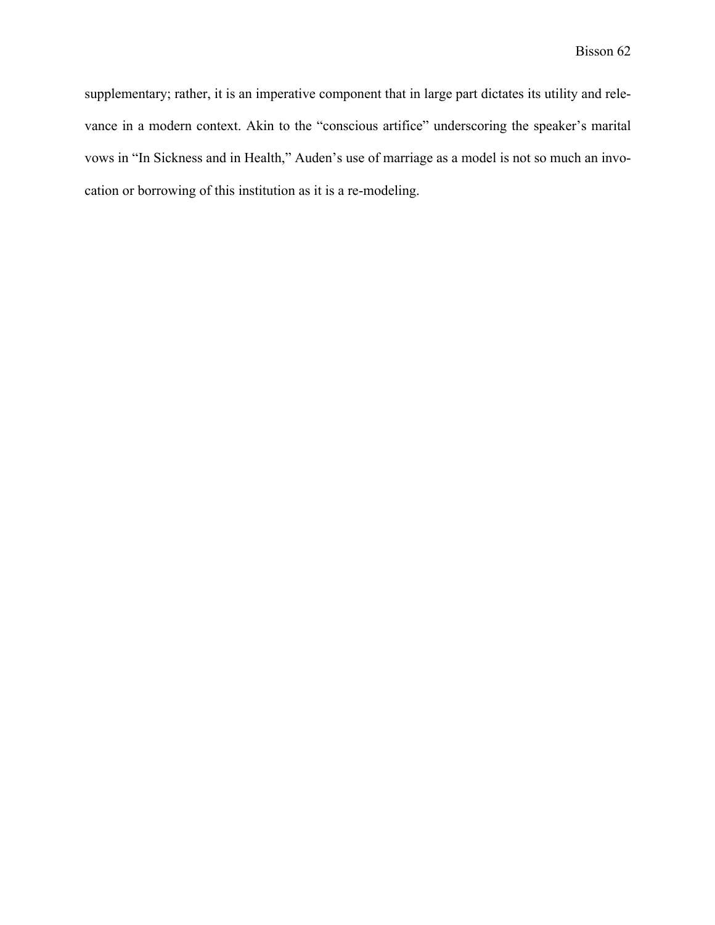supplementary; rather, it is an imperative component that in large part dictates its utility and relevance in a modern context. Akin to the "conscious artifice" underscoring the speaker's marital vows in "In Sickness and in Health," Auden's use of marriage as a model is not so much an invocation or borrowing of this institution as it is a re-modeling.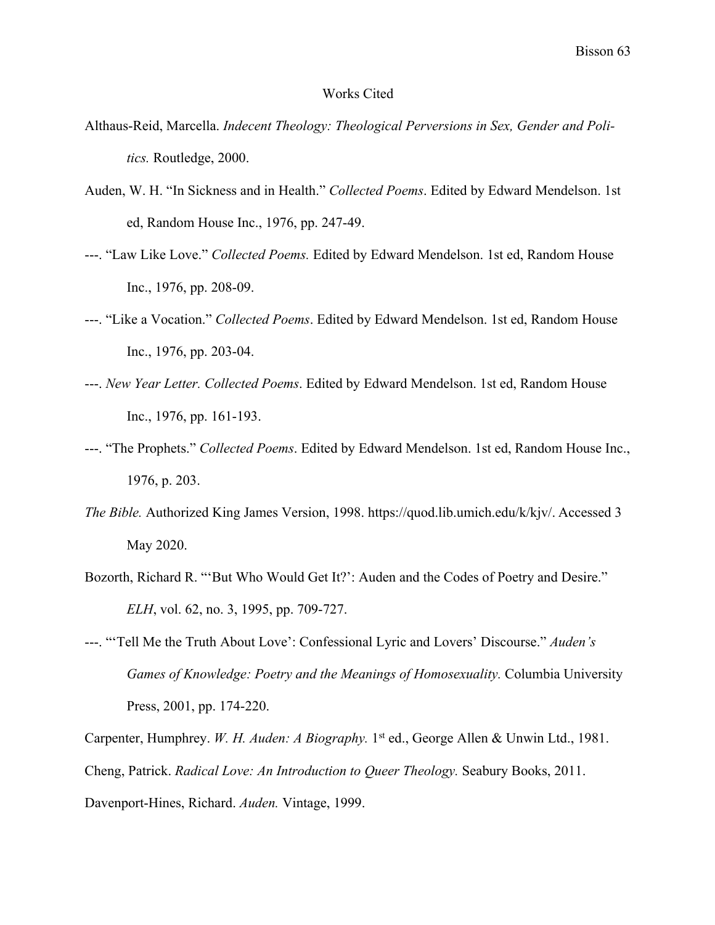#### Works Cited

- Althaus-Reid, Marcella. *Indecent Theology: Theological Perversions in Sex, Gender and Politics.* Routledge, 2000.
- Auden, W. H. "In Sickness and in Health." *Collected Poems*. Edited by Edward Mendelson. 1st ed, Random House Inc., 1976, pp. 247-49.
- ---. "Law Like Love." *Collected Poems.* Edited by Edward Mendelson. 1st ed, Random House Inc., 1976, pp. 208-09.
- ---. "Like a Vocation." *Collected Poems*. Edited by Edward Mendelson. 1st ed, Random House Inc., 1976, pp. 203-04.
- ---. *New Year Letter. Collected Poems*. Edited by Edward Mendelson. 1st ed, Random House Inc., 1976, pp. 161-193.
- ---. "The Prophets." *Collected Poems*. Edited by Edward Mendelson. 1st ed, Random House Inc., 1976, p. 203.
- *The Bible.* Authorized King James Version, 1998. https://quod.lib.umich.edu/k/kjv/. Accessed 3 May 2020.
- Bozorth, Richard R. "'But Who Would Get It?': Auden and the Codes of Poetry and Desire." *ELH*, vol. 62, no. 3, 1995, pp. 709-727.
- ---. "'Tell Me the Truth About Love': Confessional Lyric and Lovers' Discourse." *Auden's Games of Knowledge: Poetry and the Meanings of Homosexuality.* Columbia University Press, 2001, pp. 174-220.

Carpenter, Humphrey. *W. H. Auden: A Biography.* 1<sup>st</sup> ed., George Allen & Unwin Ltd., 1981. Cheng, Patrick. *Radical Love: An Introduction to Queer Theology.* Seabury Books, 2011. Davenport-Hines, Richard. *Auden.* Vintage, 1999.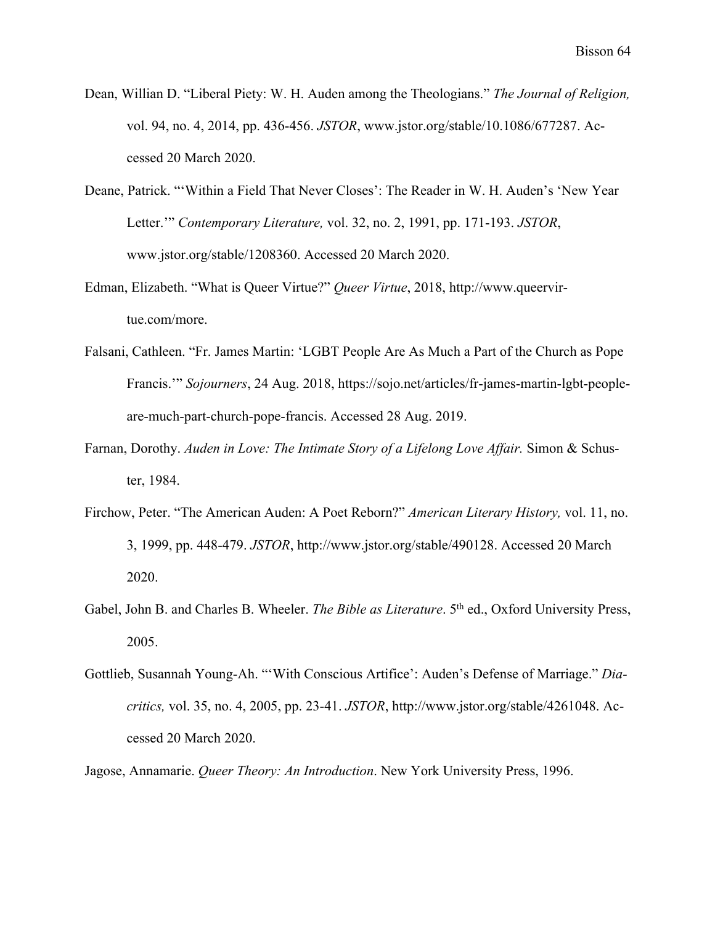- Dean, Willian D. "Liberal Piety: W. H. Auden among the Theologians." *The Journal of Religion,*  vol. 94, no. 4, 2014, pp. 436-456. *JSTOR*, www.jstor.org/stable/10.1086/677287. Accessed 20 March 2020.
- Deane, Patrick. "'Within a Field That Never Closes': The Reader in W. H. Auden's 'New Year Letter.'" *Contemporary Literature,* vol. 32, no. 2, 1991, pp. 171-193. *JSTOR*, www.jstor.org/stable/1208360. Accessed 20 March 2020.
- Edman, Elizabeth. "What is Queer Virtue?" *Queer Virtue*, 2018, http://www.queervirtue.com/more.
- Falsani, Cathleen. "Fr. James Martin: 'LGBT People Are As Much a Part of the Church as Pope Francis.'" *Sojourners*, 24 Aug. 2018, https://sojo.net/articles/fr-james-martin-lgbt-peopleare-much-part-church-pope-francis. Accessed 28 Aug. 2019.
- Farnan, Dorothy. *Auden in Love: The Intimate Story of a Lifelong Love Affair.* Simon & Schuster, 1984.
- Firchow, Peter. "The American Auden: A Poet Reborn?" *American Literary History,* vol. 11, no. 3, 1999, pp. 448-479. *JSTOR*, http://www.jstor.org/stable/490128. Accessed 20 March 2020.
- Gabel, John B. and Charles B. Wheeler. *The Bible as Literature*. 5<sup>th</sup> ed., Oxford University Press, 2005.
- Gottlieb, Susannah Young-Ah. "'With Conscious Artifice': Auden's Defense of Marriage." *Diacritics,* vol. 35, no. 4, 2005, pp. 23-41. *JSTOR*, http://www.jstor.org/stable/4261048. Accessed 20 March 2020.
- Jagose, Annamarie. *Queer Theory: An Introduction*. New York University Press, 1996.